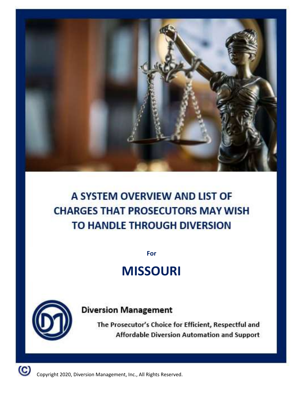

# A SYSTEM OVERVIEW AND LIST OF **CHARGES THAT PROSECUTORS MAY WISH** TO HANDLE THROUGH DIVERSION

**For**

# **MISSOURI**



**Diversion Management** 

The Prosecutor's Choice for Efficient, Respectful and Affordable Diversion Automation and Support

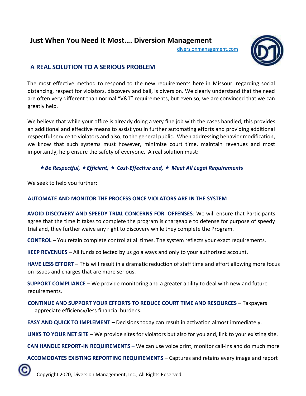## **Just When You Need It Most…. Diversion Management**

diversionmanagement.com



### **A REAL SOLUTION TO A SERIOUS PROBLEM**

The most effective method to respond to the new requirements here in Missouri regarding social distancing, respect for violators, discovery and bail, is diversion. We clearly understand that the need are often very different than normal "V&T" requirements, but even so, we are convinced that we can greatly help.

We believe that while your office is already doing a very fine job with the cases handled, this provides an additional and effective means to assist you in further automating efforts and providing additional respectful service to violators and also, to the general public. When addressing behavior modification, we know that such systems must however, minimize court time, maintain revenues and most importantly, help ensure the safety of everyone. A real solution must:

#### *Be Respectful, Efficient, Cost-Effective and, Meet All Legal Requirements*

We seek to help you further:

#### **AUTOMATE AND MONITOR THE PROCESS ONCE VIOLATORS ARE IN THE SYSTEM**

**AVOID DISCOVERY AND SPEEDY TRIAL CONCERNS FOR OFFENSES**: We will ensure that Participants agree that the time it takes to complete the program is chargeable to defense for purpose of speedy trial and, they further waive any right to discovery while they complete the Program.

**CONTROL** – You retain complete control at all times. The system reflects your exact requirements.

**KEEP REVENUES** – All funds collected by us go always and only to your authorized account.

HAVE LESS EFFORT - This will result in a dramatic reduction of staff time and effort allowing more focus on issues and charges that are more serious.

**SUPPORT COMPLIANCE** – We provide monitoring and a greater ability to deal with new and future requirements.

**CONTINUE AND SUPPORT YOUR EFFORTS TO REDUCE COURT TIME AND RESOURCES** – Taxpayers appreciate efficiency/less financial burdens.

**EASY AND QUICK TO IMPLEMENT** – Decisions today can result in activation almost immediately.

**LINKS TO YOUR NET SITE** – We provide sites for violators but also for you and, link to your existing site.

**CAN HANDLE REPORT-IN REQUIREMENTS** – We can use voice print, monitor call-ins and do much more

**ACCOMODATES EXISTING REPORTING REQUIREMENTS** – Captures and retains every image and report

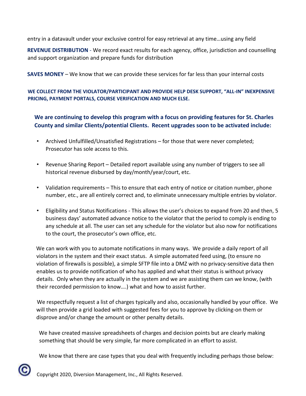entry in a datavault under your exclusive control for easy retrieval at any time…using any field

**REVENUE DISTRIBUTION** - We record exact results for each agency, office, jurisdiction and counselling and support organization and prepare funds for distribution

**SAVES MONEY** – We know that we can provide these services for far less than your internal costs

#### **WE COLLECT FROM THE VIOLATOR/PARTICIPANT AND PROVIDE HELP DESK SUPPORT, "ALL-IN" INEXPENSIVE PRICING, PAYMENT PORTALS, COURSE VERIFICATION AND MUCH ELSE.**

**We are continuing to develop this program with a focus on providing features for St. Charles County and similar Clients/potential Clients. Recent upgrades soon to be activated include:** 

- Archived Unfulfilled/Unsatisfied Registrations for those that were never completed; Prosecutor has sole access to this.
- Revenue Sharing Report Detailed report available using any number of triggers to see all historical revenue disbursed by day/month/year/court, etc.
- Validation requirements This to ensure that each entry of notice or citation number, phone number, etc., are all entirely correct and, to eliminate unnecessary multiple entries by violator.
- Eligibility and Status Notifications This allows the user's choices to expand from 20 and then, 5 business days' automated advance notice to the violator that the period to comply is ending to any schedule at all. The user can set any schedule for the violator but also now for notifications to the court, the prosecutor's own office, etc.

We can work with you to automate notifications in many ways. We provide a daily report of all violators in the system and their exact status. A simple automated feed using, (to ensure no violation of firewalls is possible), a simple SFTP file into a DMZ with no privacy-sensitive data then enables us to provide notification of who has applied and what their status is without privacy details. Only when they are actually in the system and we are assisting them can we know, (with their recorded permission to know….) what and how to assist further.

 We respectfully request a list of charges typically and also, occasionally handled by your office. We will then provide a grid loaded with suggested fees for you to approve by clicking-on them or disprove and/or change the amount or other penalty details.

We have created massive spreadsheets of charges and decision points but are clearly making something that should be very simple, far more complicated in an effort to assist.

We know that there are case types that you deal with frequently including perhaps those below:

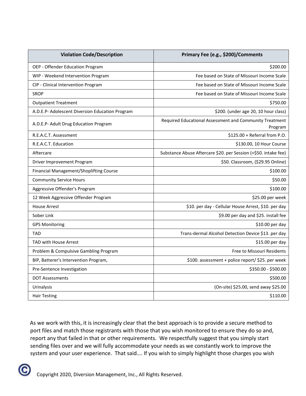| <b>Violation Code/Description</b>               | Primary Fee (e.g., \$200)/Comments                                 |
|-------------------------------------------------|--------------------------------------------------------------------|
| OEP - Offender Education Program                | \$200.00                                                           |
| WIP - Weekend Intervention Program              | Fee based on State of Missouri Income Scale                        |
| CIP - Clinical Intervention Program             | Fee based on State of Missouri Income Scale                        |
| <b>SROP</b>                                     | Fee based on State of Missouri Income Scale                        |
| <b>Outpatient Treatment</b>                     | \$750.00                                                           |
| A.D.E.P- Adolescent Diversion Education Program | \$200. (under age 20, 10 hour class)                               |
| A.D.E.P- Adult Drug Education Program           | Required Educational Assessment and Community Treatment<br>Program |
| R.E.A.C.T. Assessment                           | \$125.00 + Referral from P.O.                                      |
| R.E.A.C.T. Education                            | \$130.00, 10 Hour Course                                           |
| Aftercare                                       | Substance Abuse Aftercare \$20. per Session (+\$50. intake fee)    |
| Driver Improvement Program                      | \$50. Classroom, (\$29.95 Online)                                  |
| Financial Management/Shoplifting Course         | \$100.00                                                           |
| <b>Community Service Hours</b>                  | \$50.00                                                            |
| Aggressive Offender's Program                   | \$100.00                                                           |
| 12 Week Aggressive Offender Program             | \$25.00 per week                                                   |
| <b>House Arrest</b>                             | \$10. per day - Cellular House Arrest, \$10. per day               |
| Sober Link                                      | \$9.00 per day and \$25. install fee                               |
| <b>GPS Monitoring</b>                           | \$10.00 per day                                                    |
| TAD                                             | Trans-dermal Alcohol Detection Device \$13. per day                |
| <b>TAD with House Arrest</b>                    | \$15.00 per day                                                    |
| Problem & Compulsive Gambling Program           | Free to Missouri Residents                                         |
| BIP, Batterer's Intervention Program,           | \$100. assessment + police report/ \$25. per week                  |
| Pre-Sentence Investigation                      | \$350.00 - \$500.00                                                |
| <b>DOT Assessments</b>                          | \$500.00                                                           |
| Urinalysis                                      | (On-site) \$25.00, send away \$25.00                               |
| <b>Hair Testing</b>                             | \$110.00                                                           |

As we work with this, it is increasingly clear that the best approach is to provide a secure method to port files and match those registrants with those that you wish monitored to ensure they do so and, report any that failed in that or other requirements. We respectfully suggest that you simply start sending files over and we will fully accommodate your needs as we constantly work to improve the system and your user experience. That said…. If you wish to simply highlight those charges you wish

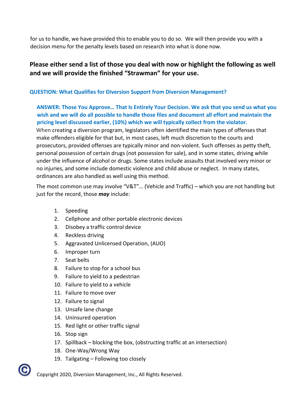for us to handle, we have provided this to enable you to do so. We will then provide you with a decision menu for the penalty levels based on research into what is done now.

### **Please either send a list of those you deal with now or highlight the following as well and we will provide the finished "Strawman" for your use.**

#### **QUESTION: What Qualifies for Diversion Support from Diversion Management?**

**ANSWER: Those You Approve… That Is Entirely Your Decision. We ask that you send us what you wish and we will do all possible to handle those files and document all effort and maintain the pricing level discussed earlier, (10%) which we will typically collect from the violator.**  When creating a diversion program, legislators often identified the main types of offenses that make offenders eligible for that but, in most cases, left much discretion to the courts and prosecutors, provided offenses are typically minor and non-violent. Such offenses as petty theft, personal possession of certain drugs (not possession for sale), and in some states, [driving while](https://www.nolo.com/legal-encyclopedia/dui-or-dwi-punishments-penalties-30321.html) [under](https://www.nolo.com/legal-encyclopedia/dui-or-dwi-punishments-penalties-30321.html) [the](https://www.nolo.com/legal-encyclopedia/dui-or-dwi-punishments-penalties-30321.html) [influence](https://www.nolo.com/legal-encyclopedia/dui-or-dwi-punishments-penalties-30321.html) [of](https://www.nolo.com/legal-encyclopedia/dui-or-dwi-punishments-penalties-30321.html) [alcohol](https://www.nolo.com/legal-encyclopedia/dui-or-dwi-punishments-penalties-30321.html) [or](https://www.nolo.com/legal-encyclopedia/dui-or-dwi-punishments-penalties-30321.html) [drugs.](https://www.nolo.com/legal-encyclopedia/dui-or-dwi-punishments-penalties-30321.html) Some states include assaults that involved very minor or no injuries, and some include [domestic violence an](https://www.nolo.com/legal-encyclopedia/domestic-violence-33813.html)d child abuse or neglect. In many states, ordinances are also handled as well using this method.

The most common use may involve "V&T"… (Vehicle and Traffic) – which you are not handling but just for the record, those *may* include:

- 1. Speeding
- 2. Cellphone and other portable electronic devices
- 3. Disobey a traffic control device
- 4. Reckless driving
- 5. Aggravated Unlicensed Operation, (AUO)
- 6. Improper turn
- 7. Seat belts
- 8. Failure to stop for a school bus
- 9. Failure to yield to a pedestrian
- 10. Failure to yield to a vehicle
- 11. Failure to move over
- 12. Failure to signal
- 13. Unsafe lane change
- 14. Uninsured operation
- 15. Red light or other traffic signal
- 16. Stop sign
- 17. Spillback blocking the box, (obstructing traffic at an intersection)
- 18. One-Way/Wrong Way
- 19. Tailgating Following too closely

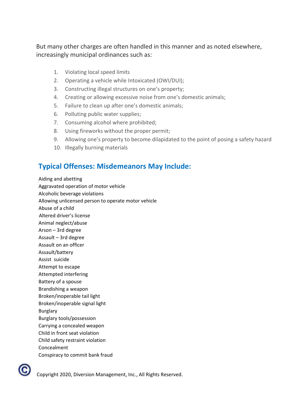But many other charges are often handled in this manner and as noted elsewhere, increasingly municipal ordinances such as:

- 1. Violating local speed limits
- 2. Operating a vehicle while Intoxicated (OWI/DUI);
- 3. Constructing illegal structures on one's property;
- 4. Creating or allowing excessive noise from one's domestic animals;
- 5. Failure to clean up after one's domestic animals;
- 6. Polluting public water supplies;
- 7. Consuming alcohol where prohibited;
- 8. Using fireworks without the proper permit;
- 9. Allowing one's property to become dilapidated to the point of posing a safety hazard
- 10. Illegally burning materials

## **Typical Offenses: Misdemeanors May Include:**

Aiding and abetting Aggravated operation of motor vehicle Alcoholic beverage violations Allowing unlicensed person to operate motor vehicle Abuse of a child Altered driver's license Animal neglect/abuse Arson – 3rd degree Assault – 3rd degree Assault on an officer Assault/battery Assist suicide Attempt to escape Attempted interfering Battery of a spouse Brandishing a weapon Broken/inoperable tail light Broken/inoperable signal light Burglary Burglary tools/possession Carrying a concealed weapon Child in front seat violation Child safety restraint violation Concealment Conspiracy to commit bank fraud

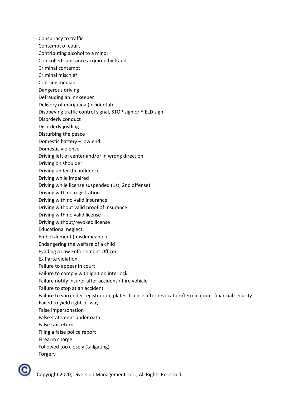- Conspiracy to traffic
- Contempt of court
- Contributing alcohol to a minor
- Controlled substance acquired by fraud
- Criminal contempt
- Criminal mischief
- Crossing median
- Dangerous driving
- Defrauding an innkeeper
- Delivery of marijuana (incidental)
- Disobeying traffic control signal, STOP sign or YIELD sign
- Disorderly conduct
- Disorderly jostling
- Disturbing the peace
- Domestic battery low end
- Domestic violence
- Driving left of center and/or in wrong direction
- Driving on shoulder
- Driving under the influence
- Driving while impaired
- Driving while license suspended (1st, 2nd offense)
- Driving with no registration
- Driving with no valid insurance
- Driving without valid proof of insurance
- Driving with no valid license
- Driving without/revoked license
- Educational neglect
- Embezzlement (misdemeanor)
- Endangering the welfare of a child
- Evading a Law Enforcement Officer
- Ex Parte violation
- Failure to appear in court
- Failure to comply with ignition interlock
- Failure notify insurer after accident / hire vehicle
- Failure to stop at an accident
- Failure to surrender registration, plates, license after revocation/termination financial security
- Failed to yield right-of-way
- False impersonation
- False statement under oath
- False tax return
- Filing a false police report
- Firearm charge
- Followed too closely (tailgating)
- Forgery

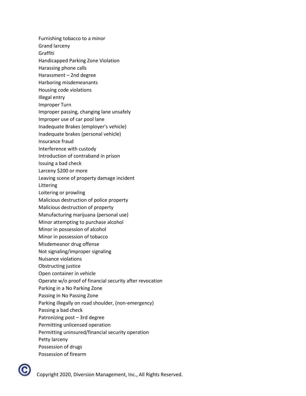Furnishing tobacco to a minor

Grand larceny

Graffiti

- Handicapped Parking Zone Violation
- Harassing phone calls
- Harassment 2nd degree
- Harboring misdemeanants
- Housing code violations
- Illegal entry
- Improper Turn
- Improper passing, changing lane unsafely
- Improper use of car pool lane
- Inadequate Brakes (employer's vehicle)
- Inadequate brakes (personal vehicle)
- Insurance fraud
- Interference with custody
- Introduction of contraband in prison
- Issuing a bad check
- Larceny \$200 or more
- Leaving scene of property damage incident
- Littering
- Loitering or prowling
- Malicious destruction of police property
- Malicious destruction of property
- Manufacturing marijuana (personal use)
- Minor attempting to purchase alcohol
- Minor in possession of alcohol
- Minor in possession of tobacco
- Misdemeanor drug offense
- Not signaling/improper signaling
- Nuisance violations
- Obstructing justice
- Open container in vehicle
- Operate w/o proof of financial security after revocation
- Parking in a No Parking Zone
- Passing in No Passing Zone
- Parking illegally on road shoulder, (non-emergency)
- Passing a bad check
- Patronizing post 3rd degree
- Permitting unlicensed operation
- Permitting uninsured/financial security operation
- Petty larceny
- Possession of drugs
- Possession of firearm

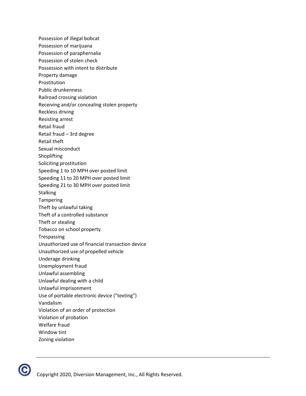Possession of illegal bobcat Possession of marijuana Possession of paraphernalia Possession of stolen check Possession with intent to distribute Property damage Prostitution Public drunkenness Railroad crossing violation Receiving and/or concealing stolen property Reckless driving Resisting arrest Retail fraud Retail fraud – 3rd degree Retail theft Sexual misconduct Shoplifting Soliciting prostitution Speeding 1 to 10 MPH over posted limit Speeding 11 to 20 MPH over posted limit Speeding 21 to 30 MPH over posted limit **Stalking** Tampering Theft by unlawful taking Theft of a controlled substance Theft or stealing Tobacco on school property Trespassing Unauthorized use of financial transaction device Unauthorized use of propelled vehicle Underage drinking Unemployment fraud Unlawful assembling Unlawful dealing with a child Unlawful imprisonment Use of portable electronic device ("texting") Vandalism Violation of an order of protection Violation of probation Welfare fraud Window tint Zoning violation

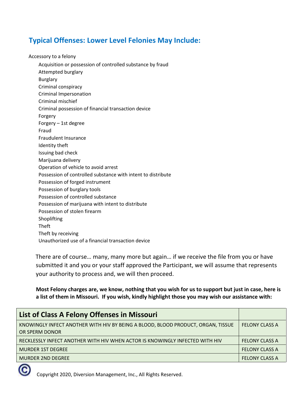## **Typical Offenses: Lower Level Felonies May Include:**

Accessory to a felony

Acquisition or possession of controlled substance by fraud Attempted burglary Burglary Criminal conspiracy Criminal Impersonation Criminal mischief Criminal possession of financial transaction device Forgery Forgery – 1st degree Fraud Fraudulent Insurance Identity theft Issuing bad check Marijuana delivery Operation of vehicle to avoid arrest Possession of controlled substance with intent to distribute Possession of forged instrument Possession of burglary tools Possession of controlled substance Possession of marijuana with intent to distribute Possession of stolen firearm Shoplifting Theft Theft by receiving Unauthorized use of a financial transaction device

There are of course… many, many more but again… if we receive the file from you or have submitted it and you or your staff approved the Participant, we will assume that represents your authority to process and, we will then proceed.

**Most Felony charges are, we know, nothing that you wish for us to support but just in case, here is a list of them in Missouri. If you wish, kindly highlight those you may wish our assistance with:** 

| <b>FELONY CLASS A</b> |
|-----------------------|
|                       |
| <b>FELONY CLASS A</b> |
| <b>FELONY CLASS A</b> |
| <b>FELONY CLASS A</b> |
|                       |

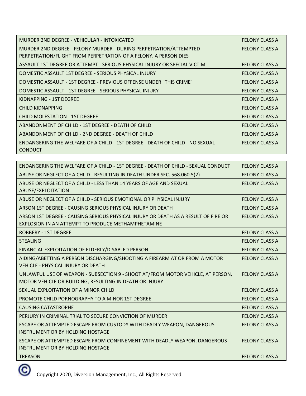| MURDER 2ND DEGREE - VEHICULAR - INTOXICATED                                                    | <b>FELONY CLASS A</b> |
|------------------------------------------------------------------------------------------------|-----------------------|
| MURDER 2ND DEGREE - FELONY MURDER - DURING PERPETRATION/ATTEMPTED                              | <b>FELONY CLASS A</b> |
| PERPETRATION/FLIGHT FROM PERPETRATION OF A FELONY, A PERSON DIES                               |                       |
| ASSAULT 1ST DEGREE OR ATTEMPT - SERIOUS PHYSICAL INJURY OR SPECIAL VICTIM                      | <b>FELONY CLASS A</b> |
| DOMESTIC ASSAULT 1ST DEGREE - SERIOUS PHYSICAL INJURY                                          | <b>FELONY CLASS A</b> |
| DOMESTIC ASSAULT - 1ST DEGREE - PREVIOUS OFFENSE UNDER "THIS CRIME"                            | <b>FELONY CLASS A</b> |
| DOMESTIC ASSAULT - 1ST DEGREE - SERIOUS PHYSICAL INJURY                                        | <b>FELONY CLASS A</b> |
| KIDNAPPING - 1ST DEGREE                                                                        | <b>FELONY CLASS A</b> |
| <b>CHILD KIDNAPPING</b>                                                                        | <b>FELONY CLASS A</b> |
| <b>CHILD MOLESTATION - 1ST DEGREE</b>                                                          | <b>FELONY CLASS A</b> |
| ABANDONMENT OF CHILD - 1ST DEGREE - DEATH OF CHILD                                             | <b>FELONY CLASS A</b> |
| ABANDONMENT OF CHILD - 2ND DEGREE - DEATH OF CHILD                                             | <b>FELONY CLASS A</b> |
| ENDANGERING THE WELFARE OF A CHILD - 1ST DEGREE - DEATH OF CHILD - NO SEXUAL<br><b>CONDUCT</b> | <b>FELONY CLASS A</b> |
|                                                                                                |                       |

| ENDANGERING THE WELFARE OF A CHILD - 1ST DEGREE - DEATH OF CHILD - SEXUAL CONDUCT                                                          | <b>FELONY CLASS A</b> |
|--------------------------------------------------------------------------------------------------------------------------------------------|-----------------------|
| ABUSE OR NEGLECT OF A CHILD - RESULTING IN DEATH UNDER SEC. 568.060.5(2)                                                                   | <b>FELONY CLASS A</b> |
| ABUSE OR NEGLECT OF A CHILD - LESS THAN 14 YEARS OF AGE AND SEXUAL<br>ABUSE/EXPLOITATION                                                   | <b>FELONY CLASS A</b> |
| ABUSE OR NEGLECT OF A CHILD - SERIOUS EMOTIONAL OR PHYSICAL INJURY                                                                         | <b>FELONY CLASS A</b> |
| ARSON 1ST DEGREE - CAUSING SERIOUS PHYSICAL INJURY OR DEATH                                                                                | <b>FELONY CLASS A</b> |
| ARSON 1ST DEGREE - CAUSING SERIOUS PHYSICAL INJURY OR DEATH AS A RESULT OF FIRE OR<br>EXPLOSION IN AN ATTEMPT TO PRODUCE METHAMPHETAMINE   | <b>FELONY CLASS A</b> |
| <b>ROBBERY - 1ST DEGREE</b>                                                                                                                | <b>FELONY CLASS A</b> |
| <b>STEALING</b>                                                                                                                            | <b>FELONY CLASS A</b> |
| FINANCIAL EXPLOITATION OF ELDERLY/DISABLED PERSON                                                                                          | <b>FELONY CLASS A</b> |
| AIDING/ABETTING A PERSON DISCHARGING/SHOOTING A FIREARM AT OR FROM A MOTOR<br><b>VEHICLE - PHYSICAL INJURY OR DEATH</b>                    | <b>FELONY CLASS A</b> |
| UNLAWFUL USE OF WEAPON - SUBSECTION 9 - SHOOT AT/FROM MOTOR VEHICLE, AT PERSON,<br>MOTOR VEHICLE OR BUILDING, RESULTING IN DEATH OR INJURY | <b>FELONY CLASS A</b> |
| SEXUAL EXPLOITATION OF A MINOR CHILD                                                                                                       | <b>FELONY CLASS A</b> |
| PROMOTE CHILD PORNOGRAPHY TO A MINOR 1ST DEGREE                                                                                            | <b>FELONY CLASS A</b> |
| <b>CAUSING CATASTROPHE</b>                                                                                                                 | <b>FELONY CLASS A</b> |
| PERJURY IN CRIMINAL TRIAL TO SECURE CONVICTION OF MURDER                                                                                   | <b>FELONY CLASS A</b> |
| ESCAPE OR ATTEMPTED ESCAPE FROM CUSTODY WITH DEADLY WEAPON, DANGEROUS<br>INSTRUMENT OR BY HOLDING HOSTAGE                                  | <b>FELONY CLASS A</b> |
| ESCAPE OR ATTEMPTED ESCAPE FROM CONFINEMENT WITH DEADLY WEAPON, DANGEROUS<br>INSTRUMENT OR BY HOLDING HOSTAGE                              | <b>FELONY CLASS A</b> |
| <b>TREASON</b>                                                                                                                             | <b>FELONY CLASS A</b> |

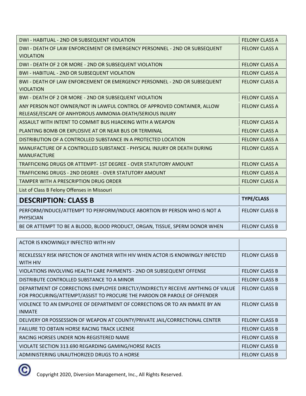| DWI - HABITUAL - 2ND OR SUBSEQUENT VIOLATION                                                  | <b>FELONY CLASS A</b> |
|-----------------------------------------------------------------------------------------------|-----------------------|
| DWI - DEATH OF LAW ENFORCEMENT OR EMERGENCY PERSONNEL - 2ND OR SUBSEQUENT<br><b>VIOLATION</b> | <b>FELONY CLASS A</b> |
|                                                                                               |                       |
| DWI - DEATH OF 2 OR MORE - 2ND OR SUBSEQUENT VIOLATION                                        | <b>FELONY CLASS A</b> |
| <b>BWI - HABITUAL - 2ND OR SUBSEQUENT VIOLATION</b>                                           | <b>FELONY CLASS A</b> |
| BWI - DEATH OF LAW ENFORCEMENT OR EMERGENCY PERSONNEL - 2ND OR SUBSEQUENT                     | <b>FELONY CLASS A</b> |
| <b>VIOLATION</b>                                                                              |                       |
| BWI - DEATH OF 2 OR MORE - 2ND OR SUBSEQUENT VIOLATION                                        | <b>FELONY CLASS A</b> |
| ANY PERSON NOT OWNER/NOT IN LAWFUL CONTROL OF APPROVED CONTAINER, ALLOW                       | <b>FELONY CLASS A</b> |
| RELEASE/ESCAPE OF ANHYDROUS AMMONIA-DEATH/SERIOUS INJURY                                      |                       |
| ASSAULT WITH INTENT TO COMMIT BUS HIJACKING WITH A WEAPON                                     | <b>FELONY CLASS A</b> |
| PLANTING BOMB OR EXPLOSIVE AT OR NEAR BUS OR TERMINAL                                         | <b>FELONY CLASS A</b> |
| DISTRIBUTION OF A CONTROLLED SUBSTANCE IN A PROTECTED LOCATION                                | <b>FELONY CLASS A</b> |
| MANUFACTURE OF A CONTROLLED SUBSTANCE - PHYSICAL INJURY OR DEATH DURING<br><b>MANUFACTURE</b> | <b>FELONY CLASS A</b> |
|                                                                                               |                       |
| TRAFFICKING DRUGS OR ATTEMPT- 1ST DEGREE - OVER STATUTORY AMOUNT                              | <b>FELONY CLASS A</b> |
| TRAFFICKING DRUGS - 2ND DEGREE - OVER STATUTORY AMOUNT                                        | <b>FELONY CLASS A</b> |
| <b>TAMPER WITH A PRESCRIPTION DRUG ORDER</b>                                                  | <b>FELONY CLASS A</b> |
| List of Class B Felony Offenses in Missouri                                                   |                       |
| <b>DESCRIPTION: CLASS B</b>                                                                   | <b>TYPE/CLASS</b>     |
| PERFORM/INDUCE/ATTEMPT TO PERFORM/INDUCE ABORTION BY PERSON WHO IS NOT A<br><b>PHYSICIAN</b>  | <b>FELONY CLASS B</b> |
| BE OR ATTEMPT TO BE A BLOOD, BLOOD PRODUCT, ORGAN, TISSUE, SPERM DONOR WHEN                   | <b>FELONY CLASS B</b> |

| ACTOR IS KNOWINGLY INFECTED WITH HIV                                                                                                                         |                       |
|--------------------------------------------------------------------------------------------------------------------------------------------------------------|-----------------------|
| RECKLESSLY RISK INFECTION OF ANOTHER WITH HIV WHEN ACTOR IS KNOWINGLY INFECTED<br>WITH HIV                                                                   | <b>FELONY CLASS B</b> |
| VIOLATIONS INVOLVING HEALTH CARE PAYMENTS - 2ND OR SUBSEQUENT OFFENSE                                                                                        | <b>FELONY CLASS B</b> |
| DISTRIBUTE CONTROLLED SUBSTANCE TO A MINOR                                                                                                                   | <b>FELONY CLASS B</b> |
| DEPARTMENT OF CORRECTIONS EMPLOYEE DIRECTLY/INDIRECTLY RECEIVE ANYTHING OF VALUE<br>FOR PROCURING/ATTEMPT/ASSIST TO PROCURE THE PARDON OR PAROLE OF OFFENDER | <b>FELONY CLASS B</b> |
| VIOLENCE TO AN EMPLOYEE OF DEPARTMENT OF CORRECTIONS OR TO AN INMATE BY AN<br><b>INMATE</b>                                                                  | <b>FELONY CLASS B</b> |
| DELIVERY OR POSSESSION OF WEAPON AT COUNTY/PRIVATE JAIL/CORRECTIONAL CENTER                                                                                  | <b>FELONY CLASS B</b> |
| <b>FAILURE TO OBTAIN HORSE RACING TRACK LICENSE</b>                                                                                                          | <b>FELONY CLASS B</b> |
| RACING HORSES UNDER NON-REGISTERED NAME                                                                                                                      | <b>FELONY CLASS B</b> |
| VIOLATE SECTION 313.690 REGARDING GAMING/HORSE RACES                                                                                                         | <b>FELONY CLASS B</b> |
| ADMINISTERING UNAUTHORIZED DRUGS TO A HORSE                                                                                                                  | <b>FELONY CLASS B</b> |

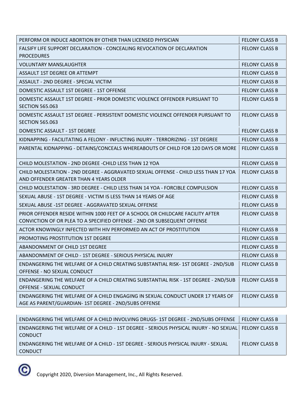| PERFORM OR INDUCE ABORTION BY OTHER THAN LICENSED PHYSICIAN                                                                                                | <b>FELONY CLASS B</b> |
|------------------------------------------------------------------------------------------------------------------------------------------------------------|-----------------------|
| FALSIFY LIFE SUPPORT DECLARATION - CONCEALING REVOCATION OF DECLARATION<br><b>PROCEDURES</b>                                                               | <b>FELONY CLASS B</b> |
| <b>VOLUNTARY MANSLAUGHTER</b>                                                                                                                              | <b>FELONY CLASS B</b> |
| ASSAULT 1ST DEGREE OR ATTEMPT                                                                                                                              | <b>FELONY CLASS B</b> |
| ASSAULT - 2ND DEGREE - SPECIAL VICTIM                                                                                                                      | <b>FELONY CLASS B</b> |
| DOMESTIC ASSAULT 1ST DEGREE - 1ST OFFENSE                                                                                                                  | <b>FELONY CLASS B</b> |
| DOMESTIC ASSAULT 1ST DEGREE - PRIOR DOMESTIC VIOLENCE OFFENDER PURSUANT TO<br><b>SECTION 565.063</b>                                                       | <b>FELONY CLASS B</b> |
| DOMESTIC ASSAULT 1ST DEGREE - PERSISTENT DOMESTIC VIOLENCE OFFENDER PURSUANT TO<br><b>SECTION 565.063</b>                                                  | <b>FELONY CLASS B</b> |
| DOMESTIC ASSAULT - 1ST DEGREE                                                                                                                              | <b>FELONY CLASS B</b> |
| KIDNAPPING - FACILITATING A FELONY - INFLICTING INJURY - TERRORIZING - 1ST DEGREE                                                                          | <b>FELONY CLASS B</b> |
| PARENTAL KIDNAPPING - DETAINS/CONCEALS WHEREABOUTS OF CHILD FOR 120 DAYS OR MORE                                                                           | <b>FELONY CLASS B</b> |
| CHILD MOLESTATION - 2ND DEGREE - CHILD LESS THAN 12 YOA                                                                                                    | <b>FELONY CLASS B</b> |
| CHILD MOLESTATION - 2ND DEGREE - AGGRAVATED SEXUAL OFFENSE - CHILD LESS THAN 17 YOA<br>AND OFFENDER GREATER THAN 4 YEARS OLDER                             | <b>FELONY CLASS B</b> |
| CHILD MOLESTATION - 3RD DEGREE - CHILD LESS THAN 14 YOA - FORCIBLE COMPULSION                                                                              | <b>FELONY CLASS B</b> |
| SEXUAL ABUSE - 1ST DEGREE - VICTIM IS LESS THAN 14 YEARS OF AGE                                                                                            | <b>FELONY CLASS B</b> |
| SEXUAL ABUSE -1ST DEGREE - AGGRAVATED SEXUAL OFFENSE                                                                                                       | <b>FELONY CLASS B</b> |
| PRIOR OFFENDER RESIDE WITHIN 1000 FEET OF A SCHOOL OR CHILDCARE FACILITY AFTER<br>CONVICTION OF OR PLEA TO A SPECIFIED OFFENSE - 2ND OR SUBSEQUENT OFFENSE | <b>FELONY CLASS B</b> |
| ACTOR KNOWINGLY INFECTED WITH HIV PERFORMED AN ACT OF PROSTITUTION                                                                                         | <b>FELONY CLASS B</b> |
| PROMOTING PROSTITUTION 1ST DEGREE                                                                                                                          | <b>FELONY CLASS B</b> |
| ABANDONMENT OF CHILD 1ST DEGREE                                                                                                                            | <b>FELONY CLASS B</b> |
| ABANDONMENT OF CHILD - 1ST DEGREE - SERIOUS PHYSICAL INJURY                                                                                                | <b>FELONY CLASS B</b> |
| ENDANGERING THE WELFARE OF A CHILD CREATING SUBSTANTIAL RISK- 1ST DEGREE - 2ND/SUB<br>OFFENSE - NO SEXUAL CONDUCT                                          | <b>FELONY CLASS B</b> |
| ENDANGERING THE WELFARE OF A CHILD CREATING SUBSTANTIAL RISK - 1ST DEGREE - 2ND/SUB<br>OFFENSE - SEXUAL CONDUCT                                            | <b>FELONY CLASS B</b> |
| ENDANGERING THE WELFARE OF A CHILD ENGAGING IN SEXUAL CONDUCT UNDER 17 YEARS OF<br>AGE AS PARENT/GUARDIAN- 1ST DEGREE - 2ND/SUBS OFFENSE                   | <b>FELONY CLASS B</b> |

| ENDANGERING THE WELFARE OF A CHILD INVOLVING DRUGS-1ST DEGREE - 2ND/SUBS OFFENSE                       | <b>FELONY CLASS B</b> |
|--------------------------------------------------------------------------------------------------------|-----------------------|
| ENDANGERING THE WELFARE OF A CHILD - 1ST DEGREE - SERIOUS PHYSICAL INJURY - NO SEXUAL   FELONY CLASS B |                       |
| <b>CONDUCT</b>                                                                                         |                       |
| ENDANGERING THE WELFARE OF A CHILD - 1ST DEGREE - SERIOUS PHYSICAL INJURY - SEXUAL                     | <b>FELONY CLASS B</b> |
| <b>CONDUCT</b>                                                                                         |                       |

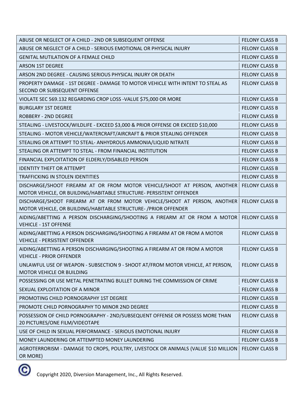| ABUSE OR NEGLECT OF A CHILD - 2ND OR SUBSEQUENT OFFENSE                                                                                          | <b>FELONY CLASS B</b> |
|--------------------------------------------------------------------------------------------------------------------------------------------------|-----------------------|
| ABUSE OR NEGLECT OF A CHILD - SERIOUS EMOTIONAL OR PHYSICAL INJURY                                                                               | <b>FELONY CLASS B</b> |
| <b>GENITAL MUTILATION OF A FEMALE CHILD</b>                                                                                                      | <b>FELONY CLASS B</b> |
| <b>ARSON 1ST DEGREE</b>                                                                                                                          | <b>FELONY CLASS B</b> |
| ARSON 2ND DEGREE - CAUSING SERIOUS PHYSICAL INJURY OR DEATH                                                                                      | <b>FELONY CLASS B</b> |
| PROPERTY DAMAGE - 1ST DEGREE - DAMAGE TO MOTOR VEHICLE WITH INTENT TO STEAL AS<br>SECOND OR SUBSEQUENT OFFENSE                                   | <b>FELONY CLASS B</b> |
| VIOLATE SEC 569.132 REGARDING CROP LOSS - VALUE \$75,000 OR MORE                                                                                 | <b>FELONY CLASS B</b> |
| <b>BURGLARY 1ST DEGREE</b>                                                                                                                       | <b>FELONY CLASS B</b> |
| <b>ROBBERY - 2ND DEGREE</b>                                                                                                                      | <b>FELONY CLASS B</b> |
| STEALING - LIVESTOCK/WILDLIFE - EXCEED \$3,000 & PRIOR OFFENSE OR EXCEED \$10,000                                                                | <b>FELONY CLASS B</b> |
| STEALING - MOTOR VEHICLE/WATERCRAFT/AIRCRAFT & PRIOR STEALING OFFENDER                                                                           | <b>FELONY CLASS B</b> |
| STEALING OR ATTEMPT TO STEAL- ANHYDROUS AMMONIA/LIQUID NITRATE                                                                                   | <b>FELONY CLASS B</b> |
| STEALING OR ATTEMPT TO STEAL - FROM FINANCIAL INSTITUTION                                                                                        | <b>FELONY CLASS B</b> |
| FINANCIAL EXPLOITATION OF ELDERLY/DISABLED PERSON                                                                                                | <b>FELONY CLASS B</b> |
| <b>IDENTITY THEFT OR ATTEMPT</b>                                                                                                                 | <b>FELONY CLASS B</b> |
| <b>TRAFFICKING IN STOLEN IDENTITIES</b>                                                                                                          | <b>FELONY CLASS B</b> |
| DISCHARGE/SHOOT FIREARM AT OR FROM MOTOR VEHICLE/SHOOT AT PERSON, ANOTHER<br>MOTOR VEHICLE, OR BUILDING/HABITABLE STRUCTURE- PERSISTENT OFFENDER | <b>FELONY CLASS B</b> |
| DISCHARGE/SHOOT FIREARM AT OR FROM MOTOR VEHICLE/SHOOT AT PERSON, ANOTHER<br>MOTOR VEHICLE, OR BUILDING/HABITABLE STRUCTURE- / PRIOR OFFENDER    | <b>FELONY CLASS B</b> |
| AIDING/ABETTING A PERSON DISCHARGING/SHOOTING A FIREARM AT OR FROM A MOTOR<br><b>VEHICLE - 1ST OFFENSE</b>                                       | <b>FELONY CLASS B</b> |
| AIDING/ABETTING A PERSON DISCHARGING/SHOOTING A FIREARM AT OR FROM A MOTOR<br><b>VEHICLE - PERSISTENT OFFENDER</b>                               | <b>FELONY CLASS B</b> |
| AIDING/ABETTING A PERSON DISCHARGING/SHOOTING A FIREARM AT OR FROM A MOTOR<br><b>VEHICLE - PRIOR OFFENDER</b>                                    | <b>FELONY CLASS B</b> |
| UNLAWFUL USE OF WEAPON - SUBSECTION 9 - SHOOT AT/FROM MOTOR VEHICLE, AT PERSON,<br><b>MOTOR VEHICLE OR BUILDING</b>                              | <b>FELONY CLASS B</b> |
| POSSESSING OR USE METAL PENETRATING BULLET DURING THE COMMISSION OF CRIME                                                                        | <b>FELONY CLASS B</b> |
| SEXUAL EXPLOITATION OF A MINOR                                                                                                                   | <b>FELONY CLASS B</b> |
| PROMOTING CHILD PORNOGRAPHY 1ST DEGREE                                                                                                           | <b>FELONY CLASS B</b> |
| PROMOTE CHILD PORNOGRAPHY TO MINOR 2ND DEGREE                                                                                                    | <b>FELONY CLASS B</b> |
| POSSESSION OF CHILD PORNOGRAPHY - 2ND/SUBSEQUENT OFFENSE OR POSSESS MORE THAN<br>20 PICTURES/ONE FILM/VIDEOTAPE                                  | <b>FELONY CLASS B</b> |
| USE OF CHILD IN SEXUAL PERFORMANCE - SERIOUS EMOTIONAL INJURY                                                                                    | <b>FELONY CLASS B</b> |
| MONEY LAUNDERING OR ATTEMPTED MONEY LAUNDERING                                                                                                   | <b>FELONY CLASS B</b> |
| AGROTERRORISM - DAMAGE TO CROPS, POULTRY, LIVESTOCK OR ANIMALS (VALUE \$10 MILLION<br>OR MORE)                                                   | <b>FELONY CLASS B</b> |
|                                                                                                                                                  |                       |

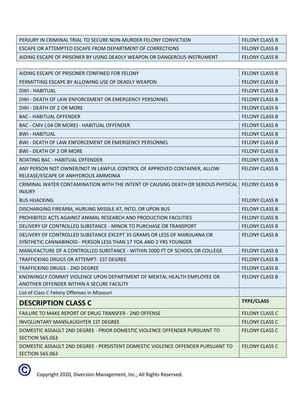| PERJURY IN CRIMINAL TRIAL TO SECURE NON-MURDER FELONY CONVICTION                  | <b>FELONY CLASS B</b> |
|-----------------------------------------------------------------------------------|-----------------------|
| ESCAPE OR ATTEMPTED ESCAPE FROM DEPARTMENT OF CORRECTIONS                         | <b>FELONY CLASS B</b> |
| AIDING ESCAPE OF PRISONER BY USING DEADLY WEAPON OR DANGEROUS INSTRUMENT          | <b>FELONY CLASS B</b> |
|                                                                                   |                       |
| AIDING ESCAPE OF PRISONER CONFINED FOR FELONY                                     | <b>FELONY CLASS B</b> |
| PERMITTING ESCAPE BY ALLOWING USE OF DEADLY WEAPON                                | <b>FELONY CLASS B</b> |
| <b>DWI - HABITUAL</b>                                                             | <b>FELONY CLASS B</b> |
| DWI - DEATH OF LAW ENFORCEMENT OR EMERGENCY PERSONNEL                             | <b>FELONY CLASS B</b> |
| DWI - DEATH OF 2 OR MORE                                                          | <b>FELONY CLASS B</b> |
| <b>BAC - HABITUAL OFFENDER</b>                                                    | <b>FELONY CLASS B</b> |
| BAC - CMV (.04 OR MORE) - HABITUAL OFFENDER                                       | <b>FELONY CLASS B</b> |
| <b>BWI-HABITUAL</b>                                                               | <b>FELONY CLASS B</b> |
| <b>BWI - DEATH OF LAW ENFORCEMENT OR EMERGENCY PERSONNEL</b>                      | <b>FELONY CLASS B</b> |
| <b>BWI - DEATH OF 2 OR MORE</b>                                                   | <b>FELONY CLASS B</b> |
| <b>BOATING BAC - HABITUAL OFFENDER</b>                                            | <b>FELONY CLASS B</b> |
| ANY PERSON NOT OWNER/NOT IN LAWFUL CONTROL OF APPROVED CONTAINER, ALLOW           | <b>FELONY CLASS B</b> |
| RELEASE/ESCAPE OF ANHYDROUS AMMONIA                                               |                       |
| CRIMINAL WATER CONTAMINATION WITH THE INTENT OF CAUSING DEATH OR SERIOUS PHYSICAL | <b>FELONY CLASS B</b> |
| <b>INJURY</b>                                                                     |                       |
| <b>BUS HIJACKING</b>                                                              | <b>FELONY CLASS B</b> |
| DISCHARGING FIREARM, HURLING MISSILE AT, INTO, OR UPON BUS                        | <b>FELONY CLASS B</b> |
| PROHIBITED ACTS AGAINST ANIMAL RESEARCH AND PRODUCTION FACILITIES                 | <b>FELONY CLASS B</b> |
| DELIVERY OF CONTROLLED SUBSTANCE - MINOR TO PURCHASE OR TRANSPORT                 | <b>FELONY CLASS B</b> |
| DELIVERY OF CONTROLLED SUBSTANCE EXCEPT 35 GRAMS OR LESS OF MARIJUANA OR          | <b>FELONY CLASS B</b> |
| SYNTHETIC CANNABINOID - PERSON LESS THAN 17 YOA AND 2 YRS YOUNGER                 |                       |
| MANUFACTURE OF A CONTROLLED SUBSTANCE - WITHIN 2000 FT OF SCHOOL OR COLLEGE       | <b>FELONY CLASS B</b> |
| TRAFFICKING DRUGS OR ATTEMPT- 1ST DEGREE                                          | <b>FELONY CLASS B</b> |
| <b>TRAFFICKING DRUGS - 2ND DEGREE</b>                                             | <b>FELONY CLASS B</b> |
| KNOWINGLY COMMIT VIOLENCE UPON DEPARTMENT OF MENTAL HEALTH EMPLOYEE OR            | <b>FELONY CLASS B</b> |
| ANOTHER OFFENDER WITHIN A SECURE FACILITY                                         |                       |
| List of Class C Felony Offenses in Missouri                                       |                       |
| <b>DESCRIPTION CLASS C</b>                                                        | <b>TYPE/CLASS</b>     |
| <b>FAILURE TO MAKE REPORT OF DRUG TRANSFER - 2ND OFFENSE</b>                      | <b>FELONY CLASS C</b> |
| <b>INVOLUNTARY MANSLAUGHTER 1ST DEGREE</b>                                        | <b>FELONY CLASS C</b> |
| DOMESTIC ASSAULT 2ND DEGREE - PRIOR DOMESTIC VIOLENCE OFFENDER PURSUANT TO        | <b>FELONY CLASS C</b> |
| <b>SECTION 565.063</b>                                                            |                       |
| DOMESTIC ASSAULT 2ND DEGREE - PERSISTENT DOMESTIC VIOLENCE OFFENDER PURSUANT TO   | <b>FELONY CLASS C</b> |
| <b>SECTION 565.063</b>                                                            |                       |

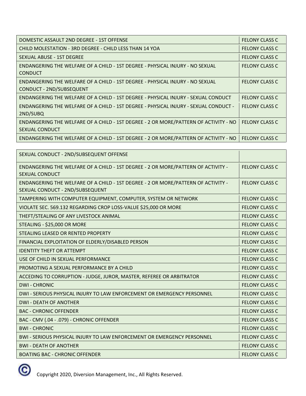| DOMESTIC ASSAULT 2ND DEGREE - 1ST OFFENSE                                                                     | <b>FELONY CLASS C</b> |
|---------------------------------------------------------------------------------------------------------------|-----------------------|
| CHILD MOLESTATION - 3RD DEGREE - CHILD LESS THAN 14 YOA                                                       | <b>FELONY CLASS C</b> |
| SEXUAL ABUSE - 1ST DEGREE                                                                                     | <b>FELONY CLASS C</b> |
| ENDANGERING THE WELFARE OF A CHILD - 1ST DEGREE - PHYSICAL INJURY - NO SEXUAL<br><b>CONDUCT</b>               | <b>FELONY CLASS C</b> |
| ENDANGERING THE WELFARE OF A CHILD - 1ST DEGREE - PHYSICAL INJURY - NO SEXUAL<br>CONDUCT - 2ND/SUBSEQUENT     | <b>FELONY CLASS C</b> |
| ENDANGERING THE WELFARE OF A CHILD - 1ST DEGREE - PHYSICAL INJURY - SEXUAL CONDUCT                            | <b>FELONY CLASS C</b> |
| ENDANGERING THE WELFARE OF A CHILD - 1ST DEGREE - PHYSICAL INJURY - SEXUAL CONDUCT -<br>2ND/SUBQ              | <b>FELONY CLASS C</b> |
| ENDANGERING THE WELFARE OF A CHILD - 1ST DEGREE - 2 OR MORE/PATTERN OF ACTIVITY - NO<br><b>SEXUAL CONDUCT</b> | <b>FELONY CLASS C</b> |
| ENDANGERING THE WELFARE OF A CHILD - 1ST DEGREE - 2 OR MORE/PATTERN OF ACTIVITY - NO                          | <b>FELONY CLASS C</b> |

| SEXUAL CONDUCT - 2ND/SUBSEQUENT OFFENSE                                                                              |                       |
|----------------------------------------------------------------------------------------------------------------------|-----------------------|
| ENDANGERING THE WELFARE OF A CHILD - 1ST DEGREE - 2 OR MORE/PATTERN OF ACTIVITY -<br><b>SEXUAL CONDUCT</b>           | <b>FELONY CLASS C</b> |
| ENDANGERING THE WELFARE OF A CHILD - 1ST DEGREE - 2 OR MORE/PATTERN OF ACTIVITY -<br>SEXUAL CONDUCT - 2ND/SUBSEQUENT | <b>FELONY CLASS C</b> |
| TAMPERING WITH COMPUTER EQUIPMENT, COMPUTER, SYSTEM OR NETWORK                                                       | <b>FELONY CLASS C</b> |
| VIOLATE SEC. 569.132 REGARDING CROP LOSS-VALUE \$25,000 OR MORE                                                      | <b>FELONY CLASS C</b> |
| THEFT/STEALING OF ANY LIVESTOCK ANIMAL                                                                               | <b>FELONY CLASS C</b> |
| STEALING - \$25,000 OR MORE                                                                                          | <b>FELONY CLASS C</b> |
| STEALING LEASED OR RENTED PROPERTY                                                                                   | <b>FELONY CLASS C</b> |
| FINANCIAL EXPLOITATION OF ELDERLY/DISABLED PERSON                                                                    | <b>FELONY CLASS C</b> |
| <b>IDENTITY THEFT OR ATTEMPT</b>                                                                                     | <b>FELONY CLASS C</b> |
| USE OF CHILD IN SEXUAL PERFORMANCE                                                                                   | <b>FELONY CLASS C</b> |
| PROMOTING A SEXUAL PERFORMANCE BY A CHILD                                                                            | <b>FELONY CLASS C</b> |
| ACCEDING TO CORRUPTION - JUDGE, JUROR, MASTER, REFEREE OR ARBITRATOR                                                 | <b>FELONY CLASS C</b> |
| <b>DWI-CHRONIC</b>                                                                                                   | <b>FELONY CLASS C</b> |
| DWI - SERIOUS PHYSICAL INJURY TO LAW ENFORCEMENT OR EMERGENCY PERSONNEL                                              | <b>FELONY CLASS C</b> |
| <b>DWI - DEATH OF ANOTHER</b>                                                                                        | <b>FELONY CLASS C</b> |
| <b>BAC - CHRONIC OFFENDER</b>                                                                                        | <b>FELONY CLASS C</b> |
| BAC - CMV (.04 - .079) - CHRONIC OFFENDER                                                                            | <b>FELONY CLASS C</b> |
| <b>BWI-CHRONIC</b>                                                                                                   | <b>FELONY CLASS C</b> |
| BWI - SERIOUS PHYSICAL INJURY TO LAW ENFORCEMENT OR EMERGENCY PERSONNEL                                              | <b>FELONY CLASS C</b> |
| <b>BWI - DEATH OF ANOTHER</b>                                                                                        | <b>FELONY CLASS C</b> |
| <b>BOATING BAC - CHRONIC OFFENDER</b>                                                                                | <b>FELONY CLASS C</b> |

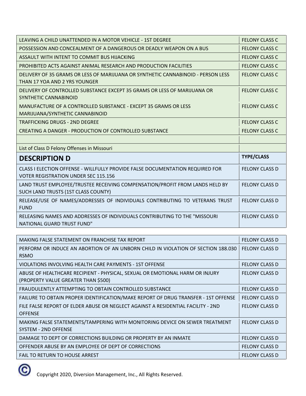| LEAVING A CHILD UNATTENDED IN A MOTOR VEHICLE - 1ST DEGREE                                                                   | <b>FELONY CLASS C</b> |
|------------------------------------------------------------------------------------------------------------------------------|-----------------------|
| POSSESSION AND CONCEALMENT OF A DANGEROUS OR DEADLY WEAPON ON A BUS                                                          | <b>FELONY CLASS C</b> |
| ASSAULT WITH INTENT TO COMMIT BUS HIJACKING                                                                                  | <b>FELONY CLASS C</b> |
| PROHIBITED ACTS AGAINST ANIMAL RESEARCH AND PRODUCTION FACILITIES                                                            | <b>FELONY CLASS C</b> |
| DELIVERY OF 35 GRAMS OR LESS OF MARIJUANA OR SYNTHETIC CANNABINOID - PERSON LESS<br>THAN 17 YOA AND 2 YRS YOUNGER            | <b>FELONY CLASS C</b> |
| DELIVERY OF CONTROLLED SUBSTANCE EXCEPT 35 GRAMS OR LESS OF MARIJUANA OR<br>SYNTHETIC CANNABINOID                            | <b>FELONY CLASS C</b> |
| MANUFACTURE OF A CONTROLLED SUBSTANCE - EXCEPT 35 GRAMS OR LESS<br>MARIJUANA/SYNTHETIC CANNABINOID                           | <b>FELONY CLASS C</b> |
| <b>TRAFFICKING DRUGS - 2ND DEGREE</b>                                                                                        | <b>FELONY CLASS C</b> |
| CREATING A DANGER - PRODUCTION OF CONTROLLED SUBSTANCE                                                                       | <b>FELONY CLASS C</b> |
|                                                                                                                              |                       |
| List of Class D Felony Offenses in Missouri                                                                                  |                       |
| <b>DESCRIPTION D</b>                                                                                                         | <b>TYPE/CLASS</b>     |
| CLASS I ELECTION OFFENSE - WILLFULLY PROVIDE FALSE DOCUMENTATION REQUIRED FOR<br><b>VOTER REGISTRATION UNDER SEC 115.156</b> | <b>FELONY CLASS D</b> |
| LAND TRUST EMPLOYEE/TRUSTEE RECEIVING COMPENSATION/PROFIT FROM LANDS HELD BY<br>SUCH LAND TRUSTS (1ST CLASS COUNTY)          | <b>FELONY CLASS D</b> |
| RELEASE/USE OF NAMES/ADDRESSES OF INDIVIDUALS CONTRIBUTING TO VETERANS TRUST<br><b>FUND</b>                                  | <b>FELONY CLASS D</b> |
| RELEASING NAMES AND ADDRESSES OF INDIVIDUALS CONTRIBUTING TO THE "MISSOURI<br>NATIONAL GUARD TRUST FUND"                     | <b>FELONY CLASS D</b> |

| MAKING FALSE STATEMENT ON FRANCHISE TAX REPORT                                     | <b>FELONY CLASS D</b> |
|------------------------------------------------------------------------------------|-----------------------|
| PERFORM OR INDUCE AN ABORTION OF AN UNBORN CHILD IN VIOLATION OF SECTION 188.030   | <b>FELONY CLASS D</b> |
| <b>RSMO</b>                                                                        |                       |
| VIOLATIONS INVOLVING HEALTH CARE PAYMENTS - 1ST OFFENSE                            | <b>FELONY CLASS D</b> |
| ABUSE OF HEALTHCARE RECIPIENT - PHYSICAL, SEXUAL OR EMOTIONAL HARM OR INJURY       | <b>FELONY CLASS D</b> |
| (PROPERTY VALUE GREATER THAN \$500)                                                |                       |
| FRAUDULENTLY ATTEMPTING TO OBTAIN CONTROLLED SUBSTANCE                             | <b>FELONY CLASS D</b> |
| FAILURE TO OBTAIN PROPER IDENTIFICATION/MAKE REPORT OF DRUG TRANSFER - 1ST OFFENSE | <b>FELONY CLASS D</b> |
| FILE FALSE REPORT OF ELDER ABUSE OR NEGLECT AGAINST A RESIDENTIAL FACILITY - 2ND   | <b>FELONY CLASS D</b> |
| <b>OFFENSE</b>                                                                     |                       |
| MAKING FALSE STATEMENTS/TAMPERING WITH MONITORING DEVICE ON SEWER TREATMENT        | <b>FELONY CLASS D</b> |
| <b>SYSTEM - 2ND OFFENSE</b>                                                        |                       |
| DAMAGE TO DEPT OF CORRECTIONS BUILDING OR PROPERTY BY AN INMATE                    | <b>FELONY CLASS D</b> |
| OFFENDER ABUSE BY AN EMPLOYEE OF DEPT OF CORRECTIONS                               | <b>FELONY CLASS D</b> |
| <b>FAIL TO RETURN TO HOUSE ARREST</b>                                              | <b>FELONY CLASS D</b> |

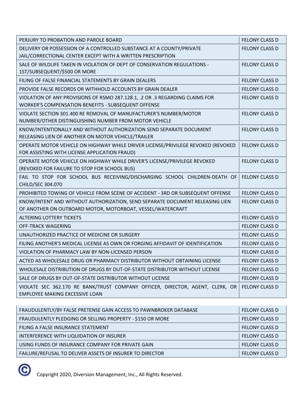| PERJURY TO PROBATION AND PAROLE BOARD                                                                                                      | <b>FELONY CLASS D</b> |
|--------------------------------------------------------------------------------------------------------------------------------------------|-----------------------|
| DELIVERY OR POSSESSION OF A CONTROLLED SUBSTANCE AT A COUNTY/PRIVATE<br>JAIL/CORRECTIONAL CENTER EXCEPT WITH A WRITTEN PRESCRIPTION        | <b>FELONY CLASS D</b> |
| SALE OF WILDLIFE TAKEN IN VIOLATION OF DEPT OF CONSERVATION REGULATIONS -<br>1ST/SUBSEQUENT/\$500 OR MORE                                  | <b>FELONY CLASS D</b> |
| FILING OF FALSE FINANCIAL STATEMENTS BY GRAIN DEALERS                                                                                      | <b>FELONY CLASS D</b> |
| PROVIDE FALSE RECORDS OR WITHHOLD ACCOUNTS BY GRAIN DEALER                                                                                 | <b>FELONY CLASS D</b> |
| VIOLATION OF ANY PROVISIONS OF RSMO 287.128.1, .2 OR .3 REGARDING CLAIMS FOR<br><b>WORKER'S COMPENSATION BENEFITS - SUBSEQUENT OFFENSE</b> | <b>FELONY CLASS D</b> |
| VIOLATE SECTION 301.400 RE REMOVAL OF MANUFACTURER'S NUMBER/MOTOR<br>NUMBER/OTHER DISTINGUISHING NUMBER FROM MOTOR VEHICLE                 | <b>FELONY CLASS D</b> |
| KNOW/INTENTIONALLY AND WITHOUT AUTHORIZATION SEND SEPARATE DOCUMENT<br>RELEASING LIEN OF ANOTHER ON MOTOR VEHICLE/TRAILER                  | <b>FELONY CLASS D</b> |
| OPERATE MOTOR VEHICLE ON HIGHWAY WHILE DRIVER LICENSE/PRIVILEGE REVOKED (REVOKED<br>FOR ASSISTING WITH LICENSE APPLICATION FRAUD)          | <b>FELONY CLASS D</b> |
| OPERATE MOTOR VEHICLE ON HIGHWAY WHILE DRIVER'S LICENSE/PRIVILEGE REVOKED<br>(REVOKED FOR FAILURE TO STOP FOR SCHOOL BUS)                  | <b>FELONY CLASS D</b> |
| FAIL TO STOP FOR SCHOOL BUS RECEIVING/DISCHARGING SCHOOL CHILDREN-DEATH OF<br>CHILD/SEC 304.070                                            | <b>FELONY CLASS D</b> |
| PROHIBITED TOWING OF VEHICLE FROM SCENE OF ACCIDENT - 3RD OR SUBSEQUENT OFFENSE                                                            | <b>FELONY CLASS D</b> |
| KNOW/INTENT AND WITHOUT AUTHORIZATION, SEND SEPARATE DOCUMENT RELEASING LIEN<br>OF ANOTHER ON OUTBOARD MOTOR, MOTORBOAT, VESSEL/WATERCRAFT | <b>FELONY CLASS D</b> |
| <b>ALTERING LOTTERY TICKETS</b>                                                                                                            | <b>FELONY CLASS D</b> |
| <b>OFF-TRACK WAGERING</b>                                                                                                                  | <b>FELONY CLASS D</b> |
| UNAUTHORIZED PRACTICE OF MEDICINE OR SURGERY                                                                                               | <b>FELONY CLASS D</b> |
| FILING ANOTHER'S MEDICAL LICENSE AS OWN OR FORGING AFFIDAVIT OF IDENTIFICATION                                                             | <b>FELONY CLASS D</b> |
| VIOLATION OF PHARMACY LAW BY NON-LICENSED PERSON                                                                                           | <b>FELONY CLASS D</b> |
| ACTED AS WHOLESALE DRUG OR PHARMACY DISTRIBUTOR WITHOUT OBTAINING LICENSE                                                                  | <b>FELONY CLASS D</b> |
| WHOLESALE DISTRIBUTION OF DRUGS BY OUT-OF-STATE DISTRIBUTOR WITHOUT LICENSE                                                                | <b>FELONY CLASS D</b> |
| SALE OF DRUGS BY OUT-OF-STATE DISTRIBUTOR WITHOUT LICENSE                                                                                  | <b>FELONY CLASS D</b> |
| VIOLATE SEC 362.170 RE BANK/TRUST COMPANY OFFICER, DIRECTOR, AGENT, CLERK, OR<br><b>EMPLOYEE MAKING EXCESSIVE LOAN</b>                     | <b>FELONY CLASS D</b> |
|                                                                                                                                            |                       |
| FRAUDULENTLY/BY FALSE PRETENSE GAIN ACCESS TO PAWNBROKER DATABASE                                                                          | <b>FELONY CLASS D</b> |
| FRAUDULENTLY PLEDGING OR SELLING PROPERTY - \$150 OR MORE                                                                                  | <b>FELONY CLASS D</b> |
| FILING A FALSE INSURANCE STATEMENT                                                                                                         | FELONY CLASS D        |

INTERFERENCE WITH LIQUIDATION OF INSURER FELONY CLASS D USING FUNDS OF INSURANCE COMPANY FOR PRIVATE GAIN FELONY CLASS D FAILURE/REFUSAL TO DELIVER ASSETS OF INSURER TO DIRECTOR FAILURE IN THE LONY CLASS D

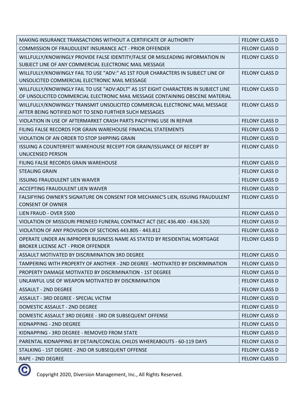| MAKING INSURANCE TRANSACTIONS WITHOUT A CERTIFICATE OF AUTHORITY                                                                   | <b>FELONY CLASS D</b> |
|------------------------------------------------------------------------------------------------------------------------------------|-----------------------|
| COMMISSION OF FRAUDULENT INSURANCE ACT - PRIOR OFFENDER                                                                            | <b>FELONY CLASS D</b> |
| WILLFULLY/KNOWINGLY PROVIDE FALSE IDENTITY/FALSE OR MISLEADING INFORMATION IN                                                      | <b>FELONY CLASS D</b> |
| SUBJECT LINE OF ANY COMMERCIAL ELECTRONIC MAIL MESSAGE                                                                             |                       |
| WILLFULLY/KNOWINGLY FAIL TO USE "ADV:" AS 1ST FOUR CHARACTERS IN SUBJECT LINE OF<br>UNSOLICITED COMMERCIAL ELECTRONIC MAIL MESSAGE | <b>FELONY CLASS D</b> |
| WILLFULLY/KNOWINGLY FAIL TO USE "ADV:ADLT" AS 1ST EIGHT CHARACTERS IN SUBJECT LINE                                                 | <b>FELONY CLASS D</b> |
| OF UNSOLICITED COMMERCIAL ELECTRONIC MAIL MESSAGE CONTAINING OBSCENE MATERIAL                                                      |                       |
| WILLFULLY/KNOWINGLY TRANSMIT UNSOLICITED COMMERCIAL ELECTRONIC MAIL MESSAGE                                                        | <b>FELONY CLASS D</b> |
| AFTER BEING NOTIFIED NOT TO SEND FURTHER SUCH MESSAGES                                                                             |                       |
| VIOLATION IN USE OF AFTERMARKET CRASH PARTS PACIFYING USE IN REPAIR                                                                | <b>FELONY CLASS D</b> |
| FILING FALSE RECORDS FOR GRAIN WAREHOUSE FINANCIAL STATEMENTS                                                                      | <b>FELONY CLASS D</b> |
| VIOLATION OF AN ORDER TO STOP SHIPPING GRAIN                                                                                       | <b>FELONY CLASS D</b> |
| ISSUING A COUNTERFEIT WAREHOUSE RECEIPT FOR GRAIN/ISSUANCE OF RECEIPT BY<br>UNLICENSED PERSON                                      | <b>FELONY CLASS D</b> |
| FILING FALSE RECORDS GRAIN WAREHOUSE                                                                                               | <b>FELONY CLASS D</b> |
| <b>STEALING GRAIN</b>                                                                                                              | <b>FELONY CLASS D</b> |
| <b>ISSUING FRAUDULENT LIEN WAIVER</b>                                                                                              | <b>FELONY CLASS D</b> |
| ACCEPTING FRAUDULENT LIEN WAIVER                                                                                                   | <b>FELONY CLASS D</b> |
| FALSIFYING OWNER'S SIGNATURE ON CONSENT FOR MECHANIC'S LIEN, ISSUING FRAUDULENT<br><b>CONSENT OF OWNER</b>                         | <b>FELONY CLASS D</b> |
| LIEN FRAUD - OVER \$500                                                                                                            | <b>FELONY CLASS D</b> |
| VIOLATION OF MISSOURI PRENEED FUNERAL CONTRACT ACT (SEC 436.400 - 436.520)                                                         | <b>FELONY CLASS D</b> |
| VIOLATION OF ANY PROVISION OF SECTIONS 443.805 - 443.812                                                                           | <b>FELONY CLASS D</b> |
| OPERATE UNDER AN IMPROPER BUSINESS NAME AS STATED BY RESIDENTIAL MORTGAGE<br><b>BROKER LICENSE ACT - PRIOR OFFENDER</b>            | <b>FELONY CLASS D</b> |
| ASSAULT MOTIVATED BY DISCRIMINATION 3RD DEGREE                                                                                     | <b>FELONY CLASS D</b> |
| TAMPERING WITH PROPERTY OF ANOTHER - 2ND DEGREE - MOTIVATED BY DISCRIMINATION                                                      | <b>FELONY CLASS D</b> |
| <b>PROPERTY DAMAGE MOTIVATED BY DISCRIMINATION - 1ST DEGREE</b>                                                                    | <b>FELONY CLASS D</b> |
| UNLAWFUL USE OF WEAPON MOTIVATED BY DISCRIMINATION                                                                                 | <b>FELONY CLASS D</b> |
| <b>ASSAULT - 2ND DEGREE</b>                                                                                                        | <b>FELONY CLASS D</b> |
| ASSAULT - 3RD DEGREE - SPECIAL VICTIM                                                                                              | <b>FELONY CLASS D</b> |
| DOMESTIC ASSAULT - 2ND DEGREE                                                                                                      | <b>FELONY CLASS D</b> |
| DOMESTIC ASSAULT 3RD DEGREE - 3RD OR SUBSEQUENT OFFENSE                                                                            | <b>FELONY CLASS D</b> |
| KIDNAPPING - 2ND DEGREE                                                                                                            | <b>FELONY CLASS D</b> |
| KIDNAPPING - 3RD DEGREE - REMOVED FROM STATE                                                                                       | <b>FELONY CLASS D</b> |
| PARENTAL KIDNAPPING BY DETAIN/CONCEAL CHILDS WHEREABOUTS - 60-119 DAYS                                                             | <b>FELONY CLASS D</b> |
| STALKING - 1ST DEGREE - 2ND OR SUBSEQUENT OFFENSE                                                                                  | <b>FELONY CLASS D</b> |
| RAPE - 2ND DEGREE                                                                                                                  | <b>FELONY CLASS D</b> |
|                                                                                                                                    |                       |

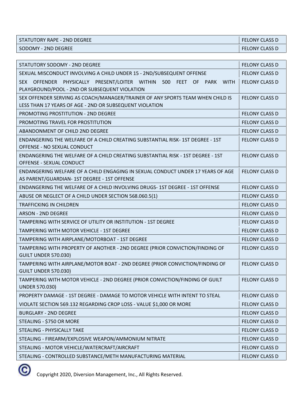| STATUTORY RAPE - 2ND DEGREE | <b>FELONY CLASS D</b> |
|-----------------------------|-----------------------|
| l SODOMY - 2ND DEGREE       | <b>FELONY CLASS D</b> |

| <b>FELONY CLASS D</b> |
|-----------------------|
| <b>FELONY CLASS D</b> |
| <b>FELONY CLASS D</b> |
| <b>FELONY CLASS D</b> |
| <b>FELONY CLASS D</b> |
| <b>FELONY CLASS D</b> |
| <b>FELONY CLASS D</b> |
| <b>FELONY CLASS D</b> |
| <b>FELONY CLASS D</b> |
| <b>FELONY CLASS D</b> |
| <b>FELONY CLASS D</b> |
| <b>FELONY CLASS D</b> |
| <b>FELONY CLASS D</b> |
| <b>FELONY CLASS D</b> |
| <b>FELONY CLASS D</b> |
| <b>FELONY CLASS D</b> |
| <b>FELONY CLASS D</b> |
| <b>FELONY CLASS D</b> |
| <b>FELONY CLASS D</b> |
| <b>FELONY CLASS D</b> |
| <b>FELONY CLASS D</b> |
| FELONY CLASS D        |
| <b>FELONY CLASS D</b> |
| <b>FELONY CLASS D</b> |
| <b>FELONY CLASS D</b> |
| FELONY CLASS D        |
| <b>FELONY CLASS D</b> |
| FELONY CLASS D        |
|                       |

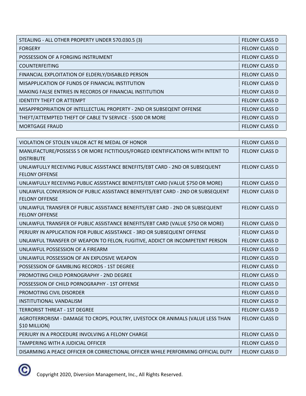| STEALING - ALL OTHER PROPERTY UNDER 570.030.5 (3)                    | <b>FELONY CLASS D</b> |
|----------------------------------------------------------------------|-----------------------|
| <b>FORGERY</b>                                                       | <b>FELONY CLASS D</b> |
| POSSESSION OF A FORGING INSTRUMENT                                   | <b>FELONY CLASS D</b> |
| <b>COUNTERFEITING</b>                                                | <b>FELONY CLASS D</b> |
| FINANCIAL EXPLOITATION OF ELDERLY/DISABLED PERSON                    | <b>FELONY CLASS D</b> |
| MISAPPLICATION OF FUNDS OF FINANCIAL INSTITUTION                     | <b>FELONY CLASS D</b> |
| MAKING FALSE ENTRIES IN RECORDS OF FINANCIAL INSTITUTION             | <b>FELONY CLASS D</b> |
| <b>IDENTITY THEFT OR ATTEMPT</b>                                     | <b>FELONY CLASS D</b> |
| MISAPPROPRIATION OF INTELLECTUAL PROPERTY - 2ND OR SUBSEQENT OFFENSE | <b>FELONY CLASS D</b> |
| THEFT/ATTEMPTED THEFT OF CABLE TV SERVICE - \$500 OR MORE            | <b>FELONY CLASS D</b> |
| <b>MORTGAGE FRAUD</b>                                                | <b>FELONY CLASS D</b> |

| VIOLATION OF STOLEN VALOR ACT RE MEDAL OF HONOR                                                         | <b>FELONY CLASS D</b> |
|---------------------------------------------------------------------------------------------------------|-----------------------|
| MANUFACTURE/POSSESS 5 OR MORE FICTITIOUS/FORGED IDENTIFICATIONS WITH INTENT TO<br><b>DISTRIBUTE</b>     | <b>FELONY CLASS D</b> |
| UNLAWFULLY RECEIVING PUBLIC ASSISTANCE BENEFITS/EBT CARD - 2ND OR SUBSEQUENT<br><b>FELONY OFFENSE</b>   | <b>FELONY CLASS D</b> |
| UNLAWFULLY RECEIVING PUBLIC ASSISTANCE BENEFITS/EBT CARD (VALUE \$750 OR MORE)                          | <b>FELONY CLASS D</b> |
| UNLAWFUL CONVERSION OF PUBLIC ASSISTANCE BENEFITS/EBT CARD - 2ND OR SUBSEQUENT<br><b>FELONY OFFENSE</b> | <b>FELONY CLASS D</b> |
| UNLAWFUL TRANSFER OF PUBLIC ASSISTANCE BENEFITS/EBT CARD - 2ND OR SUBSEQUENT<br><b>FELONY OFFENSE</b>   | <b>FELONY CLASS D</b> |
| UNLAWFUL TRANSFER OF PUBLIC ASSISTANCE BENEFITS/EBT CARD (VALUE \$750 OR MORE)                          | <b>FELONY CLASS D</b> |
| PERJURY IN APPLICATION FOR PUBLIC ASSISTANCE - 3RD OR SUBSEQUENT OFFENSE                                | <b>FELONY CLASS D</b> |
| UNLAWFUL TRANSFER OF WEAPON TO FELON, FUGITIVE, ADDICT OR INCOMPETENT PERSON                            | <b>FELONY CLASS D</b> |
| UNLAWFUL POSSESSION OF A FIREARM                                                                        | <b>FELONY CLASS D</b> |
| UNLAWFUL POSSESSION OF AN EXPLOSIVE WEAPON                                                              | <b>FELONY CLASS D</b> |
| POSSESSION OF GAMBLING RECORDS - 1ST DEGREE                                                             | <b>FELONY CLASS D</b> |
| PROMOTING CHILD PORNOGRAPHY - 2ND DEGREE                                                                | <b>FELONY CLASS D</b> |
| POSSESSION OF CHILD PORNOGRAPHY - 1ST OFFENSE                                                           | <b>FELONY CLASS D</b> |
| PROMOTING CIVIL DISORDER                                                                                | <b>FELONY CLASS D</b> |
| <b>INSTITUTIONAL VANDALISM</b>                                                                          | <b>FELONY CLASS D</b> |
| <b>TERRORIST THREAT - 1ST DEGREE</b>                                                                    | <b>FELONY CLASS D</b> |
| AGROTERRORISM - DAMAGE TO CROPS, POULTRY, LIVESTOCK OR ANIMALS (VALUE LESS THAN<br>\$10 MILLION)        | <b>FELONY CLASS D</b> |
| PERJURY IN A PROCEDURE INVOLVING A FELONY CHARGE                                                        | <b>FELONY CLASS D</b> |
| <b>TAMPERING WITH A JUDICIAL OFFICER</b>                                                                | <b>FELONY CLASS D</b> |
| DISARMING A PEACE OFFICER OR CORRECTIONAL OFFICER WHILE PERFORMING OFFICIAL DUTY                        | <b>FELONY CLASS D</b> |

 $\circledcirc$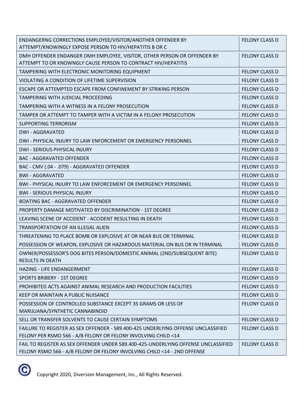| ENDANGERNG CORRECTIONS EMPLOYEE/VISITOR/ANOTHER OFFENDER BY<br>ATTEMPT/KNOWINGLY EXPOSE PERSON TO HIV/HEPATITIS B OR C                                         | <b>FELONY CLASS D</b> |
|----------------------------------------------------------------------------------------------------------------------------------------------------------------|-----------------------|
| DMH OFFENDER ENDANGER DMH EMPLOYEE, VISITOR, OTHER PERSON OR OFFENDER BY<br>ATTEMPT TO OR KNOWNGLY CAUSE PERSON TO CONTRACT HIV/HEPATITIS                      | <b>FELONY CLASS D</b> |
| TAMPERING WITH ELECTRONIC MONITORING EQUIPMENT                                                                                                                 | <b>FELONY CLASS D</b> |
| VIOLATING A CONDITION OF LIFETIME SUPERVISION                                                                                                                  | <b>FELONY CLASS D</b> |
| ESCAPE OR ATTEMPTED ESCAPE FROM CONFINEMENT BY STRIKING PERSON                                                                                                 | <b>FELONY CLASS D</b> |
| TAMPERING WITH JUDICIAL PROCEEDING                                                                                                                             | <b>FELONY CLASS D</b> |
| TAMPERING WITH A WITNESS IN A FELONY PROSECUTION                                                                                                               | <b>FELONY CLASS D</b> |
| TAMPER OR ATTEMPT TO TAMPER WITH A VICTIM IN A FELONY PROSECUTION                                                                                              | <b>FELONY CLASS D</b> |
| <b>SUPPORTING TERRORISM</b>                                                                                                                                    | <b>FELONY CLASS D</b> |
| <b>DWI - AGGRAVATED</b>                                                                                                                                        | <b>FELONY CLASS D</b> |
| DWI - PHYSICAL INJURY TO LAW ENFORCEMENT OR EMERGENCY PERSONNEL                                                                                                | <b>FELONY CLASS D</b> |
| DWI - SERIOUS PHYSICAL INJURY                                                                                                                                  | <b>FELONY CLASS D</b> |
| <b>BAC - AGGRAVATED OFFENDER</b>                                                                                                                               | <b>FELONY CLASS D</b> |
| BAC - CMV (.04 - .079) - AGGRAVATED OFFENDER                                                                                                                   | <b>FELONY CLASS D</b> |
| <b>BWI - AGGRAVATED</b>                                                                                                                                        | <b>FELONY CLASS D</b> |
| <b>BWI-PHYSICAL INJURY TO LAW ENFORCEMENT OR EMERGENCY PERSONNEL</b>                                                                                           | <b>FELONY CLASS D</b> |
| <b>BWI - SERIOUS PHYSICAL INJURY</b>                                                                                                                           | <b>FELONY CLASS D</b> |
| <b>BOATING BAC - AGGRAVATED OFFENDER</b>                                                                                                                       | <b>FELONY CLASS D</b> |
| <b>PROPERTY DAMAGE MOTIVATED BY DISCRIMINATION - 1ST DEGREE</b>                                                                                                | <b>FELONY CLASS D</b> |
| LEAVING SCENE OF ACCIDENT - ACCIDENT RESULTING IN DEATH                                                                                                        | <b>FELONY CLASS D</b> |
| <b>TRANSPORTATION OF AN ILLEGAL ALIEN</b>                                                                                                                      | <b>FELONY CLASS D</b> |
| THREATENING TO PLACE BOMB OR EXPLOSIVE AT OR NEAR BUS OR TERMINAL                                                                                              | <b>FELONY CLASS D</b> |
| POSSESSION OF WEAPON, EXPLOSIVE OR HAZARDOUS MATERIAL ON BUS OR IN TERMINAL                                                                                    | <b>FELONY CLASS D</b> |
| OWNER/POSSESSOR'S DOG BITES PERSON/DOMESTIC ANIMAL (2ND/SUBSEQUENT BITE)<br><b>RESULTS IN DEATH</b>                                                            | <b>FELONY CLASS D</b> |
| HAZING - LIFE ENDANGERMENT                                                                                                                                     | <b>FELONY CLASS D</b> |
| <b>SPORTS BRIBERY - 1ST DEGREE</b>                                                                                                                             | <b>FELONY CLASS D</b> |
| PROHIBITED ACTS AGAINST ANIMAL RESEARCH AND PRODUCTION FACILITIES                                                                                              | <b>FELONY CLASS D</b> |
| KEEP OR MAINTAIN A PUBLIC NUISANCE                                                                                                                             | <b>FELONY CLASS D</b> |
| POSSESSION OF CONTROLLED SUBSTANCE EXCEPT 35 GRAMS OR LESS OF<br>MARIJUANA/SYNTHETIC CANNABINOID                                                               | <b>FELONY CLASS D</b> |
| SELL OR TRANSFER SOLVENTS TO CAUSE CERTAIN SYMPTOMS                                                                                                            | <b>FELONY CLASS D</b> |
| FAILURE TO REGISTER AS SEX OFFENDER - 589.400-425 UNDERLYING OFFENSE UNCLASSIFIED<br>FELONY PER RSMO 566 - A/B FELONY OR FELONY INVOLVING CHILD <14            | <b>FELONY CLASS D</b> |
| FAIL TO REGISTER AS SEX OFFENDER UNDER 589.400-425-UNDERLYING OFFENSE UNCLASSIFIED<br>FELONY RSMO 566 - A/B FELONY OR FELONY INVOLVING CHILD <14 - 2ND OFFENSE | <b>FELONY CLASS D</b> |

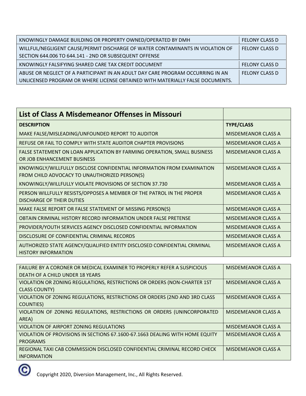| KNOWINGLY DAMAGE BUILDING OR PROPERTY OWNED/OPERATED BY DMH                    | <b>FELONY CLASS D</b> |
|--------------------------------------------------------------------------------|-----------------------|
| WILLFUL/NEGLIGENT CAUSE/PERMIT DISCHARGE OF WATER CONTAMINANTS IN VIOLATION OF | <b>FELONY CLASS D</b> |
| SECTION 644.006 TO 644.141 - 2ND OR SUBSEQUENT OFFENSE                         |                       |
| KNOWINGLY FALSIFYING SHARED CARE TAX CREDIT DOCUMENT                           | <b>FELONY CLASS D</b> |
| ABUSE OR NEGLECT OF A PARTICIPANT IN AN ADULT DAY CARE PROGRAM OCCURRING IN AN | <b>FELONY CLASS D</b> |
| UNLICENSED PROGRAM OR WHERE LICENSE OBTAINED WITH MATERIALLY FALSE DOCUMENTS.  |                       |

| List of Class A Misdemeanor Offenses in Missouri                                                                        |                            |
|-------------------------------------------------------------------------------------------------------------------------|----------------------------|
| <b>DESCRIPTION</b>                                                                                                      | <b>TYPE/CLASS</b>          |
| MAKE FALSE/MISLEADING/UNFOUNDED REPORT TO AUDITOR                                                                       | <b>MISDEMEANOR CLASS A</b> |
| REFUSE OR FAIL TO COMPLY WITH STATE AUDITOR CHAPTER PROVISIONS                                                          | MISDEMEANOR CLASS A        |
| FALSE STATEMENT ON LOAN APPLICATION BY FARMING OPERATION, SMALL BUSINESS<br>OR JOB ENHANCEMENT BUSINESS                 | <b>MISDEMEANOR CLASS A</b> |
| KNOWINGLY/WILLFULLY DISCLOSE CONFIDENTIAL INFORMATION FROM EXAMINATION<br>FROM CHILD ADVOCACY TO UNAUTHORIZED PERSON(S) | <b>MISDEMEANOR CLASS A</b> |
| KNOWINGLY/WILLFULLY VIOLATE PROVISIONS OF SECTION 37.730                                                                | MISDEMEANOR CLASS A        |
| PERSON WILLFULLY RESISTS/OPPOSES A MEMBER OF THE PATROL IN THE PROPER<br><b>DISCHARGE OF THEIR DUTIES</b>               | <b>MISDEMEANOR CLASS A</b> |
| MAKE FALSE REPORT OR FALSE STATEMENT OF MISSING PERSON(S)                                                               | <b>MISDEMEANOR CLASS A</b> |
| OBTAIN CRIMINAL HISTORY RECORD INFORMATION UNDER FALSE PRETENSE                                                         | <b>MISDEMEANOR CLASS A</b> |
| PROVIDER/YOUTH SERVICES AGENCY DISCLOSED CONFIDENTIAL INFORMATION                                                       | <b>MISDEMEANOR CLASS A</b> |
| DISCLOSURE OF CONFIDENTIAL CRIMINAL RECORDS                                                                             | <b>MISDEMEANOR CLASS A</b> |
| AUTHORIZED STATE AGENCY/QUALIFIED ENTITY DISCLOSED CONFIDENTIAL CRIMINAL<br><b>HISTORY INFORMATION</b>                  | <b>MISDEMEANOR CLASS A</b> |

| FAILURE BY A CORONER OR MEDICAL EXAMINER TO PROPERLY REFER A SUSPICIOUS      | <b>MISDEMEANOR CLASS A</b> |
|------------------------------------------------------------------------------|----------------------------|
| DEATH OF A CHILD UNDER 18 YEARS                                              |                            |
| VIOLATION OR ZONING REGULATIONS, RESTRICTIONS OR ORDERS (NON-CHARTER 1ST     | MISDEMEANOR CLASS A        |
| <b>CLASS COUNTY)</b>                                                         |                            |
| VIOLATION OF ZONING REGULATIONS, RESTRICTIONS OR ORDERS (2ND AND 3RD CLASS   | MISDEMEANOR CLASS A        |
| COUNTIES)                                                                    |                            |
| VIOLATION OF ZONING REGULATIONS, RESTRICTIONS OR ORDERS (UNINCORPORATED      | MISDEMEANOR CLASS A        |
| AREA)                                                                        |                            |
| VIOLATION OF AIRPORT ZONING REGULATIONS                                      | MISDEMEANOR CLASS A        |
| VIOLATION OF PROVISIONS IN SECTIONS 67.1600-67.1663 DEALING WITH HOME EQUITY | <b>MISDEMEANOR CLASS A</b> |
| <b>PROGRAMS</b>                                                              |                            |
| REGIONAL TAXI CAB COMMISSION DISCLOSED CONFIDENTIAL CRIMINAL RECORD CHECK    | MISDEMEANOR CLASS A        |
| <b>INFORMATION</b>                                                           |                            |

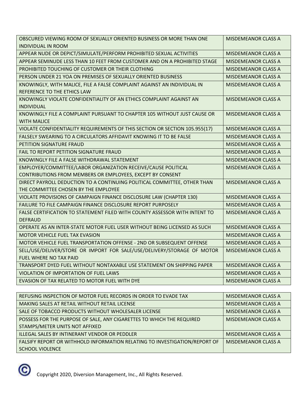| OBSCURED VIEWING ROOM OF SEXUALLY ORIENTED BUSINESS OR MORE THAN ONE                           | MISDEMEANOR CLASS A        |
|------------------------------------------------------------------------------------------------|----------------------------|
| <b>INDIVIDUAL IN ROOM</b>                                                                      |                            |
| APPEAR NUDE OR DEPICT/SIMULATE/PERFORM PROHIBITED SEXUAL ACTIVITIES                            | <b>MISDEMEANOR CLASS A</b> |
| APPEAR SEMINUDE LESS THAN 10 FEET FROM CUSTOMER AND ON A PROHIBITED STAGE                      | <b>MISDEMEANOR CLASS A</b> |
| PROHIBITED TOUCHING OF CUSTOMER OR THEIR CLOTHING                                              | <b>MISDEMEANOR CLASS A</b> |
| PERSON UNDER 21 YOA ON PREMISES OF SEXUALLY ORIENTED BUSINESS                                  | <b>MISDEMEANOR CLASS A</b> |
| KNOWINGLY, WITH MALICE, FILE A FALSE COMPLAINT AGAINST AN INDIVIDUAL IN                        | <b>MISDEMEANOR CLASS A</b> |
| REFERENCE TO THE ETHICS LAW                                                                    |                            |
| KNOWINGLY VIOLATE CONFIDENTIALITY OF AN ETHICS COMPLAINT AGAINST AN<br><b>INDIVIDUAL</b>       | MISDEMEANOR CLASS A        |
| KNOWINGLY FILE A COMPLAINT PURSUANT TO CHAPTER 105 WITHOUT JUST CAUSE OR<br><b>WITH MALICE</b> | MISDEMEANOR CLASS A        |
| VIOLATE CONFIDENTIALITY REQUIREMENTS OF THIS SECTION OR SECTION 105.955(17)                    | <b>MISDEMEANOR CLASS A</b> |
| FALSELY SWEARING TO A CIRCULATORS AFFIDAVIT KNOWING IT TO BE FALSE                             | <b>MISDEMEANOR CLASS A</b> |
| PETITION SIGNATURE FRAUD                                                                       | <b>MISDEMEANOR CLASS A</b> |
| FAIL TO REPORT PETITION SIGNATURE FRAUD                                                        | <b>MISDEMEANOR CLASS A</b> |
| KNOWINGLY FILE A FALSE WITHDRAWAL STATEMENT                                                    | <b>MISDEMEANOR CLASS A</b> |
| EMPLOYER/COMMITTEE/LABOR ORGANIZATION RECEIVE/CAUSE POLITICAL                                  | <b>MISDEMEANOR CLASS A</b> |
| CONTRIBUTIONS FROM MEMBERS OR EMPLOYEES, EXCEPT BY CONSENT                                     |                            |
| DIRECT PAYROLL DEDUCTION TO A CONTINUING POLITICAL COMMITTEE, OTHER THAN                       | <b>MISDEMEANOR CLASS A</b> |
| THE COMMITTEE CHOSEN BY THE EMPLOYEE                                                           |                            |
| VIOLATE PROVISIONS OF CAMPAIGN FINANCE DISCLOSURE LAW (CHAPTER 130)                            | <b>MISDEMEANOR CLASS A</b> |
| FAILURE TO FILE CAMPAIGN FINANCE DISCLOSURE REPORT PURPOSELY                                   | <b>MISDEMEANOR CLASS A</b> |
| FALSE CERTIFICATION TO STATEMENT FILED WITH COUNTY ASSESSOR WITH INTENT TO                     | <b>MISDEMEANOR CLASS A</b> |
| <b>DEFRAUD</b>                                                                                 |                            |
| OPERATE AS AN INTER-STATE MOTOR FUEL USER WITHOUT BEING LICENSED AS SUCH                       | <b>MISDEMEANOR CLASS A</b> |
| MOTOR VEHICLE FUEL TAX EVASION                                                                 | <b>MISDEMEANOR CLASS A</b> |
| MOTOR VEHICLE FUEL TRANSPORTATION OFFENSE - 2ND OR SUBSEQUENT OFFENSE                          | <b>MISDEMEANOR CLASS A</b> |
| SELL/USE/DELIVER/STORE OR IMPORT FOR SALE/USE/DELIVERY/STORAGE OF MOTOR                        | <b>MISDEMEANOR CLASS A</b> |
| FUEL WHERE NO TAX PAID                                                                         |                            |
| TRANSPORT DYED FUEL WITHOUT NONTAXABLE USE STATEMENT ON SHIPPING PAPER                         | <b>MISDEMEANOR CLASS A</b> |
| <b>VIOLATION OF IMPORTATION OF FUEL LAWS</b>                                                   | <b>MISDEMEANOR CLASS A</b> |
| EVASION OF TAX RELATED TO MOTOR FUEL WITH DYE                                                  | <b>MISDEMEANOR CLASS A</b> |

| REFUSING INSPECTION OF MOTOR FUEL RECORDS IN ORDER TO EVADE TAX            | <b>MISDEMEANOR CLASS A</b> |
|----------------------------------------------------------------------------|----------------------------|
| MAKING SALES AT RETAIL WITHOUT RETAIL LICENSE                              | MISDEMEANOR CLASS A        |
| SALE OF TOBACCO PRODUCTS WITHOUT WHOLESALER LICENSE                        | MISDEMEANOR CLASS A        |
| POSSESS FOR THE PURPOSE OF SALE, ANY CIGARETTES TO WHICH THE REQUIRED      | MISDEMEANOR CLASS A        |
| STAMPS/METER UNITS NOT AFFIXED                                             |                            |
| ILLEGAL SALES BY INTINERANT VENDOR OR PEDDLER                              | <b>MISDEMEANOR CLASS A</b> |
| FALSIFY REPORT OR WITHHOLD INFORMATION RELATING TO INVESTIGATION/REPORT OF | MISDEMEANOR CLASS A        |
| <b>SCHOOL VIOLENCE</b>                                                     |                            |

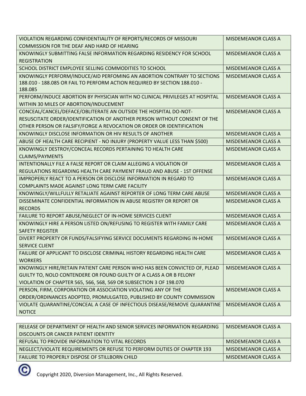| VIOLATION REGARDING CONFIDENTIALITY OF REPORTS/RECORDS OF MISSOURI           | <b>MISDEMEANOR CLASS A</b> |
|------------------------------------------------------------------------------|----------------------------|
| COMMISSION FOR THE DEAF AND HARD OF HEARING                                  |                            |
| KNOWINGLY SUBMITTING FALSE INFORMATION REGARDING RESIDENCY FOR SCHOOL        | <b>MISDEMEANOR CLASS A</b> |
| <b>REGISTRATION</b>                                                          |                            |
| SCHOOL DISTRICT EMPLOYEE SELLING COMMODITIES TO SCHOOL                       | <b>MISDEMEANOR CLASS A</b> |
| KNOWINGLY PERFORM/INDUCE/AID PERFOMING AN ABORTION CONTRARY TO SECTIONS      | <b>MISDEMEANOR CLASS A</b> |
| 188.010 - 188.085 OR FAIL TO PERFORM ACTION REQUIRED BY SECTION 188.010 -    |                            |
| 188.085                                                                      |                            |
| PERFORM/INDUCE ABORTION BY PHYSICIAN WITH NO CLINICAL PRIVILEGES AT HOSPITAL | <b>MISDEMEANOR CLASS A</b> |
| WITHIN 30 MILES OF ABORTION/INDUCEMENT                                       |                            |
| CONCEAL/CANCEL/DEFACE/OBLITERATE AN OUTSIDE THE HOSPITAL DO-NOT-             | <b>MISDEMEANOR CLASS A</b> |
| RESUSCITATE ORDER/IDENTIFICATION OF ANOTHER PERSON WITHOUT CONSENT OF THE    |                            |
| OTHER PERSON OR FALSIFY/FORGE A REVOCATION OR ORDER OR IDENTIFICATION        |                            |
| KNOWINGLY DISCLOSE INFORMATION OR HIV RESULTS OF ANOTHER                     | <b>MISDEMEANOR CLASS A</b> |
| ABUSE OF HEALTH CARE RECIPIENT - NO INJURY (PROPERTY VALUE LESS THAN \$500)  | <b>MISDEMEANOR CLASS A</b> |
| KNOWINGLY DESTROY/CONCEAL RECORDS PERTAINING TO HEALTH CARE                  | <b>MISDEMEANOR CLASS A</b> |
| <b>CLAIMS/PAYMENTS</b>                                                       |                            |
| INTENTIONALLY FILE A FALSE REPORT OR CLAIM ALLEGING A VIOLATION OF           | <b>MISDEMEANOR CLASS A</b> |
| REGULATIONS REGARDING HEALTH CARE PAYMENT FRAUD AND ABUSE - 1ST OFFENSE      |                            |
| IMPROPERLY REACT TO A PERSON OR DISCLOSE INFORMATION IN REGARD TO            | <b>MISDEMEANOR CLASS A</b> |
| COMPLAINTS MADE AGAINST LONG TERM CARE FACILITY                              |                            |
| KNOWINGLY/WILLFULLY RETALIATE AGAINST REPORTER OF LONG TERM CARE ABUSE       | <b>MISDEMEANOR CLASS A</b> |
| DISSEMINATE CONFIDENTIAL INFORMATION IN ABUSE REGISTRY OR REPORT OR          | <b>MISDEMEANOR CLASS A</b> |
| <b>RECORDS</b>                                                               |                            |
| FAILURE TO REPORT ABUSE/NEGLECT OF IN-HOME SERVICES CLIENT                   | <b>MISDEMEANOR CLASS A</b> |
| KNOWINGLY HIRE A PERSON LISTED ON/REFUSING TO REGISTER WITH FAMILY CARE      | <b>MISDEMEANOR CLASS A</b> |
| <b>SAFETY REGISTER</b>                                                       |                            |
| DIVERT PROPERTY OR FUNDS/FALSIFYING SERVICE DOCUMENTS REGARDING IN-HOME      | <b>MISDEMEANOR CLASS A</b> |
| <b>SERVICE CLIENT</b>                                                        |                            |
| FAILURE OF APPLICANT TO DISCLOSE CRIMINAL HISTORY REGARDING HEALTH CARE      | <b>MISDEMEANOR CLASS A</b> |
| <b>WORKERS</b>                                                               |                            |
| KNOWINGLY HIRE/RETAIN PATIENT CARE PERSON WHO HAS BEEN CONVICTED OF, PLEAD   | <b>MISDEMEANOR CLASS A</b> |
| GUILTY TO, NOLO CONTENDERE OR FOUND GUILTY OF A CLASS A OR B FELONY          |                            |
| VIOLATION OF CHAPTER 565, 566, 568, 569 OR SUBSECTION 3 OF 198.070           |                            |
| PERSON, FIRM, CORPORATION OR ASSOCIATION VIOLATING ANY OF THE                | <b>MISDEMEANOR CLASS A</b> |
| ORDER/ORDINANCES ADOPTED, PROMULGATED, PUBLISHED BY COUNTY COMMISSION        |                            |
| VIOLATE QUARANTINE/CONCEAL A CASE OF INFECTIOUS DISEASE/REMOVE QUARANTINE    | <b>MISDEMEANOR CLASS A</b> |
| <b>NOTICE</b>                                                                |                            |

| RELEASE OF DEPARTMENT OF HEALTH AND SENIOR SERVICES INFORMATION REGARDING | MISDEMEANOR CLASS A |
|---------------------------------------------------------------------------|---------------------|
| DISCOUNTS OR CANCER PATIENT IDENTITY                                      |                     |
| REFUSAL TO PROVIDE INFORMATION TO VITAL RECORDS                           | MISDEMEANOR CLASS A |
| NEGLECT/VIOLATE REQUIREMENTS OR REFUSE TO PERFORM DUTIES OF CHAPTER 193   | MISDEMEANOR CLASS A |
| FAILURE TO PROPERLY DISPOSE OF STILLBORN CHILD                            | MISDEMEANOR CLASS A |

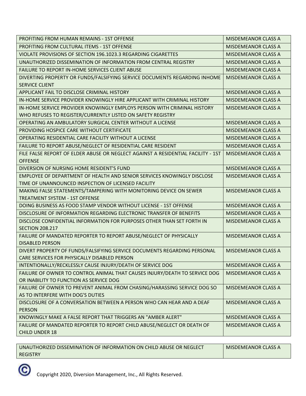| <b>PROFITING FROM HUMAN REMAINS - 1ST OFFENSE</b>                                | <b>MISDEMEANOR CLASS A</b> |
|----------------------------------------------------------------------------------|----------------------------|
| <b>PROFITING FROM CULTURAL ITEMS - 1ST OFFENSE</b>                               | <b>MISDEMEANOR CLASS A</b> |
| VIOLATE PROVISIONS OF SECTION 196.1023.3 REGARDING CIGARETTES                    | <b>MISDEMEANOR CLASS A</b> |
| UNAUTHORIZED DISSEMINATION OF INFORMATION FROM CENTRAL REGISTRY                  | <b>MISDEMEANOR CLASS A</b> |
| <b>FAILURE TO REPORT IN-HOME SERVICES CLIENT ABUSE</b>                           | <b>MISDEMEANOR CLASS A</b> |
| DIVERTING PROPERTY OR FUNDS/FALSIFYING SERVICE DOCUMENTS REGARDING INHOME        | <b>MISDEMEANOR CLASS A</b> |
| <b>SERVICE CLIENT</b>                                                            |                            |
| APPLICANT FAIL TO DISCLOSE CRIMINAL HISTORY                                      | <b>MISDEMEANOR CLASS A</b> |
| IN-HOME SERVICE PROVIDER KNOWINGLY HIRE APPLICANT WITH CRIMINAL HISTORY          | <b>MISDEMEANOR CLASS A</b> |
| IN-HOME SERVICE PROVIDER KNOWINGLY EMPLOYS PERSON WITH CRIMINAL HISTORY          | <b>MISDEMEANOR CLASS A</b> |
| WHO REFUSES TO REGISTER/CURRENTLY LISTED ON SAFETY REGISTRY                      |                            |
| OPERATING AN AMBULATORY SURGICAL CENTER WITHOUT A LICENSE                        | <b>MISDEMEANOR CLASS A</b> |
| PROVIDING HOSPICE CARE WITHOUT CERTIFICATE                                       | <b>MISDEMEANOR CLASS A</b> |
| OPERATING RESIDENTIAL CARE FACILITY WITHOUT A LICENSE                            | <b>MISDEMEANOR CLASS A</b> |
| FAILURE TO REPORT ABUSE/NEGLECT OF RESIDENTIAL CARE RESIDENT                     | <b>MISDEMEANOR CLASS A</b> |
| FILE FALSE REPORT OF ELDER ABUSE OR NEGLECT AGAINST A RESIDENTIAL FACILITY - 1ST | <b>MISDEMEANOR CLASS A</b> |
| <b>OFFENSE</b>                                                                   |                            |
| DIVERSION OF NURSING HOME RESIDENT'S FUND                                        | <b>MISDEMEANOR CLASS A</b> |
| EMPLOYEE OF DEPARTMENT OF HEALTH AND SENIOR SERVICES KNOWINGLY DISCLOSE          | <b>MISDEMEANOR CLASS A</b> |
| TIME OF UNANNOUNCED INSPECTION OF LICENSED FACILITY                              |                            |
| MAKING FALSE STATEMENTS/TAMPERING WITH MONITORING DEVICE ON SEWER                | <b>MISDEMEANOR CLASS A</b> |
| <b>TREATMENT SYSTEM - 1ST OFFENSE</b>                                            |                            |
| DOING BUSINESS AS FOOD STAMP VENDOR WITHOUT LICENSE - 1ST OFFENSE                | <b>MISDEMEANOR CLASS A</b> |
| DISCLOSURE OF INFORMATION REGARDING ELECTRONIC TRANSFER OF BENEFITS              | <b>MISDEMEANOR CLASS A</b> |
| DISCLOSE CONFIDENTIAL INFORMATION FOR PURPOSES OTHER THAN SET FORTH IN           | <b>MISDEMEANOR CLASS A</b> |
| <b>SECTION 208.217</b>                                                           |                            |
| FAILURE OF MANDATED REPORTER TO REPORT ABUSE/NEGLECT OF PHYSICALLY               | <b>MISDEMEANOR CLASS A</b> |
| <b>DISABLED PERSON</b>                                                           |                            |
| DIVERT PROPERTY OF FUNDS/FALSIFYING SERVICE DOCUMENTS REGARDING PERSONAL         | <b>MISDEMEANOR CLASS A</b> |
| CARE SERVICES FOR PHYSICALLY DISABLED PERSON                                     |                            |
| INTENTIONALLY/RECKLESSLY CAUSE INJURY/DEATH OF SERVICE DOG                       | MISDEMEANOR CLASS A        |
| FAILURE OF OWNER TO CONTROL ANIMAL THAT CAUSES INJURY/DEATH TO SERVICE DOG       | MISDEMEANOR CLASS A        |
| OR INABILITY TO FUNCTION AS SERVICE DOG                                          |                            |
| FAILURE OF OWNER TO PREVENT ANIMAL FROM CHASING/HARASSING SERVICE DOG SO         | <b>MISDEMEANOR CLASS A</b> |
| AS TO INTERFERE WITH DOG'S DUTIES                                                |                            |
| DISCLOSURE OF A CONVERSATION BETWEEN A PERSON WHO CAN HEAR AND A DEAF            | <b>MISDEMEANOR CLASS A</b> |
| <b>PERSON</b>                                                                    |                            |
| KNOWINGLY MAKE A FALSE REPORT THAT TRIGGERS AN "AMBER ALERT"                     | <b>MISDEMEANOR CLASS A</b> |
| FAILURE OF MANDATED REPORTER TO REPORT CHILD ABUSE/NEGLECT OR DEATH OF           | <b>MISDEMEANOR CLASS A</b> |
| <b>CHILD UNDER 18</b>                                                            |                            |

| UNAUTHORIZED DISSEMINATION OF INFORMATION ON CHILD ABUSE OR NEGLECT | MISDEMEANOR CLASS A |
|---------------------------------------------------------------------|---------------------|
| REGISTRY                                                            |                     |

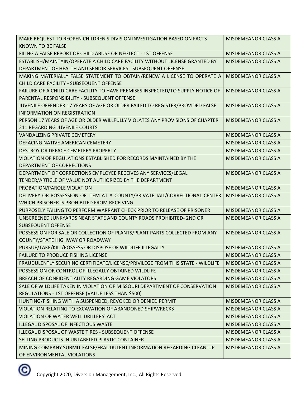| MAKE REQUEST TO REOPEN CHILDREN'S DIVISION INVESTIGATION BASED ON FACTS         | <b>MISDEMEANOR CLASS A</b> |
|---------------------------------------------------------------------------------|----------------------------|
| <b>KNOWN TO BE FALSE</b>                                                        |                            |
| FILING A FALSE REPORT OF CHILD ABUSE OR NEGLECT - 1ST OFFENSE                   | <b>MISDEMEANOR CLASS A</b> |
| ESTABLISH/MAINTAIN/OPERATE A CHILD CARE FACILITY WITHOUT LICENSE GRANTED BY     | <b>MISDEMEANOR CLASS A</b> |
| DEPARTMENT OF HEALTH AND SENIOR SERVICES - SUBSEQUENT OFFENSE                   |                            |
| MAKING MATERIALLY FALSE STATEMENT TO OBTAIN/RENEW A LICENSE TO OPERATE A        | <b>MISDEMEANOR CLASS A</b> |
| CHILD CARE FACILITY - SUBSEQUENT OFFENSE                                        |                            |
| FAILURE OF A CHILD CARE FACILITY TO HAVE PREMISES INSPECTED/TO SUPPLY NOTICE OF | <b>MISDEMEANOR CLASS A</b> |
| PARENTAL RESPONSIBILITY - SUBSEQUENT OFFENSE                                    |                            |
| JUVENILE OFFENDER 17 YEARS OF AGE OR OLDER FAILED TO REGISTER/PROVIDED FALSE    | <b>MISDEMEANOR CLASS A</b> |
| <b>INFORMATION ON REGISTRATION</b>                                              |                            |
| PERSON 17 YEARS OF AGE OR OLDER WILLFULLY VIOLATES ANY PROVISIONS OF CHAPTER    | <b>MISDEMEANOR CLASS A</b> |
| 211 REGARDING JUVENILE COURTS                                                   |                            |
| <b>VANDALIZING PRIVATE CEMETERY</b>                                             | <b>MISDEMEANOR CLASS A</b> |
| DEFACING NATIVE AMERICAN CEMETERY                                               | <b>MISDEMEANOR CLASS A</b> |
| DESTROY OR DEFACE CEMETERY PROPERTY                                             | <b>MISDEMEANOR CLASS A</b> |
| VIOLATION OF REGULATIONS ESTABLISHED FOR RECORDS MAINTAINED BY THE              | <b>MISDEMEANOR CLASS A</b> |
| DEPARTMENT OF CORRECTIONS                                                       |                            |
| DEPARTMENT OF CORRECTIONS EMPLOYEE RECEIVES ANY SERVICES/LEGAL                  | <b>MISDEMEANOR CLASS A</b> |
| TENDER/ARTICLE OF VALUE NOT AUTHORIZED BY THE DEPARTMENT                        |                            |
| PROBATION/PAROLE VIOLATION                                                      | MISDEMEANOR CLASS A        |
| DELIVERY OR POSSESSION OF ITEM AT A COUNTY/PRIVATE JAIL/CORRECTIONAL CENTER     | <b>MISDEMEANOR CLASS A</b> |
| WHICH PRISONER IS PROHIBITED FROM RECEIVING                                     |                            |
| PURPOSELY FAILING TO PERFORM WARRANT CHECK PRIOR TO RELEASE OF PRISONER         | <b>MISDEMEANOR CLASS A</b> |
| UNSCREENED JUNKYARDS NEAR STATE AND COUNTY ROADS PROHIBITED- 2ND OR             | <b>MISDEMEANOR CLASS A</b> |
| <b>SUBSEQUENT OFFENSE</b>                                                       |                            |
| POSSESSION FOR SALE OR COLLECTION OF PLANTS/PLANT PARTS COLLECTED FROM ANY      | <b>MISDEMEANOR CLASS A</b> |
| COUNTY/STATE HIGHWAY OR ROADWAY                                                 |                            |
| PURSUE/TAKE/KILL/POSSESS OR DISPOSE OF WILDLIFE ILLEGALLY                       | MISDEMEANOR CLASS A        |
| <b>FAILURE TO PRODUCE FISHING LICENSE</b>                                       | <b>MISDEMEANOR CLASS A</b> |
| FRAUDULENTLY SECURING CERTIFICATE/LICENSE/PRIVILEGE FROM THIS STATE - WILDLIFE  | <b>MISDEMEANOR CLASS A</b> |
| POSSESSION OR CONTROL OF ILLEGALLY OBTAINED WILDLIFE                            | <b>MISDEMEANOR CLASS A</b> |
| BREACH OF CONFIDENTIALITY REGARDING GAME VIOLATORS                              | <b>MISDEMEANOR CLASS A</b> |
| SALE OF WILDLIFE TAKEN IN VIOLATION OF MISSOURI DEPARTMENT OF CONSERVATION      | <b>MISDEMEANOR CLASS A</b> |
| REGULATIONS - 1ST OFFENSE (VALUE LESS THAN \$500)                               |                            |
| HUNTING/FISHING WITH A SUSPENDED, REVOKED OR DENIED PERMIT                      | <b>MISDEMEANOR CLASS A</b> |
| VIOLATION RELATING TO EXCAVATION OF ABANDONED SHIPWRECKS                        | <b>MISDEMEANOR CLASS A</b> |
| VIOLATION OF WATER WELL DRILLERS' ACT                                           | <b>MISDEMEANOR CLASS A</b> |
| ILLEGAL DISPOSAL OF INFECTIOUS WASTE                                            | <b>MISDEMEANOR CLASS A</b> |
| ILLEGAL DISPOSAL OF WASTE TIRES - SUBSEQUENT OFFENSE                            | <b>MISDEMEANOR CLASS A</b> |
| SELLING PRODUCTS IN UNLABELED PLASTIC CONTAINER                                 | MISDEMEANOR CLASS A        |
| MINING COMPANY SUBMIT FALSE/FRAUDULENT INFORMATION REGARDING CLEAN-UP           | <b>MISDEMEANOR CLASS A</b> |
| OF ENVIRONMENTAL VIOLATIONS                                                     |                            |

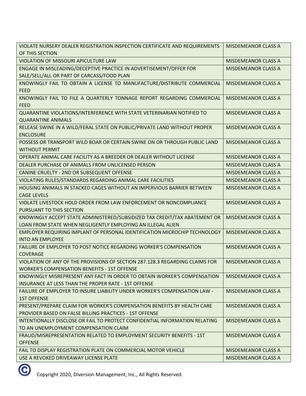| VIOLATE NURSERY DEALER REGISTRATION INSPECTION CERTIFICATE AND REQUIREMENTS                            | <b>MISDEMEANOR CLASS A</b> |
|--------------------------------------------------------------------------------------------------------|----------------------------|
| OF THIS SECTION                                                                                        |                            |
| <b>VIOLATION OF MISSOURI APICULTURE LAW</b>                                                            | <b>MISDEMEANOR CLASS A</b> |
| ENGAGE IN MISLEADING/DECEPTIVE PRACTICE IN ADVERTISEMENT/OFFER FOR                                     | <b>MISDEMEANOR CLASS A</b> |
| SALE/SELL/ALL OR PART OF CARCASS/FOOD PLAN                                                             |                            |
| KNOWINGLY FAIL TO OBTAIN A LICENSE TO MANUFACTURE/DISTRIBUTE COMMERCIAL                                | <b>MISDEMEANOR CLASS A</b> |
| <b>FEED</b>                                                                                            |                            |
| KNOWINGLY FAIL TO FILE A QUARTERLY TONNAGE REPORT REGARDING COMMERCIAL                                 | <b>MISDEMEANOR CLASS A</b> |
| <b>FEED</b>                                                                                            |                            |
| QUARANTINE VIOLATIONS/INTERFERENCE WITH STATE VETERINARIAN NOTIFIED TO                                 | <b>MISDEMEANOR CLASS A</b> |
| <b>QUARANTINE ANIMALS</b>                                                                              |                            |
| RELEASE SWINE IN A WILD/FERAL STATE ON PUBLIC/PRIVATE LAND WITHOUT PROPER                              | <b>MISDEMEANOR CLASS A</b> |
| <b>ENCLOSURE</b>                                                                                       |                            |
| POSSESS OR TRANSPORT WILD BOAR OR CERTAIN SWINE ON OR THROUGH PUBLIC LAND                              | <b>MISDEMEANOR CLASS A</b> |
| <b>WITHOUT PERMIT</b>                                                                                  |                            |
| OPERATE ANIMAL CARE FACILITY AS A BREEDER OR DEALER WITHOUT LICENSE                                    | <b>MISDEMEANOR CLASS A</b> |
| DEALER PURCHASE OF ANIMALS FROM UNLICENSED PERSON                                                      | <b>MISDEMEANOR CLASS A</b> |
| CANINE CRUELTY - 2ND OR SUBSEQUENT OFFENSE                                                             | <b>MISDEMEANOR CLASS A</b> |
| VIOLATING RULES/STANDARDS REGARDING ANIMAL CARE FACILITIES                                             | <b>MISDEMEANOR CLASS A</b> |
| HOUSING ANIMALS IN STACKED CAGES WITHOUT AN IMPERVIOUS BARRIER BETWEEN                                 | <b>MISDEMEANOR CLASS A</b> |
| <b>CAGE LEVELS</b>                                                                                     |                            |
| VIOLATE LIVESTOCK HOLD ORDER FROM LAW ENFORCEMENT OR NONCOMPLIANCE                                     | <b>MISDEMEANOR CLASS A</b> |
| PURSUANT TO THIS SECTION<br>KNOWINGLY ACCEPT STATE ADMINISTERED/SUBSIDIZED TAX CREDIT/TAX ABATEMENT OR |                            |
| LOAN FROM STATE WHEN NEGLIGENTLY EMPLOYING AN ILLEGAL ALIEN                                            | <b>MISDEMEANOR CLASS A</b> |
| <b>EMPLOYER REQUIRING IMPLANT OF PERSONAL IDENTIFICATION MICROCHIP TECHNOLOGY</b>                      | <b>MISDEMEANOR CLASS A</b> |
| <b>INTO AN EMPLOYEE</b>                                                                                |                            |
| FAILURE OF EMPLOYER TO POST NOTICE REGARDING WORKER'S COMPENSATION                                     | <b>MISDEMEANOR CLASS A</b> |
| <b>COVERAGE</b>                                                                                        |                            |
| VIOLATION OF ANY OF THE PROVISIONS OF SECTION 287.128.3 REGARDING CLAIMS FOR                           | <b>MISDEMEANOR CLASS A</b> |
| <b>WORKER'S COMPENSATION BENEFITS - 1ST OFFENSE</b>                                                    |                            |
| KNOWINGLY MISREPRESENT ANY FACT IN ORDER TO OBTAIN WORKER'S COMPENSATION                               | <b>MISDEMEANOR CLASS A</b> |
| INSURANCE AT LESS THAN THE PROPER RATE - 1ST OFFENSE                                                   |                            |
| FAILURE OF EMPLOYER TO INSURE LIABILITY UNDER WORKER'S COMPENSATION LAW -                              | <b>MISDEMEANOR CLASS A</b> |
| <b>1ST OFFENSE</b>                                                                                     |                            |
| PRESENT/PREPARE CLAIM FOR WORKER'S COMPENSATION BENEFITS BY HEALTH CARE                                | <b>MISDEMEANOR CLASS A</b> |
| PROVIDER BASED ON FALSE BILLING PRACTICES - 1ST OFFENSE                                                |                            |
| INTENTIONALLY DISCLOSE OR FAIL TO PROTECT CONFIDENTIAL INFORMATION RELATING                            | <b>MISDEMEANOR CLASS A</b> |
| TO AN UNEMPLOYMENT COMPENSATION CLAIM                                                                  |                            |
| FRAUD/MISREPRESENTATION RELATED TO EMPLOYMENT SECURITY BENEFITS - 1ST                                  | <b>MISDEMEANOR CLASS A</b> |
| <b>OFFENSE</b>                                                                                         |                            |
| FAIL TO DISPLAY REGISTRATION PLATE ON COMMERCIAL MOTOR VEHICLE                                         | <b>MISDEMEANOR CLASS A</b> |
| USE A REVOKED DRIVEAWAY LICENSE PLATE                                                                  | <b>MISDEMEANOR CLASS A</b> |

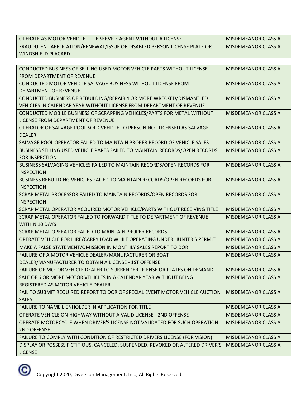| OPERATE AS MOTOR VEHICLE TITLE SERVICE AGENT WITHOUT A LICENSE           | MISDEMEANOR CLASS A |
|--------------------------------------------------------------------------|---------------------|
| FRAUDULENT APPLICATION/RENEWAL/ISSUE OF DISABLED PERSON LICENSE PLATE OR | MISDEMEANOR CLASS A |
| WINDSHIELD PLACARD                                                       |                     |

| CONDUCTED BUSINESS OF SELLING USED MOTOR VEHICLE PARTS WITHOUT LICENSE<br><b>FROM DEPARTMENT OF REVENUE</b> | <b>MISDEMEANOR CLASS A</b> |
|-------------------------------------------------------------------------------------------------------------|----------------------------|
| CONDUCTED MOTOR VEHICLE SALVAGE BUSINESS WITHOUT LICENSE FROM                                               | <b>MISDEMEANOR CLASS A</b> |
| <b>DEPARTMENT OF REVENUE</b>                                                                                |                            |
| CONDUCTED BUSINESS OF REBUILDING/REPAIR 4 OR MORE WRECKED/DISMANTLED                                        | <b>MISDEMEANOR CLASS A</b> |
| VEHICLES IN CALENDAR YEAR WITHOUT LICENSE FROM DEPARTMENT OF REVENUE                                        |                            |
| CONDUCTED MOBILE BUSINESS OF SCRAPPING VEHICLES/PARTS FOR METAL WITHOUT                                     | <b>MISDEMEANOR CLASS A</b> |
| LICENSE FROM DEPARTMENT OF REVENUE                                                                          |                            |
| OPERATOR OF SALVAGE POOL SOLD VEHICLE TO PERSON NOT LICENSED AS SALVAGE                                     | <b>MISDEMEANOR CLASS A</b> |
| <b>DEALER</b>                                                                                               |                            |
| SALVAGE POOL OPERATOR FAILED TO MAINTAIN PROPER RECORD OF VEHICLE SALES                                     | <b>MISDEMEANOR CLASS A</b> |
| BUSINESS SELLING USED VEHICLE PARTS FAILED TO MAINTAIN RECORDS/OPEN RECORDS                                 | <b>MISDEMEANOR CLASS A</b> |
| <b>FOR INSPECTION</b>                                                                                       |                            |
| BUSINESS SALVAGING VEHICLES FAILED TO MAINTAIN RECORDS/OPEN RECORDS FOR                                     | <b>MISDEMEANOR CLASS A</b> |
| <b>INSPECTION</b>                                                                                           |                            |
| BUSINESS REBUILDING VEHICLES FAILED TO MAINTAIN RECORDS/OPEN RECORDS FOR                                    | <b>MISDEMEANOR CLASS A</b> |
| <b>INSPECTION</b>                                                                                           |                            |
| SCRAP METAL PROCESSOR FAILED TO MAINTAIN RECORDS/OPEN RECORDS FOR                                           | <b>MISDEMEANOR CLASS A</b> |
| <b>INSPECTION</b>                                                                                           |                            |
| SCRAP METAL OPERATOR ACQUIRED MOTOR VEHICLE/PARTS WITHOUT RECEIVING TITLE                                   | <b>MISDEMEANOR CLASS A</b> |
| SCRAP METAL OPERATOR FAILED TO FORWARD TITLE TO DEPARTMENT OF REVENUE                                       | <b>MISDEMEANOR CLASS A</b> |
| <b>WITHIN 10 DAYS</b>                                                                                       |                            |
| SCRAP METAL OPERATOR FAILED TO MAINTAIN PROPER RECORDS                                                      | <b>MISDEMEANOR CLASS A</b> |
| OPERATE VEHICLE FOR HIRE/CARRY LOAD WHILE OPERATING UNDER HUNTER'S PERMIT                                   | <b>MISDEMEANOR CLASS A</b> |
| MAKE A FALSE STATEMENT/OMISSION IN MONTHLY SALES REPORT TO DOR                                              | <b>MISDEMEANOR CLASS A</b> |
| FAILURE OF A MOTOR VEHICLE DEALER/MANUFACTURER OR BOAT                                                      | <b>MISDEMEANOR CLASS A</b> |
| DEALER/MANUFACTURER TO OBTAIN A LICENSE - 1ST OFFENSE                                                       |                            |
| FAILURE OF MOTOR VEHICLE DEALER TO SURRENDER LICENSE OR PLATES ON DEMAND                                    | <b>MISDEMEANOR CLASS A</b> |
| SALE OF 6 OR MORE MOTOR VEHICLES IN A CALENDAR YEAR WITHOUT BEING                                           | <b>MISDEMEANOR CLASS A</b> |
| REGISTERED AS MOTOR VEHICLE DEALER                                                                          |                            |
| FAIL TO SUBMIT REQUIRED REPORT TO DOR OF SPECIAL EVENT MOTOR VEHICLE AUCTION                                | <b>MISDEMEANOR CLASS A</b> |
| <b>SALES</b>                                                                                                |                            |
| FAILURE TO NAME LIENHOLDER IN APPLICATION FOR TITLE                                                         | <b>MISDEMEANOR CLASS A</b> |
| <b>OPERATE VEHICLE ON HIGHWAY WITHOUT A VALID LICENSE - 2ND OFFENSE</b>                                     | <b>MISDEMEANOR CLASS A</b> |
| OPERATE MOTORCYCLE WHEN DRIVER'S LICENSE NOT VALIDATED FOR SUCH OPERATION -                                 | <b>MISDEMEANOR CLASS A</b> |
| 2ND OFFENSE                                                                                                 |                            |
| FAILURE TO COMPLY WITH CONDITION OF RESTRICTED DRIVERS LICENSE (FOR VISION)                                 | <b>MISDEMEANOR CLASS A</b> |
| DISPLAY OR POSSESS FICTITIOUS, CANCELED, SUSPENDED, REVOKED OR ALTERED DRIVER'S                             | <b>MISDEMEANOR CLASS A</b> |
| <b>LICENSE</b>                                                                                              |                            |

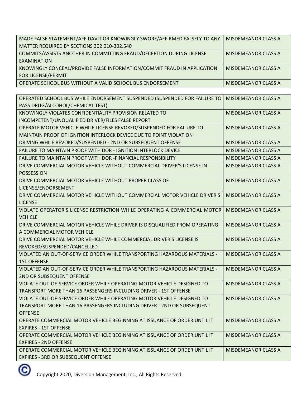| MADE FALSE STATEMENT/AFFIDAVIT OR KNOWINGLY SWORE/AFFIRMED FALSELY TO ANY | <b>MISDEMEANOR CLASS A</b> |
|---------------------------------------------------------------------------|----------------------------|
| MATTER REQUIRED BY SECTIONS 302.010-302.540                               |                            |
| COMMITS/ASSISTS ANOTHER IN COMMITTING FRAUD/DECEPTION DURING LICENSE      | <b>MISDEMEANOR CLASS A</b> |
| EXAMINATION                                                               |                            |
| KNOWINGLY CONCEAL/PROVIDE FALSE INFORMATION/COMMIT FRAUD IN APPLICATION   | <b>MISDEMEANOR CLASS A</b> |
| FOR LICENSE/PERMIT                                                        |                            |
| OPERATE SCHOOL BUS WITHOUT A VALID SCHOOL BUS ENDORSEMENT                 | MISDEMEANOR CLASS A        |

| OPERATED SCHOOL BUS WHILE ENDORSEMENT SUSPENDED (SUSPENDED FOR FAILURE TO  | <b>MISDEMEANOR CLASS A</b> |
|----------------------------------------------------------------------------|----------------------------|
| PASS DRUG/ALCOHOL/CHEMICAL TEST)                                           |                            |
| KNOWINGLY VIOLATES CONFIDENTIALITY PROVISION RELATED TO                    | <b>MISDEMEANOR CLASS A</b> |
| INCOMPETENT/UNQUALIFIED DRIVER/FILES FALSE REPORT                          |                            |
| OPERATE MOTOR VEHICLE WHILE LICENSE REVOKED/SUSPENDED FOR FAILURE TO       | <b>MISDEMEANOR CLASS A</b> |
| MAINTAIN PROOF OF IGNITION INTERLOCK DEVICE DUE TO POINT VIOLATION         |                            |
| DRIVING WHILE REVOKED/SUSPENDED - 2ND OR SUBSEQUENT OFFENSE                | <b>MISDEMEANOR CLASS A</b> |
| <b>FAILURE TO MAINTAIN PROOF WITH DOR - IGNITION INTERLOCK DEVICE</b>      | <b>MISDEMEANOR CLASS A</b> |
| FAILURE TO MAINTAIN PROOF WITH DOR -FINANCIAL RESPONSIBILITY               | MISDEMEANOR CLASS A        |
| DRIVE COMMERCIAL MOTOR VEHICLE WITHOUT COMMERCIAL DRIVER'S LICENSE IN      | <b>MISDEMEANOR CLASS A</b> |
| <b>POSSESSION</b>                                                          |                            |
| DRIVE COMMERCIAL MOTOR VEHICLE WITHOUT PROPER CLASS OF                     | <b>MISDEMEANOR CLASS A</b> |
| LICENSE/ENDORSEMENT                                                        |                            |
| DRIVE COMMERCIAL MOTOR VEHICLE WITHOUT COMMERCIAL MOTOR VEHICLE DRIVER'S   | <b>MISDEMEANOR CLASS A</b> |
| <b>LICENSE</b>                                                             |                            |
| VIOLATE OPERATOR'S LICENSE RESTRICTION WHILE OPERATING A COMMERCIAL MOTOR  | <b>MISDEMEANOR CLASS A</b> |
| <b>VEHICLE</b>                                                             |                            |
| DRIVE COMMERCIAL MOTOR VEHICLE WHILE DRIVER IS DISQUALIFIED FROM OPERATING | <b>MISDEMEANOR CLASS A</b> |
| A COMMERCIAL MOTOR VEHICLE                                                 |                            |
| DRIVE COMMERCIAL MOTOR VEHICLE WHILE COMMERCIAL DRIVER'S LICENSE IS        | <b>MISDEMEANOR CLASS A</b> |
| REVOKED/SUSPENDED/CANCELLED                                                |                            |
| VIOLATED AN OUT-OF-SERVICE ORDER WHILE TRANSPORTING HAZARDOUS MATERIALS -  | <b>MISDEMEANOR CLASS A</b> |
| <b>1ST OFFENSE</b>                                                         |                            |
| VIOLATED AN OUT-OF-SERVICE ORDER WHILE TRANSPORTING HAZARDOUS MATERIALS -  | <b>MISDEMEANOR CLASS A</b> |
| 2ND OR SUBSEQUENT OFFENSE                                                  |                            |
| VIOLATE OUT-OF-SERVICE ORDER WHILE OPERATING MOTOR VEHICLE DESIGNED TO     | <b>MISDEMEANOR CLASS A</b> |
| TRANSPORT MORE THAN 16 PASSENGERS INCLUDING DRIVER - 1ST OFFENSE           |                            |
| VIOLATE OUT-OF-SERVICE ORDER WHILE OPERATING MOTOR VEHICLE DESIGNED TO     | <b>MISDEMEANOR CLASS A</b> |
| TRANSPORT MORE THAN 16 PASSENGERS INCLUDING DRIVER - 2ND OR SUBSEQUENT     |                            |
| <b>OFFENSE</b>                                                             |                            |
| OPERATE COMMERCIAL MOTOR VEHICLE BEGINNING AT ISSUANCE OF ORDER UNTIL IT   | MISDEMEANOR CLASS A        |
| <b>EXPIRES - 1ST OFFENSE</b>                                               |                            |
| OPERATE COMMERCIAL MOTOR VEHICLE BEGINNING AT ISSUANCE OF ORDER UNTIL IT   | <b>MISDEMEANOR CLASS A</b> |
| <b>EXPIRES - 2ND OFFENSE</b>                                               |                            |
| OPERATE COMMERCIAL MOTOR VEHICLE BEGINNING AT ISSUANCE OF ORDER UNTIL IT   | <b>MISDEMEANOR CLASS A</b> |
| <b>EXPIRES - 3RD OR SUBSEQUENT OFFENSE</b>                                 |                            |

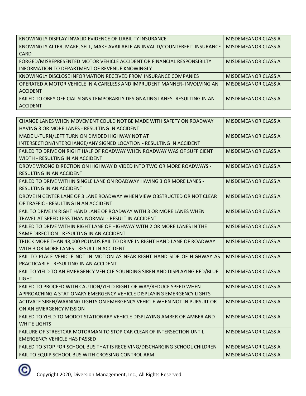| KNOWINGLY DISPLAY INVALID EVIDENCE OF LIABILITY INSURANCE                    | <b>MISDEMEANOR CLASS A</b> |
|------------------------------------------------------------------------------|----------------------------|
| KNOWINGLY ALTER, MAKE, SELL, MAKE AVAILABLE AN INVALID/COUNTERFEIT INSURANCE | MISDEMEANOR CLASS A        |
| <b>CARD</b>                                                                  |                            |
| FORGED/MISREPRESENTED MOTOR VEHICLE ACCIDENT OR FINANCIAL RESPONSIBILTY      | MISDEMEANOR CLASS A        |
| INFORMATION TO DEPARTMENT OF REVENUE KNOWINGLY                               |                            |
| KNOWINGLY DISCLOSE INFORMATION RECEIVED FROM INSURANCE COMPANIES             | MISDEMEANOR CLASS A        |
| OPERATED A MOTOR VEHICLE IN A CARELESS AND IMPRUDENT MANNER- INVOLVING AN    | MISDEMEANOR CLASS A        |
| <b>ACCIDENT</b>                                                              |                            |
| FAILED TO OBEY OFFICIAL SIGNS TEMPORARILY DESIGNATING LANES- RESULTING IN AN | MISDEMEANOR CLASS A        |
| <b>ACCIDENT</b>                                                              |                            |

| CHANGE LANES WHEN MOVEMENT COULD NOT BE MADE WITH SAFETY ON ROADWAY          | <b>MISDEMEANOR CLASS A</b> |
|------------------------------------------------------------------------------|----------------------------|
| HAVING 3 OR MORE LANES - RESULTING IN ACCIDENT                               |                            |
| MADE U-TURN/LEFT TURN ON DIVIDED HIGHWAY NOT AT                              | <b>MISDEMEANOR CLASS A</b> |
| INTERSECTION/INTERCHANGE/ANY SIGNED LOCATION - RESULTING IN ACCIDENT         |                            |
| FAILED TO DRIVE ON RIGHT HALF OF ROADWAY WHEN ROADWAY WAS OF SUFFICIENT      | <b>MISDEMEANOR CLASS A</b> |
| WIDTH - RESULTING IN AN ACCIDENT                                             |                            |
| DROVE WRONG DIRECTION ON HIGHWAY DIVIDED INTO TWO OR MORE ROADWAYS -         | <b>MISDEMEANOR CLASS A</b> |
| <b>RESULTING IN AN ACCIDENT</b>                                              |                            |
| FAILED TO DRIVE WITHIN SINGLE LANE ON ROADWAY HAVING 3 OR MORE LANES -       | <b>MISDEMEANOR CLASS A</b> |
| <b>RESULTING IN AN ACCIDENT</b>                                              |                            |
| DROVE IN CENTER LANE OF 3 LANE ROADWAY WHEN VIEW OBSTRUCTED OR NOT CLEAR     | <b>MISDEMEANOR CLASS A</b> |
| OF TRAFFIC - RESULTING IN AN ACCIDENT                                        |                            |
| FAIL TO DRIVE IN RIGHT HAND LANE OF ROADWAY WITH 3 OR MORE LANES WHEN        | <b>MISDEMEANOR CLASS A</b> |
| TRAVEL AT SPEED LESS THAN NORMAL - RESULT IN ACCIDENT                        |                            |
| FAILED TO DRIVE WITHIN RIGHT LANE OF HIGHWAY WITH 2 OR MORE LANES IN THE     | <b>MISDEMEANOR CLASS A</b> |
| SAME DIRECTION - RESULTING IN AN ACCIDENT                                    |                            |
| TRUCK MORE THAN 48,000 POUNDS FAIL TO DRIVE IN RIGHT HAND LANE OF ROADWAY    | <b>MISDEMEANOR CLASS A</b> |
| WITH 3 OR MORE LANES - RESULT IN ACCIDENT                                    |                            |
| FAIL TO PLACE VEHICLE NOT IN MOTION AS NEAR RIGHT HAND SIDE OF HIGHWAY AS    | <b>MISDEMEANOR CLASS A</b> |
| PRACTICABLE - RESULTING IN AN ACCIDENT                                       |                            |
| FAIL TO YIELD TO AN EMERGENCY VEHICLE SOUNDING SIREN AND DISPLAYING RED/BLUE | <b>MISDEMEANOR CLASS A</b> |
| <b>LIGHT</b>                                                                 |                            |
| FAILED TO PROCEED WITH CAUTION/YIELD RIGHT OF WAY/REDUCE SPEED WHEN          | <b>MISDEMEANOR CLASS A</b> |
| APPROACHING A STATIONARY EMERGENCY VEHICLE DISPLAYING EMERGENCY LIGHTS       |                            |
| ACTIVATE SIREN/WARNING LIGHTS ON EMERGENCY VEHICLE WHEN NOT IN PURSUIT OR    | <b>MISDEMEANOR CLASS A</b> |
| ON AN EMERGENCY MISSION                                                      |                            |
| FAILED TO YIELD TO MODOT STATIONARY VEHICLE DISPLAYING AMBER OR AMBER AND    | <b>MISDEMEANOR CLASS A</b> |
| <b>WHITE LIGHTS</b>                                                          |                            |
| FAILURE OF STREETCAR MOTORMAN TO STOP CAR CLEAR OF INTERSECTION UNTIL        | <b>MISDEMEANOR CLASS A</b> |
| <b>EMERGENCY VEHICLE HAS PASSED</b>                                          |                            |
| FAILED TO STOP FOR SCHOOL BUS THAT IS RECEIVING/DISCHARGING SCHOOL CHILDREN  | <b>MISDEMEANOR CLASS A</b> |
| FAIL TO EQUIP SCHOOL BUS WITH CROSSING CONTROL ARM                           | <b>MISDEMEANOR CLASS A</b> |

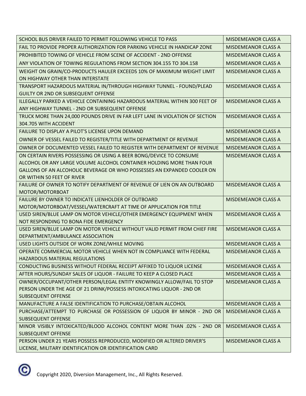| SCHOOL BUS DRIVER FAILED TO PERMIT FOLLOWING VEHICLE TO PASS                                          | <b>MISDEMEANOR CLASS A</b> |
|-------------------------------------------------------------------------------------------------------|----------------------------|
| FAIL TO PROVIDE PROPER AUTHORIZATION FOR PARKING VEHICLE IN HANDICAP ZONE                             | <b>MISDEMEANOR CLASS A</b> |
| PROHIBITED TOWING OF VEHICLE FROM SCENE OF ACCIDENT - 2ND OFFENSE                                     | <b>MISDEMEANOR CLASS A</b> |
| ANY VIOLATION OF TOWING REGULATIONS FROM SECTION 304.155 TO 304.158                                   | <b>MISDEMEANOR CLASS A</b> |
| WEIGHT ON GRAIN/CO-PRODUCTS HAULER EXCEEDS 10% OF MAXIMUM WEIGHT LIMIT                                | <b>MISDEMEANOR CLASS A</b> |
| ON HIGHWAY OTHER THAN INTERSTATE                                                                      |                            |
| TRANSPORT HAZARDOUS MATERIAL IN/THROUGH HIGHWAY TUNNEL - FOUND/PLEAD                                  | <b>MISDEMEANOR CLASS A</b> |
| <b>GUILTY OR 2ND OR SUBSEQUENT OFFENSE</b>                                                            |                            |
| ILLEGALLY PARKED A VEHICLE CONTAINING HAZARDOUS MATERIAL WITHIN 300 FEET OF                           | <b>MISDEMEANOR CLASS A</b> |
| ANY HIGHWAY TUNNEL - 2ND OR SUBSEQUENT OFFENSE                                                        |                            |
| TRUCK MORE THAN 24,000 POUNDS DRIVE IN FAR LEFT LANE IN VIOLATION OF SECTION<br>304.705 WITH ACCIDENT | <b>MISDEMEANOR CLASS A</b> |
| FAILURE TO DISPLAY A PILOT'S LICENSE UPON DEMAND                                                      | <b>MISDEMEANOR CLASS A</b> |
| OWNER OF VESSEL FAILED TO REGISTER/TITLE WITH DEPARTMENT OF REVENUE                                   | <b>MISDEMEANOR CLASS A</b> |
| OWNER OF DOCUMENTED VESSEL FAILED TO REGISTER WITH DEPARTMENT OF REVENUE                              | <b>MISDEMEANOR CLASS A</b> |
| ON CERTAIN RIVERS POSSESSING OR USING A BEER BONG/DEVICE TO CONSUME                                   | <b>MISDEMEANOR CLASS A</b> |
| ALCOHOL OR ANY LARGE VOLUME ALCOHOL CONTAINER HOLDING MORE THAN FOUR                                  |                            |
| GALLONS OF AN ALCOHOLIC BEVERAGE OR WHO POSSESSES AN EXPANDED COOLER ON                               |                            |
| OR WITHIN 50 FEET OF RIVER                                                                            |                            |
| FAILURE OF OWNER TO NOTIFY DEPARTMENT OF REVENUE OF LIEN ON AN OUTBOARD                               | <b>MISDEMEANOR CLASS A</b> |
| MOTOR/MOTORBOAT                                                                                       |                            |
| FAILURE BY OWNER TO INDICATE LIENHOLDER OF OUTBOARD                                                   | <b>MISDEMEANOR CLASS A</b> |
| MOTOR/MOTORBOAT/VESSEL/WATERCRAFT AT TIME OF APPLICATION FOR TITLE                                    |                            |
| USED SIREN/BLUE LAMP ON MOTOR VEHICLE/OTHER EMERGENCY EQUIPMENT WHEN                                  | <b>MISDEMEANOR CLASS A</b> |
| NOT RESPONDING TO BONA FIDE EMERGENCY                                                                 |                            |
| USED SIREN/BLUE LAMP ON MOTOR VEHICLE WITHOUT VALID PERMIT FROM CHIEF FIRE                            | <b>MISDEMEANOR CLASS A</b> |
| DEPARTMENT/AMBULANCE ASSOCIATION                                                                      |                            |
| USED LIGHTS OUTSIDE OF WORK ZONE/WHILE MOVING                                                         | <b>MISDEMEANOR CLASS A</b> |
| OPERATE COMMERCIAL MOTOR VEHICLE WHEN NOT IN COMPLIANCE WITH FEDERAL                                  | <b>MISDEMEANOR CLASS A</b> |
| HAZARDOUS MATERIAL REGULATIONS                                                                        |                            |
| CONDUCTING BUSINESS WITHOUT FEDERAL RECEIPT AFFIXED TO LIQUOR LICENSE                                 | <b>MISDEMEANOR CLASS A</b> |
| AFTER HOURS/SUNDAY SALES OF LIQUOR - FAILURE TO KEEP A CLOSED PLACE                                   | <b>MISDEMEANOR CLASS A</b> |
| OWNER/OCCUPANT/OTHER PERSON/LEGAL ENTITY KNOWINGLY ALLOW/FAIL TO STOP                                 | <b>MISDEMEANOR CLASS A</b> |
| PERSON UNDER THE AGE OF 21 DRINK/POSSESS INTOXICATING LIQUOR - 2ND OR                                 |                            |
| <b>SUBSEQUENT OFFENSE</b>                                                                             |                            |
| MANUFACTURE A FALSE IDENTIFICATION TO PURCHASE/OBTAIN ALCOHOL                                         | <b>MISDEMEANOR CLASS A</b> |
| PURCHASE/ATTEMPT TO PURCHASE OR POSSESSION OF LIQUOR BY MINOR - 2ND OR                                | <b>MISDEMEANOR CLASS A</b> |
| <b>SUBSEQUENT OFFENSE</b>                                                                             |                            |
| MINOR VISIBLY INTOXICATED/BLOOD ALCOHOL CONTENT MORE THAN .02% - 2ND OR                               | <b>MISDEMEANOR CLASS A</b> |
| <b>SUBSEQUENT OFFENSE</b>                                                                             |                            |
| PERSON UNDER 21 YEARS POSSESS REPRODUCED, MODIFIED OR ALTERED DRIVER'S                                | <b>MISDEMEANOR CLASS A</b> |
| LICENSE, MILITARY IDENTIFICATION OR IDENTIFICATION CARD                                               |                            |

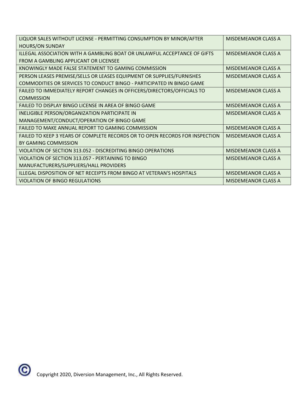| LIQUOR SALES WITHOUT LICENSE - PERMITTING CONSUMPTION BY MINOR/AFTER         | MISDEMEANOR CLASS A        |
|------------------------------------------------------------------------------|----------------------------|
| <b>HOURS/ON SUNDAY</b>                                                       |                            |
| ILLEGAL ASSOCIATION WITH A GAMBLING BOAT OR UNLAWFUL ACCEPTANCE OF GIFTS     | <b>MISDEMEANOR CLASS A</b> |
| FROM A GAMBLING APPLICANT OR LICENSEE                                        |                            |
| KNOWINGLY MADE FALSE STATEMENT TO GAMING COMMISSION                          | MISDEMEANOR CLASS A        |
| PERSON LEASES PREMISE/SELLS OR LEASES EQUIPMENT OR SUPPLIES/FURNISHES        | <b>MISDEMEANOR CLASS A</b> |
| COMMODITIES OR SERVICES TO CONDUCT BINGO - PARTICIPATED IN BINGO GAME        |                            |
| FAILED TO IMMEDIATELY REPORT CHANGES IN OFFICERS/DIRECTORS/OFFICIALS TO      | MISDEMEANOR CLASS A        |
| <b>COMMISSION</b>                                                            |                            |
| FAILED TO DISPLAY BINGO LICENSE IN AREA OF BINGO GAME                        | <b>MISDEMEANOR CLASS A</b> |
| INELIGIBLE PERSON/ORGANIZATION PARTICIPATE IN                                | <b>MISDEMEANOR CLASS A</b> |
| MANAGEMENT/CONDUCT/OPERATION OF BINGO GAME                                   |                            |
| FAILED TO MAKE ANNUAL REPORT TO GAMING COMMISSION                            | MISDEMEANOR CLASS A        |
| FAILED TO KEEP 3 YEARS OF COMPLETE RECORDS OR TO OPEN RECORDS FOR INSPECTION | MISDEMEANOR CLASS A        |
| BY GAMING COMMISSION                                                         |                            |
| VIOLATION OF SECTION 313.052 - DISCREDITING BINGO OPERATIONS                 | MISDEMEANOR CLASS A        |
| VIOLATION OF SECTION 313.057 - PERTAINING TO BINGO                           | MISDEMEANOR CLASS A        |
| MANUFACTURERS/SUPPLIERS/HALL PROVIDERS                                       |                            |
| ILLEGAL DISPOSITION OF NET RECEIPTS FROM BINGO AT VETERAN'S HOSPITALS        | <b>MISDEMEANOR CLASS A</b> |
| <b>VIOLATION OF BINGO REGULATIONS</b>                                        | <b>MISDEMEANOR CLASS A</b> |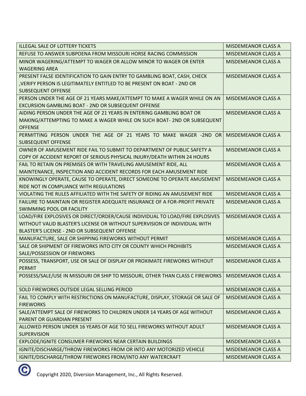| <b>ILLEGAL SALE OF LOTTERY TICKETS</b>                                         | <b>MISDEMEANOR CLASS A</b> |
|--------------------------------------------------------------------------------|----------------------------|
| REFUSE TO ANSWER SUBPOENA FROM MISSOURI HORSE RACING COMMISSION                | <b>MISDEMEANOR CLASS A</b> |
| MINOR WAGERING/ATTEMPT TO WAGER OR ALLOW MINOR TO WAGER OR ENTER               | <b>MISDEMEANOR CLASS A</b> |
| <b>WAGERING AREA</b>                                                           |                            |
| PRESENT FALSE IDENTIFICATION TO GAIN ENTRY TO GAMBLING BOAT, CASH, CHECK       | <b>MISDEMEANOR CLASS A</b> |
| , VERIFY PERSON IS LEGITIMATELY ENTITLED TO BE PRESENT ON BOAT - 2ND OR        |                            |
| <b>SUBSEQUENT OFFENSE</b>                                                      |                            |
| PERSON UNDER THE AGE OF 21 YEARS MAKE/ATTEMPT TO MAKE A WAGER WHILE ON AN      | <b>MISDEMEANOR CLASS A</b> |
| EXCURSION GAMBLING BOAT - 2ND OR SUBSEQUENT OFFENSE                            |                            |
| AIDING PERSON UNDER THE AGE OF 21 YEARS IN ENTERING GAMBLING BOAT OR           | <b>MISDEMEANOR CLASS A</b> |
| MAKING/ATTEMPTING TO MAKE A WAGER WHILE ON SUCH BOAT- 2ND OR SUBSEQUENT        |                            |
| <b>OFFENSE</b>                                                                 |                            |
| PERMITTING PERSON UNDER THE AGE OF 21 YEARS TO MAKE WAGER -2ND OR              | <b>MISDEMEANOR CLASS A</b> |
| <b>SUBSEQUENT OFFENSE</b>                                                      |                            |
| OWNER OF AMUSEMENT RIDE FAIL TO SUBMIT TO DEPARTMENT OF PUBLIC SAFETY A        | <b>MISDEMEANOR CLASS A</b> |
| COPY OF ACCIDENT REPORT OF SERIOUS PHYSICAL INJURY/DEATH WITHIN 24 HOURS       |                            |
| FAIL TO RETAIN ON PREMISES OR WITH TRAVELING AMUSEMENT RIDE, ALL               | <b>MISDEMEANOR CLASS A</b> |
| MAINTENANCE, INSPECTION AND ACCIDENT RECORDS FOR EACH AMUSEMENT RIDE           |                            |
| KNOWINGLY OPERATE, CAUSE TO OPERATE, DIRECT SOMEONE TO OPERATE AMUSEMENT       | <b>MISDEMEANOR CLASS A</b> |
| RIDE NOT IN COMPLIANCE WITH REGULATIONS                                        |                            |
| VIOLATING THE RULES AFFILIATED WITH THE SAFETY OF RIDING AN AMUSEMENT RIDE     | <b>MISDEMEANOR CLASS A</b> |
| FAILURE TO MAINTAIN OR REGISTER ADEQUATE INSURANCE OF A FOR-PROFIT PRIVATE     | <b>MISDEMEANOR CLASS A</b> |
| <b>SWIMMING POOL OR FACILITY</b>                                               |                            |
| LOAD/FIRE EXPLOSIVES OR DIRECT/ORDER/CAUSE INDIVIDUAL TO LOAD/FIRE EXPLOSIVES  | <b>MISDEMEANOR CLASS A</b> |
| WITHOUT VALID BLASTER'S LICENSE OR WITHOUT SUPERVISION OF INDIVIDUAL WITH      |                            |
| BLASTER'S LICENSE - 2ND OR SUBSEQUENT OFFENSE                                  |                            |
| MANUFACTURE, SALE OR SHIPPING FIREWORKS WITHOUT PERMIT                         | <b>MISDEMEANOR CLASS A</b> |
| SALE OR SHIPMENT OF FIREWORKS INTO CITY OR COUNTY WHICH PROHIBITS              | <b>MISDEMEANOR CLASS A</b> |
| SALE/POSSESSION OF FIREWORKS                                                   |                            |
| POSSESS, TRANSPORT, USE OR SALE OF DISPLAY OR PROXIMATE FIREWORKS WITHOUT      | <b>MISDEMEANOR CLASS A</b> |
| PERMIT                                                                         |                            |
| POSSESS/SALE/USE IN MISSOURI OR SHIP TO MISSOURI, OTHER THAN CLASS C FIREWORKS | <b>MISDEMEANOR CLASS A</b> |
| SOLD FIREWORKS OUTSIDE LEGAL SELLING PERIOD                                    | <b>MISDEMEANOR CLASS A</b> |
| FAIL TO COMPLY WITH RESTRICTIONS ON MANUFACTURE, DISPLAY, STORAGE OR SALE OF   | <b>MISDEMEANOR CLASS A</b> |
| <b>FIREWORKS</b>                                                               |                            |
| SALE/ATTEMPT SALE OF FIREWORKS TO CHILDREN UNDER 14 YEARS OF AGE WITHOUT       | <b>MISDEMEANOR CLASS A</b> |
| PARENT OR GUARDIAN PRESENT                                                     |                            |
| ALLOWED PERSON UNDER 16 YEARS OF AGE TO SELL FIREWORKS WITHOUT ADULT           | <b>MISDEMEANOR CLASS A</b> |
| <b>SUPERVISION</b>                                                             |                            |
| EXPLODE/IGNITE CONSUMER FIREWORKS NEAR CERTAIN BUILDINGS                       | <b>MISDEMEANOR CLASS A</b> |
| IGNITE/DISCHARGE/THROW FIREWORKS FROM OR INTO ANY MOTORIZED VEHICLE            | <b>MISDEMEANOR CLASS A</b> |
| IGNITE/DISCHARGE/THROW FIREWORKS FROM/INTO ANY WATERCRAFT                      | <b>MISDEMEANOR CLASS A</b> |
|                                                                                |                            |

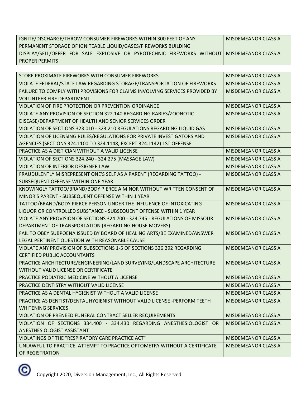| IGNITE/DISCHARGE/THROW CONSUMER FIREWORKS WITHIN 300 FEET OF ANY                             | MISDEMEANOR CLASS A |
|----------------------------------------------------------------------------------------------|---------------------|
| PERMANENT STORAGE OF IGNITEABLE LIQUID/GASES/FIREWORKS BUILDING                              |                     |
| DISPLAY/SELL/OFFER FOR SALE EXPLOSIVE OR PYROTECHNIC FIREWORKS WITHOUT   MISDEMEANOR CLASS A |                     |
| <b>PROPER PERMITS</b>                                                                        |                     |

| STORE PROXIMATE FIREWORKS WITH CONSUMER FIREWORKS                             | <b>MISDEMEANOR CLASS A</b> |
|-------------------------------------------------------------------------------|----------------------------|
| VIOLATE FEDERAL/STATE LAW REGARDING STORAGE/TRANSPORTATION OF FIREWORKS       | <b>MISDEMEANOR CLASS A</b> |
| FAILURE TO COMPLY WITH PROVISIONS FOR CLAIMS INVOLVING SERVICES PROVIDED BY   | <b>MISDEMEANOR CLASS A</b> |
| <b>VOLUNTEER FIRE DEPARTMENT</b>                                              |                            |
| VIOLATION OF FIRE PROTECTION OR PREVENTION ORDINANCE                          | <b>MISDEMEANOR CLASS A</b> |
| VIOLATE ANY PROVISION OF SECTION 322.140 REGARDING RABIES/ZOONOTIC            | <b>MISDEMEANOR CLASS A</b> |
| DISEASE/DEPARTMENT OF HEALTH AND SENIOR SERVICES ORDER                        |                            |
| VIOLATION OF SECTIONS 323.010 - 323.210 REGULATIONS REGARDING LIQUID GAS      | <b>MISDEMEANOR CLASS A</b> |
| VIOLATION OF LICENSING RULES/REGULATIONS FOR PRIVATE INVESTIGATORS AND        | <b>MISDEMEANOR CLASS A</b> |
| AGENCIES (SECTIONS 324.1100 TO 324.1148, EXCEPT 324.1142) 1ST OFFENSE         |                            |
| PRACTICE AS A DIETICIAN WITHOUT A VALID LICENSE                               | <b>MISDEMEANOR CLASS A</b> |
| VIOLATION OF SECTIONS 324.240 - 324.275 (MASSAGE LAW)                         | <b>MISDEMEANOR CLASS A</b> |
| VIOLATION OF INTERIOR DESIGNER LAW                                            | <b>MISDEMEANOR CLASS A</b> |
| FRAUDULENTLY MISREPRESENT ONE'S SELF AS A PARENT (REGARDING TATTOO) -         | <b>MISDEMEANOR CLASS A</b> |
| SUBSEQUENT OFFENSE WITHIN ONE YEAR                                            |                            |
| KNOWINGLY TATTOO/BRAND/BODY PIERCE A MINOR WITHOUT WRITTEN CONSENT OF         | <b>MISDEMEANOR CLASS A</b> |
| MINOR'S PARENT - SUBSEQUENT OFFENSE WITHIN 1 YEAR                             |                            |
| TATTOO/BRAND/BODY PIERCE PERSON UNDER THE INFLUENCE OF INTOXICATING           | <b>MISDEMEANOR CLASS A</b> |
| LIQUOR OR CONTROLLED SUBSTANCE - SUBSEQUENT OFFENSE WITHIN 1 YEAR             |                            |
| VIOLATE ANY PROVISION OF SECTIONS 324.700 - 324.745 - REGULATIONS OF MISSOURI | <b>MISDEMEANOR CLASS A</b> |
| DEPARTMENT OF TRANSPORTATION (REGARDING HOUSE MOVERS)                         |                            |
| FAIL TO OBEY SUBPOENA ISSUED BY BOARD OF HEALING ARTS/BE EXAMINED/ANSWER      | <b>MISDEMEANOR CLASS A</b> |
| LEGAL PERTINENT QUESTION WITH REASONABLE CAUSE                                |                            |
| VIOLATE ANY PROVISION OF SUBSECTIONS 1-5 OF SECTIONS 326.292 REGARDING        | <b>MISDEMEANOR CLASS A</b> |
| <b>CERTIFIED PUBLIC ACCOUNTANTS</b>                                           |                            |
| PRACTICE ARCHITECTURE/ENGINEERING/LAND SURVEYING/LANDSCAPE ARCHITECTURE       | <b>MISDEMEANOR CLASS A</b> |
| WITHOUT VALID LICENSE OR CERTIFICATE                                          |                            |
| PRACTICE PODIATRIC MEDICINE WITHOUT A LICENSE                                 | <b>MISDEMEANOR CLASS A</b> |
| PRACTICE DENTISTRY WITHOUT VALID LICENSE                                      | <b>MISDEMEANOR CLASS A</b> |
| PRACTICE AS A DENTAL HYGIENIST WITHOUT A VALID LICENSE                        | <b>MISDEMEANOR CLASS A</b> |
| PRACTICE AS DENTIST/DENTAL HYGIENIST WITHOUT VALID LICENSE -PERFORM TEETH     | <b>MISDEMEANOR CLASS A</b> |
| <b>WHITENING SERVICES</b>                                                     |                            |
| VIOLATION OF PRENEED FUNERAL CONTRACT SELLER REQUIREMENTS                     | MISDEMEANOR CLASS A        |
| VIOLATION OF SECTIONS 334.400 - 334.430 REGARDING ANESTHESIOLOGIST OR         | <b>MISDEMEANOR CLASS A</b> |
| ANESTHESIOLOGIST ASSISTANT                                                    |                            |
| VIOLATINGS OF THE "RESPIRATORY CARE PRACTICE ACT"                             | <b>MISDEMEANOR CLASS A</b> |
| UNLAWFUL TO PRACTICE, ATTEMPT TO PRACTICE OPTOMETRY WITHOUT A CERTIFICATE     | <b>MISDEMEANOR CLASS A</b> |
| OF REGISTRATION                                                               |                            |

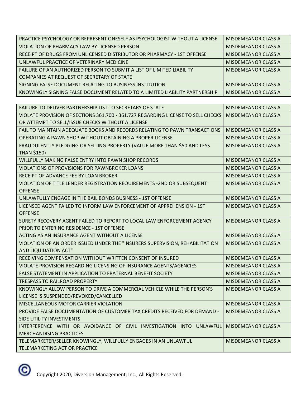| PRACTICE PSYCHOLOGY OR REPRESENT ONESELF AS PSYCHOLOGIST WITHOUT A LICENSE  | MISDEMEANOR CLASS A |
|-----------------------------------------------------------------------------|---------------------|
| VIOLATION OF PHARMACY LAW BY LICENSED PERSON                                | MISDEMEANOR CLASS A |
| RECEIPT OF DRUGS FROM UNLICENSED DISTRIBUTOR OR PHARMACY - 1ST OFFENSE      | MISDEMEANOR CLASS A |
| UNLAWFUL PRACTICE OF VETERINARY MEDICINE                                    | MISDEMEANOR CLASS A |
| FAILURE OF AN AUTHORIZED PERSON TO SUBMIT A LIST OF LIMITED LIABILITY       | MISDEMEANOR CLASS A |
| COMPANIES AT REQUEST OF SECRETARY OF STATE                                  |                     |
| SIGNING FALSE DOCUMENT RELATING TO BUSINESS INSTITUTION                     | MISDEMEANOR CLASS A |
| KNOWINGLY SIGNING FALSE DOCUMENT RELATED TO A LIMITED LIABILITY PARTNERSHIP | MISDEMEANOR CLASS A |

| <b>FAILURE TO DELIVER PARTNERSHIP LIST TO SECRETARY OF STATE</b>                 | <b>MISDEMEANOR CLASS A</b> |
|----------------------------------------------------------------------------------|----------------------------|
| VIOLATE PROVISION OF SECTIONS 361.700 - 361.727 REGARDING LICENSE TO SELL CHECKS | <b>MISDEMEANOR CLASS A</b> |
| OR ATTEMPT TO SELL/ISSUE CHECKS WITHOUT A LICENSE                                |                            |
| FAIL TO MAINTAIN ADEQUATE BOOKS AND RECORDS RELATING TO PAWN TRANSACTIONS        | <b>MISDEMEANOR CLASS A</b> |
| OPERATING A PAWN SHOP WITHOUT OBTAINING A PROPER LICENSE                         | <b>MISDEMEANOR CLASS A</b> |
| FRAUDULENTLY PLEDGING OR SELLING PROPERTY (VALUE MORE THAN \$50 AND LESS         | <b>MISDEMEANOR CLASS A</b> |
| <b>THAN \$150)</b>                                                               |                            |
| WILLFULLY MAKING FALSE ENTRY INTO PAWN SHOP RECORDS                              | <b>MISDEMEANOR CLASS A</b> |
| VIOLATIONS OF PROVISIONS FOR PAWNBROKER LOANS                                    | MISDEMEANOR CLASS A        |
| RECEIPT OF ADVANCE FEE BY LOAN BROKER                                            | MISDEMEANOR CLASS A        |
| VIOLATION OF TITLE LENDER REGISTRATION REQUIREMENTS -2ND OR SUBSEQUENT           | <b>MISDEMEANOR CLASS A</b> |
| <b>OFFENSE</b>                                                                   |                            |
| UNLAWFULLY ENGAGE IN THE BAIL BONDS BUSINESS - 1ST OFFENSE                       | <b>MISDEMEANOR CLASS A</b> |
| LICENSED AGENT FAILED TO INFORM LAW ENFORCEMENT OF APPREHENSION - 1ST            | <b>MISDEMEANOR CLASS A</b> |
| <b>OFFENSE</b>                                                                   |                            |
| SURETY RECOVERY AGENT FAILED TO REPORT TO LOCAL LAW ENFORCEMENT AGENCY           | <b>MISDEMEANOR CLASS A</b> |
| <b>PRIOR TO ENTERING RESIDENCE - 1ST OFFENSE</b>                                 |                            |
| ACTING AS AN INSURANCE AGENT WITHOUT A LICENSE                                   | <b>MISDEMEANOR CLASS A</b> |
| VIOLATION OF AN ORDER ISSUED UNDER THE "INSURERS SUPERVISION, REHABILITATION     | <b>MISDEMEANOR CLASS A</b> |
| AND LIQUIDATION ACT"                                                             |                            |
| RECEIVING COMPENSATION WITHOUT WRITTEN CONSENT OF INSURED                        | MISDEMEANOR CLASS A        |
| VIOLATE PROVISION REGARDING LICENSING OF INSURANCE AGENTS/AGENCIES               | <b>MISDEMEANOR CLASS A</b> |
| FALSE STATEMENT IN APPLICATION TO FRATERNAL BENEFIT SOCIETY                      | <b>MISDEMEANOR CLASS A</b> |
| <b>TRESPASS TO RAILROAD PROPERTY</b>                                             | MISDEMEANOR CLASS A        |
| KNOWINGLY ALLOW PERSON TO DRIVE A COMMERCIAL VEHICLE WHILE THE PERSON'S          | <b>MISDEMEANOR CLASS A</b> |
| LICENSE IS SUSPENDED/REVOKED/CANCELLED                                           |                            |
| MISCELLANEOUS MOTOR CARRIER VIOLATION                                            | <b>MISDEMEANOR CLASS A</b> |
| PROVIDE FALSE DOCUMENTATION OF CUSTOMER TAX CREDITS RECEIVED FOR DEMAND -        | MISDEMEANOR CLASS A        |
| SIDE UTILITY INVESTMENTS                                                         |                            |
| INTERFERENCE WITH OR AVOIDANCE OF CIVIL INVESTIGATION INTO UNLAWFUL              | <b>MISDEMEANOR CLASS A</b> |
| <b>MERCHANDISING PRACTICES</b>                                                   |                            |
| TELEMARKETER/SELLER KNOWINGLY, WILLFULLY ENGAGES IN AN UNLAWFUL                  | <b>MISDEMEANOR CLASS A</b> |
| TELEMARKETING ACT OR PRACTICE                                                    |                            |

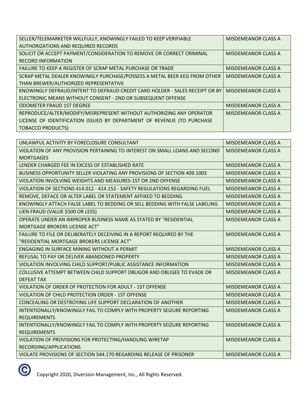| SELLER/TELEMARKETER WILLFULLY, KNOWINGLY FAILED TO KEEP VERIFIABLE           | MISDEMEANOR CLASS A        |
|------------------------------------------------------------------------------|----------------------------|
| <b>AUTHORIZATIONS AND REQUIRED RECORDS</b>                                   |                            |
| SOLICIT OR ACCEPT PAYMENT/CONSIDERATION TO REMOVE OR CORRECT CRIMINAL        | MISDEMEANOR CLASS A        |
| <b>RECORD INFORMATION</b>                                                    |                            |
| FAILURE TO KEEP A REGISTER OF SCRAP METAL PURCHASE OR TRADE                  | MISDEMEANOR CLASS A        |
| SCRAP METAL DEALER KNOWINGLY PURCHASE/POSSESS A METAL BEER KEG FROM OTHER    | MISDEMEANOR CLASS A        |
| THAN BREWER/AUTHORIZED REPRESENTATIVE                                        |                            |
| KNOWINGLY DEFRAUD/INTENT TO DEFRAUD CREDIT CARD HOLDER - SALES RECEIPT OR BY | <b>MISDEMEANOR CLASS A</b> |
| ELECTRONIC MEANS WITHOUT CONSENT - 2ND OR SUBSEQUENT OFFENSE                 |                            |
| <b>ODOMETER FRAUD 1ST DEGREE</b>                                             | <b>MISDEMEANOR CLASS A</b> |
| REPRODUCE/ALTER/MODIFY/MISREPRESENT WITHOUT AUTHORIZING ANY OPERATOR         | <b>MISDEMEANOR CLASS A</b> |
| LICENSE OF IDENTIFICATION ISSUED BY DEPARTMENT OF REVENUE (TO PURCHASE       |                            |
| <b>TOBACCO PRODUCTS)</b>                                                     |                            |

| UNLAWFUL ACTIVITY BY FORECLOSURE CONSULTANT                                                  | <b>MISDEMEANOR CLASS A</b> |
|----------------------------------------------------------------------------------------------|----------------------------|
| VIOLATION OF ANY PROVISION PERTAINING TO INTEREST ON SMALL LOANS AND SECOND                  | <b>MISDEMEANOR CLASS A</b> |
| <b>MORTGAGES</b>                                                                             |                            |
| LENDER CHARGED FEE IN EXCESS OF ESTABLISHED RATE                                             | <b>MISDEMEANOR CLASS A</b> |
| BUSINESS OPPORTUNITY SELLER VIOLATING ANY PROVISIONS OF SECTION 409.1003                     | <b>MISDEMEANOR CLASS A</b> |
| VIOLATION INVOLVING WEIGHTS AND MEASURES-1ST OR 2ND OFFENSE                                  | <b>MISDEMEANOR CLASS A</b> |
| VIOLATION OF SECTIONS 414.012 - 414.152 - SAFETY REGULATIONS REGARDING FUEL                  | <b>MISDEMEANOR CLASS A</b> |
| REMOVE, DEFACE OR ALTER LABEL OR STATEMENT AFFIXED TO BEDDING                                | <b>MISDEMEANOR CLASS A</b> |
| KNOWINGLY ATTACH FALSE LABEL TO BEDDING OR SELL BEDDING WITH FALSE LABELING                  | <b>MISDEMEANOR CLASS A</b> |
| LIEN FRAUD (VALUE \$500 OR LESS)                                                             | <b>MISDEMEANOR CLASS A</b> |
| OPERATE UNDER AN IMPROPER BUSINESS NAME AS STATED BY "RESIDENTIAL                            | <b>MISDEMEANOR CLASS A</b> |
| <b>MORTGAGE BROKERS LICENSE ACT"</b>                                                         |                            |
| FAILURE TO FILE OR DELIBERATELY DECEIVING IN A REPORT REQUIRED BY THE                        | <b>MISDEMEANOR CLASS A</b> |
| "RESIDENTIAL MORTGAGE BROKERS LICENSE ACT"                                                   |                            |
| ENGAGING IN SURFACE MINING WITHOUT A PERMIT                                                  | <b>MISDEMEANOR CLASS A</b> |
| REFUSAL TO PAY OR DELIVER ABANDONED PROPERTY                                                 | <b>MISDEMEANOR CLASS A</b> |
| VIOLATION INVOLVING CHILD SUPPORT/PUBLIC ASSISTANCE INFORMATION                              | <b>MISDEMEANOR CLASS A</b> |
| COLLUSIVE ATTEMPT BETWEEN CHILD SUPPORT OBLIGOR AND OBLIGEE TO EVADE OR<br><b>DEFEAT TAX</b> | <b>MISDEMEANOR CLASS A</b> |
| VIOLATION OF ORDER OF PROTECTION FOR ADULT - 1ST OFFENSE                                     | <b>MISDEMEANOR CLASS A</b> |
| VIOLATION OF CHILD PROTECTION ORDER - 1ST OFFENSE                                            | <b>MISDEMEANOR CLASS A</b> |
| CONCEALING OR DESTROYING LIFE SUPPORT DECLARATION OF ANOTHER                                 | <b>MISDEMEANOR CLASS A</b> |
| INTENTIONALLY/KNOWINGLY FAIL TO COMPLY WITH PROPERTY SEIZURE REPORTING                       | <b>MISDEMEANOR CLASS A</b> |
| <b>REQUIREMENTS</b>                                                                          |                            |
| INTENTIONALLY/KNOWINGLY FAIL TO COMPLY WITH PROPERTY SEIZURE REPORTING                       | <b>MISDEMEANOR CLASS A</b> |
| <b>REQUIREMENTS</b>                                                                          |                            |
| VIOLATION OF PROVISIONS FOR PROTECTING/HANDLING WIRETAP                                      | <b>MISDEMEANOR CLASS A</b> |
| RECORDING/APPLICATIONS                                                                       |                            |
| VIOLATE PROVISIONS OF SECTION 544.170 REGARDING RELEASE OF PRISONER                          | <b>MISDEMEANOR CLASS A</b> |

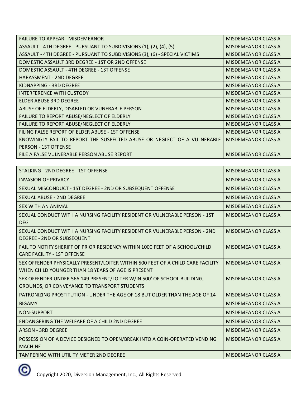| <b>FAILURE TO APPEAR - MISDEMEANOR</b>                                     | MISDEMEANOR CLASS A        |
|----------------------------------------------------------------------------|----------------------------|
| ASSAULT - 4TH DEGREE - PURSUANT TO SUBDIVISIONS (1), (2), (4), (5)         | <b>MISDEMEANOR CLASS A</b> |
| ASSAULT - 4TH DEGREE - PURSUANT TO SUBDIVISIONS (3), (6) - SPECIAL VICTIMS | <b>MISDEMEANOR CLASS A</b> |
| DOMESTIC ASSAULT 3RD DEGREE - 1ST OR 2ND OFFENSE                           | <b>MISDEMEANOR CLASS A</b> |
| DOMESTIC ASSAULT - 4TH DEGREE - 1ST OFFENSE                                | <b>MISDEMEANOR CLASS A</b> |
| <b>HARASSMENT - 2ND DEGREE</b>                                             | <b>MISDEMEANOR CLASS A</b> |
| KIDNAPPING - 3RD DEGREE                                                    | <b>MISDEMEANOR CLASS A</b> |
| INTERFERENCE WITH CUSTODY                                                  | MISDEMEANOR CLASS A        |
| <b>ELDER ABUSE 3RD DEGREE</b>                                              | <b>MISDEMEANOR CLASS A</b> |
| ABUSE OF ELDERLY, DISABLED OR VUNERABLE PERSON                             | <b>MISDEMEANOR CLASS A</b> |
| FAILURE TO REPORT ABUSE/NEGLECT OF ELDERLY                                 | <b>MISDEMEANOR CLASS A</b> |
| FAILURE TO REPORT ABUSE/NEGLECT OF ELDERLY                                 | <b>MISDEMEANOR CLASS A</b> |
| FILING FALSE REPORT OF ELDER ABUSE - 1ST OFFENSE                           | <b>MISDEMEANOR CLASS A</b> |
| KNOWINGLY FAIL TO REPORT THE SUSPECTED ABUSE OR NEGLECT OF A VULNERABLE    | <b>MISDEMEANOR CLASS A</b> |
| <b>PERSON - 1ST OFFENSE</b>                                                |                            |
| FILE A FALSE VULNERABLE PERSON ABUSE REPORT                                | <b>MISDEMEANOR CLASS A</b> |

| STALKING - 2ND DEGREE - 1ST OFFENSE                                                                                                   | <b>MISDEMEANOR CLASS A</b> |
|---------------------------------------------------------------------------------------------------------------------------------------|----------------------------|
| <b>INVASION OF PRIVACY</b>                                                                                                            | <b>MISDEMEANOR CLASS A</b> |
| SEXUAL MISCONDUCT - 1ST DEGREE - 2ND OR SUBSEQUENT OFFENSE                                                                            | <b>MISDEMEANOR CLASS A</b> |
| SEXUAL ABUSE - 2ND DEGREE                                                                                                             | <b>MISDEMEANOR CLASS A</b> |
| <b>SEX WITH AN ANIMAL</b>                                                                                                             | <b>MISDEMEANOR CLASS A</b> |
| SEXUAL CONDUCT WITH A NURSING FACILITY RESIDENT OR VULNERABLE PERSON - 1ST<br><b>DEG</b>                                              | <b>MISDEMEANOR CLASS A</b> |
| SEXUAL CONDUCT WITH A NURSING FACILITY RESIDENT OR VULNERABLE PERSON - 2ND<br>DEGREE - 2ND OR SUBSEQUENT                              | <b>MISDEMEANOR CLASS A</b> |
| FAIL TO NOTIFY SHERIFF OF PRIOR RESIDENCY WITHIN 1000 FEET OF A SCHOOL/CHILD<br><b>CARE FACILITY - 1ST OFFENSE</b>                    | <b>MISDEMEANOR CLASS A</b> |
| SEX OFFENDER PHYSICALLY PRESENT/LOITER WITHIN 500 FEET OF A CHILD CARE FACILITY<br>WHEN CHILD YOUNGER THAN 18 YEARS OF AGE IS PRESENT | <b>MISDEMEANOR CLASS A</b> |
| SEX OFFENDER UNDER 566.149 PRESENT/LOITER W/IN 500' OF SCHOOL BUILDING,<br>GROUNDS, OR CONVEYANCE TO TRANSPORT STUDENTS               | <b>MISDEMEANOR CLASS A</b> |
| PATRONIZING PROSTITUTION - UNDER THE AGE OF 18 BUT OLDER THAN THE AGE OF 14                                                           | <b>MISDEMEANOR CLASS A</b> |
| <b>BIGAMY</b>                                                                                                                         | <b>MISDEMEANOR CLASS A</b> |
| NON-SUPPORT                                                                                                                           | <b>MISDEMEANOR CLASS A</b> |
| ENDANGERING THE WELFARE OF A CHILD 2ND DEGREE                                                                                         | <b>MISDEMEANOR CLASS A</b> |
| <b>ARSON - 3RD DEGREE</b>                                                                                                             | <b>MISDEMEANOR CLASS A</b> |
| POSSESSION OF A DEVICE DESIGNED TO OPEN/BREAK INTO A COIN-OPERATED VENDING<br><b>MACHINE</b>                                          | <b>MISDEMEANOR CLASS A</b> |
| <b>TAMPERING WITH UTILITY METER 2ND DEGREE</b>                                                                                        | <b>MISDEMEANOR CLASS A</b> |

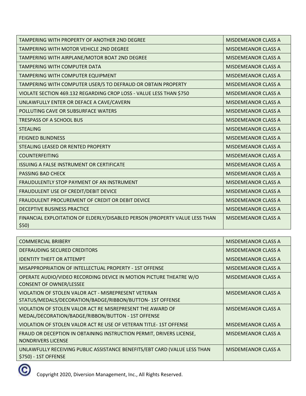| TAMPERING WITH PROPERTY OF ANOTHER 2ND DEGREE                                        | <b>MISDEMEANOR CLASS A</b> |
|--------------------------------------------------------------------------------------|----------------------------|
| TAMPERING WITH MOTOR VEHICLE 2ND DEGREE                                              | MISDEMEANOR CLASS A        |
| TAMPERING WITH AIRPLANE/MOTOR BOAT 2ND DEGREE                                        | <b>MISDEMEANOR CLASS A</b> |
| <b>TAMPERING WITH COMPUTER DATA</b>                                                  | <b>MISDEMEANOR CLASS A</b> |
| TAMPERING WITH COMPUTER EQUIPMENT                                                    | <b>MISDEMEANOR CLASS A</b> |
| TAMPERING WITH COMPUTER USER/S TO DEFRAUD OR OBTAIN PROPERTY                         | <b>MISDEMEANOR CLASS A</b> |
| VIOLATE SECTION 469.132 REGARDING CROP LOSS - VALUE LESS THAN \$750                  | <b>MISDEMEANOR CLASS A</b> |
| UNLAWFULLY ENTER OR DEFACE A CAVE/CAVERN                                             | <b>MISDEMEANOR CLASS A</b> |
| POLLUTING CAVE OR SUBSURFACE WATERS                                                  | <b>MISDEMEANOR CLASS A</b> |
| <b>TRESPASS OF A SCHOOL BUS</b>                                                      | <b>MISDEMEANOR CLASS A</b> |
| <b>STEALING</b>                                                                      | <b>MISDEMEANOR CLASS A</b> |
| <b>FEIGNED BLINDNESS</b>                                                             | <b>MISDEMEANOR CLASS A</b> |
| STEALING LEASED OR RENTED PROPERTY                                                   | <b>MISDEMEANOR CLASS A</b> |
| <b>COUNTERFEITING</b>                                                                | <b>MISDEMEANOR CLASS A</b> |
| ISSUING A FALSE INSTRUMENT OR CERTIFICATE                                            | MISDEMEANOR CLASS A        |
| <b>PASSING BAD CHECK</b>                                                             | <b>MISDEMEANOR CLASS A</b> |
| FRAUDULENTLY STOP PAYMENT OF AN INSTRUMENT                                           | <b>MISDEMEANOR CLASS A</b> |
| FRAUDULENT USE OF CREDIT/DEBIT DEVICE                                                | <b>MISDEMEANOR CLASS A</b> |
| FRAUDULENT PROCUREMENT OF CREDIT OR DEBIT DEVICE                                     | <b>MISDEMEANOR CLASS A</b> |
| DECEPTIVE BUSINESS PRACTICE                                                          | <b>MISDEMEANOR CLASS A</b> |
| FINANCIAL EXPLOITATION OF ELDERLY/DISABLED PERSON (PROPERTY VALUE LESS THAN<br>\$50) | <b>MISDEMEANOR CLASS A</b> |

| <b>COMMERCIAL BRIBERY</b>                                                                                        | <b>MISDEMEANOR CLASS A</b> |
|------------------------------------------------------------------------------------------------------------------|----------------------------|
| DEFRAUDING SECURED CREDITORS                                                                                     | MISDEMEANOR CLASS A        |
| <b>IDENTITY THEFT OR ATTEMPT</b>                                                                                 | MISDEMEANOR CLASS A        |
| MISAPPROPRIATION OF INTELLECTUAL PROPERTY - 1ST OFFENSE                                                          | <b>MISDEMEANOR CLASS A</b> |
| OPERATE AUDIO/VIDEO RECORDING DEVICE IN MOTION PICTURE THEATRE W/O<br><b>CONSENT OF OWNER/LESSEE</b>             | MISDEMEANOR CLASS A        |
| VIOLATION OF STOLEN VALOR ACT - MISREPRESENT VETERAN<br>STATUS/MEDALS/DECORATION/BADGE/RIBBON/BUTTON-1ST OFFENSE | MISDEMEANOR CLASS A        |
| VIOLATION OF STOLEN VALOR ACT RE MISREPRESENT THE AWARD OF<br>MEDAL/DECORATION/BADGE/RIBBON/BUTTON - 1ST OFFENSE | <b>MISDEMEANOR CLASS A</b> |
| VIOLATION OF STOLEN VALOR ACT RE USE OF VETERAN TITLE- 1ST OFFENSE                                               | <b>MISDEMEANOR CLASS A</b> |
| FRAUD OR DECEPTION IN OBTAINING INSTRUCTION PERMIT, DRIVERS LICENSE,<br>NONDRIVERS LICENSE                       | MISDEMEANOR CLASS A        |
| UNLAWFULLY RECEIVING PUBLIC ASSISTANCE BENEFITS/EBT CARD (VALUE LESS THAN<br>\$750) - 1ST OFFENSE                | <b>MISDEMEANOR CLASS A</b> |

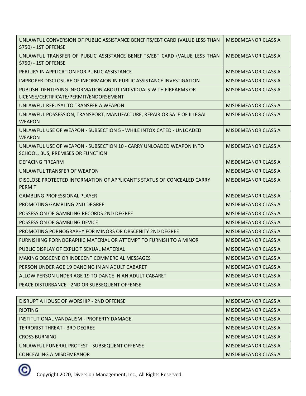| UNLAWFUL CONVERSION OF PUBLIC ASSISTANCE BENEFITS/EBT CARD (VALUE LESS THAN<br>\$750) - 1ST OFFENSE          | <b>MISDEMEANOR CLASS A</b> |
|--------------------------------------------------------------------------------------------------------------|----------------------------|
| UNLAWFUL TRANSFER OF PUBLIC ASSISTANCE BENEFITS/EBT CARD (VALUE LESS THAN<br>\$750) - 1ST OFFENSE            | <b>MISDEMEANOR CLASS A</b> |
| PERJURY IN APPLICATION FOR PUBLIC ASSISTANCE                                                                 | <b>MISDEMEANOR CLASS A</b> |
| <b>IMPROPER DISCLOSURE OF INFORMAION IN PUBLIC ASSISTANCE INVESTIGATION</b>                                  | <b>MISDEMEANOR CLASS A</b> |
| PUBLISH IDENTIFYING INFORMATION ABOUT INDIVIDUALS WITH FIREARMS OR<br>LICENSE/CERTIFICATE/PERMIT/ENDORSEMENT | MISDEMEANOR CLASS A        |
| UNLAWFUL REFUSAL TO TRANSFER A WEAPON                                                                        | <b>MISDEMEANOR CLASS A</b> |
| UNLAWFUL POSSESSION, TRANSPORT, MANUFACTURE, REPAIR OR SALE OF ILLEGAL<br><b>WEAPON</b>                      | MISDEMEANOR CLASS A        |
| UNLAWFUL USE OF WEAPON - SUBSECTION 5 - WHILE INTOXICATED - UNLOADED<br><b>WEAPON</b>                        | <b>MISDEMEANOR CLASS A</b> |
| UNLAWFUL USE OF WEAPON - SUBSECTION 10 - CARRY UNLOADED WEAPON INTO<br>SCHOOL, BUS, PREMISES OR FUNCTION     | <b>MISDEMEANOR CLASS A</b> |
| <b>DEFACING FIREARM</b>                                                                                      | <b>MISDEMEANOR CLASS A</b> |
| UNLAWFUL TRANSFER OF WEAPON                                                                                  | <b>MISDEMEANOR CLASS A</b> |
| DISCLOSE PROTECTED INFORMATION OF APPLICANT'S STATUS OF CONCEALED CARRY<br><b>PERMIT</b>                     | MISDEMEANOR CLASS A        |
| <b>GAMBLING PROFESSIONAL PLAYER</b>                                                                          | <b>MISDEMEANOR CLASS A</b> |
| PROMOTING GAMBLING 2ND DEGREE                                                                                | <b>MISDEMEANOR CLASS A</b> |
| POSSESSION OF GAMBLING RECORDS 2ND DEGREE                                                                    | MISDEMEANOR CLASS A        |
| POSSESSION OF GAMBLING DEVICE                                                                                | <b>MISDEMEANOR CLASS A</b> |
| PROMOTING PORNOGRAPHY FOR MINORS OR OBSCENITY 2ND DEGREE                                                     | <b>MISDEMEANOR CLASS A</b> |
| FURNISHING PORNOGRAPHIC MATERIAL OR ATTEMPT TO FURNISH TO A MINOR                                            | <b>MISDEMEANOR CLASS A</b> |
| PUBLIC DISPLAY OF EXPLICIT SEXUAL MATERIAL                                                                   | MISDEMEANOR CLASS A        |
| MAKING OBSCENE OR INDECENT COMMERCIAL MESSAGES                                                               | <b>MISDEMEANOR CLASS A</b> |
| PERSON UNDER AGE 19 DANCING IN AN ADULT CABARET                                                              | <b>MISDEMEANOR CLASS A</b> |
| ALLOW PERSON UNDER AGE 19 TO DANCE IN AN ADULT CABARET                                                       | MISDEMEANOR CLASS A        |
| PEACE DISTURBANCE - 2ND OR SUBSEQUENT OFFENSE                                                                | <b>MISDEMEANOR CLASS A</b> |

| DISRUPT A HOUSE OF WORSHIP - 2ND OFFENSE      | MISDEMEANOR CLASS A        |
|-----------------------------------------------|----------------------------|
| <b>RIOTING</b>                                | MISDEMEANOR CLASS A        |
| INSTITUTIONAL VANDALISM - PROPERTY DAMAGE     | MISDEMEANOR CLASS A        |
| <b>TERRORIST THREAT - 3RD DEGREE</b>          | <b>MISDEMEANOR CLASS A</b> |
| <b>CROSS BURNING</b>                          | MISDEMEANOR CLASS A        |
| UNLAWFUL FUNERAL PROTEST - SUBSEQUENT OFFENSE | MISDEMEANOR CLASS A        |
| CONCEALING A MISDEMEANOR                      | MISDEMEANOR CLASS A        |

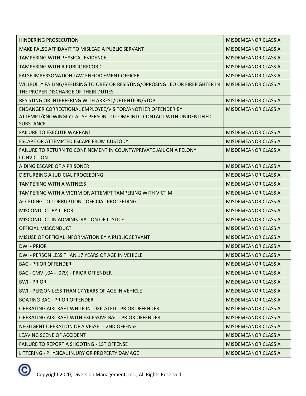| <b>HINDERING PROSECUTION</b>                                                                                                                            | <b>MISDEMEANOR CLASS A</b> |
|---------------------------------------------------------------------------------------------------------------------------------------------------------|----------------------------|
| MAKE FALSE AFFIDAVIT TO MISLEAD A PUBLIC SERVANT                                                                                                        | <b>MISDEMEANOR CLASS A</b> |
| <b>TAMPERING WITH PHYSICAL EVIDENCE</b>                                                                                                                 | <b>MISDEMEANOR CLASS A</b> |
| <b>TAMPERING WITH A PUBLIC RECORD</b>                                                                                                                   | <b>MISDEMEANOR CLASS A</b> |
| <b>FALSE IMPERSONATION LAW ENFORCEMENT OFFICER</b>                                                                                                      | <b>MISDEMEANOR CLASS A</b> |
| WILLFULLY FAILING/REFUSING TO OBEY OR RESISTING/OPPOSING LEO OR FIREFIGHTER IN<br>THE PROPER DISCHARGE OF THEIR DUTIES                                  | <b>MISDEMEANOR CLASS A</b> |
| RESISTING OR INTERFERING WITH ARREST/DETENTION/STOP                                                                                                     | <b>MISDEMEANOR CLASS A</b> |
| ENDANGER CORRECTIONAL EMPLOYEE/VISITOR/ANOTHER OFFENDER BY<br>ATTEMPT/KNOWINGLY CAUSE PERSON TO COME INTO CONTACT WITH UNIDENTIFIED<br><b>SUBSTANCE</b> | <b>MISDEMEANOR CLASS A</b> |
| <b>FAILURE TO EXECUTE WARRANT</b>                                                                                                                       | <b>MISDEMEANOR CLASS A</b> |
| ESCAPE OR ATTEMPTED ESCAPE FROM CUSTODY                                                                                                                 | <b>MISDEMEANOR CLASS A</b> |
| FAILURE TO RETURN TO CONFINEMENT IN COUNTY/PRIVATE JAIL ON A FELONY<br><b>CONVICTION</b>                                                                | <b>MISDEMEANOR CLASS A</b> |
| AIDING ESCAPE OF A PRISONER                                                                                                                             | <b>MISDEMEANOR CLASS A</b> |
| DISTURBING A JUDICIAL PROCEEDING                                                                                                                        | <b>MISDEMEANOR CLASS A</b> |
| <b>TAMPERING WITH A WITNESS</b>                                                                                                                         | <b>MISDEMEANOR CLASS A</b> |
| TAMPERING WITH A VICTIM OR ATTEMPT TAMPERING WITH VICTIM                                                                                                | <b>MISDEMEANOR CLASS A</b> |
| ACCEDING TO CORRUPTION - OFFICIAL PROCEEDING                                                                                                            | <b>MISDEMEANOR CLASS A</b> |
| <b>MISCONDUCT BY JUROR</b>                                                                                                                              | <b>MISDEMEANOR CLASS A</b> |
| MISCONDUCT IN ADMINISTRATION OF JUSTICE                                                                                                                 | <b>MISDEMEANOR CLASS A</b> |
| OFFICIAL MISCONDUCT                                                                                                                                     | <b>MISDEMEANOR CLASS A</b> |
| MISUSE OF OFFICIAL INFORMATION BY A PUBLIC SERVANT                                                                                                      | <b>MISDEMEANOR CLASS A</b> |
| <b>DWI-PRIOR</b>                                                                                                                                        | <b>MISDEMEANOR CLASS A</b> |
| DWI - PERSON LESS THAN 17 YEARS OF AGE IN VEHICLE                                                                                                       | <b>MISDEMEANOR CLASS A</b> |
| <b>BAC - PRIOR OFFENDER</b>                                                                                                                             | <b>MISDEMEANOR CLASS A</b> |
| BAC - CMV (.04 - .079) - PRIOR OFFENDER                                                                                                                 | <b>MISDEMEANOR CLASS A</b> |
| <b>BWI-PRIOR</b>                                                                                                                                        | <b>MISDEMEANOR CLASS A</b> |
| <b>BWI - PERSON LESS THAN 17 YEARS OF AGE IN VEHICLE</b>                                                                                                | <b>MISDEMEANOR CLASS A</b> |
| <b>BOATING BAC - PRIOR OFFENDER</b>                                                                                                                     | <b>MISDEMEANOR CLASS A</b> |
| OPERATING AIRCRAFT WHILE INTOXICATED - PRIOR OFFENDER                                                                                                   | <b>MISDEMEANOR CLASS A</b> |
| OPERATING AIRCRAFT WITH EXCESSIVE BAC - PRIOR OFFENDER                                                                                                  | <b>MISDEMEANOR CLASS A</b> |
| NEGLIGENT OPERATION OF A VESSEL - 2ND OFFENSE                                                                                                           | <b>MISDEMEANOR CLASS A</b> |
| LEAVING SCENE OF ACCIDENT                                                                                                                               | <b>MISDEMEANOR CLASS A</b> |
| <b>FAILURE TO REPORT A SHOOTING - 1ST OFFENSE</b>                                                                                                       | <b>MISDEMEANOR CLASS A</b> |
| LITTERING - PHYSICAL INJURY OR PROPERTY DAMAGE                                                                                                          | <b>MISDEMEANOR CLASS A</b> |

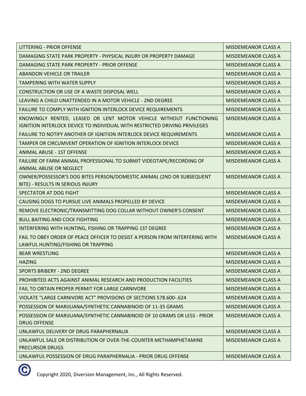| <b>LITTERING - PRIOR OFFENSE</b>                                                                                                                 | <b>MISDEMEANOR CLASS A</b> |
|--------------------------------------------------------------------------------------------------------------------------------------------------|----------------------------|
| DAMAGING STATE PARK PROPERTY - PHYSICAL INJURY OR PROPERTY DAMAGE                                                                                | <b>MISDEMEANOR CLASS A</b> |
| DAMAGING STATE PARK PROPERTY - PRIOR OFFENSE                                                                                                     | <b>MISDEMEANOR CLASS A</b> |
| <b>ABANDON VEHICLE OR TRAILER</b>                                                                                                                | <b>MISDEMEANOR CLASS A</b> |
| <b>TAMPERING WITH WATER SUPPLY</b>                                                                                                               | <b>MISDEMEANOR CLASS A</b> |
| CONSTRUCTION OR USE OF A WASTE DISPOSAL WELL                                                                                                     | <b>MISDEMEANOR CLASS A</b> |
| LEAVING A CHILD UNATTENDED IN A MOTOR VEHICLE - 2ND DEGREE                                                                                       | <b>MISDEMEANOR CLASS A</b> |
| FAILURE TO COMPLY WITH IGNITION INTERLOCK DEVICE REQUIREMENTS                                                                                    | <b>MISDEMEANOR CLASS A</b> |
| KNOWINGLY RENTED, LEASED OR LENT MOTOR VEHICLE WITHOUT FUNCTIONING<br>IGNITION INTERLOCK DEVICE TO INDIVIDUAL WITH RESTRICTED DRIVING PRIVILEGES | <b>MISDEMEANOR CLASS A</b> |
| FAILURE TO NOTIFY ANOTHER OF IGNITION INTERLOCK DEVICE REQUIREMENTS                                                                              | <b>MISDEMEANOR CLASS A</b> |
| TAMPER OR CIRCUMVENT OPERATION OF IGNITION INTERLOCK DEVICE                                                                                      | <b>MISDEMEANOR CLASS A</b> |
| <b>ANIMAL ABUSE - 1ST OFFENSE</b>                                                                                                                | <b>MISDEMEANOR CLASS A</b> |
| FAILURE OF FARM ANIMAL PROFESSIONAL TO SUBMIT VIDEOTAPE/RECORDING OF<br>ANIMAL ABUSE OR NEGLECT                                                  | <b>MISDEMEANOR CLASS A</b> |
| OWNER/POSSESSOR'S DOG BITES PERSON/DOMESTIC ANIMAL (2ND OR SUBSEQUENT<br>BITE) - RESULTS IN SERIOUS INJURY                                       | <b>MISDEMEANOR CLASS A</b> |
| SPECTATOR AT DOG FIGHT                                                                                                                           | <b>MISDEMEANOR CLASS A</b> |
| CAUSING DOGS TO PURSUE LIVE ANIMALS PROPELLED BY DEVICE                                                                                          | <b>MISDEMEANOR CLASS A</b> |
| REMOVE ELECTRONIC/TRANSMITTING DOG COLLAR WITHOUT OWNER'S CONSENT                                                                                | <b>MISDEMEANOR CLASS A</b> |
| <b>BULL BAITING AND COCK FIGHTING</b>                                                                                                            | <b>MISDEMEANOR CLASS A</b> |
| INTERFERING WITH HUNTING, FISHING OR TRAPPING 1ST DEGREE                                                                                         | <b>MISDEMEANOR CLASS A</b> |
| FAIL TO OBEY ORDER OF PEACE OFFICER TO DESIST A PERSON FROM INTERFERING WITH<br>LAWFUL HUNTING/FISHING OR TRAPPING                               | <b>MISDEMEANOR CLASS A</b> |
| <b>BEAR WRESTLING</b>                                                                                                                            | <b>MISDEMEANOR CLASS A</b> |
| <b>HAZING</b>                                                                                                                                    | <b>MISDEMEANOR CLASS A</b> |
| <b>SPORTS BRIBERY - 2ND DEGREE</b>                                                                                                               | <b>MISDEMEANOR CLASS A</b> |
| PROHIBITED ACTS AGAINST ANIMAL RESEARCH AND PRODUCTION FACILITIES                                                                                | <b>MISDEMEANOR CLASS A</b> |
| FAIL TO OBTAIN PROPER PERMIT FOR LARGE CARNIVORE                                                                                                 | <b>MISDEMEANOR CLASS A</b> |
| VIOLATE "LARGE CARNIVORE ACT" PROVISIONS OF SECTIONS 578.600-.624                                                                                | <b>MISDEMEANOR CLASS A</b> |
| POSSESSION OF MARIJUANA/SYNTHETIC CANNABINOID OF 11-35 GRAMS                                                                                     | <b>MISDEMEANOR CLASS A</b> |
| POSSESSION OF MARIJUANA/SYNTHETIC CANNABINOID OF 10 GRAMS OR LESS - PRIOR<br><b>DRUG OFFENSE</b>                                                 | MISDEMEANOR CLASS A        |
| UNLAWFUL DELIVERY OF DRUG PARAPHERNALIA                                                                                                          | <b>MISDEMEANOR CLASS A</b> |
| UNLAWFUL SALE OR DISTRIBUTION OF OVER-THE-COUNTER METHAMPHETAMINE<br><b>PRECURSOR DRUGS</b>                                                      | <b>MISDEMEANOR CLASS A</b> |
| UNLAWFUL POSSESSION OF DRUG PARAPHERNALIA - PRIOR DRUG OFFENSE                                                                                   | <b>MISDEMEANOR CLASS A</b> |

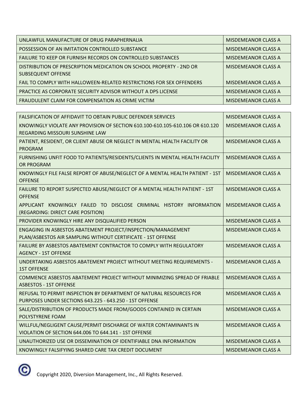| UNLAWFUL MANUFACTURE OF DRUG PARAPHERNALIA                           | MISDEMEANOR CLASS A |
|----------------------------------------------------------------------|---------------------|
| POSSESSION OF AN IMITATION CONTROLLED SUBSTANCE                      | MISDEMEANOR CLASS A |
| <b>FAILURE TO KEEP OR FURNISH RECORDS ON CONTROLLED SUBSTANCES</b>   | MISDEMEANOR CLASS A |
| DISTRIBUTION OF PRESCRIPTION MEDICATION ON SCHOOL PROPERTY - 2ND OR  | MISDEMEANOR CLASS A |
| SUBSEQUENT OFFENSE                                                   |                     |
| FAIL TO COMPLY WITH HALLOWEEN-RELATED RESTRICTIONS FOR SEX OFFENDERS | MISDEMEANOR CLASS A |
| PRACTICE AS CORPORATE SECURITY ADVISOR WITHOUT A DPS LICENSE         | MISDEMEANOR CLASS A |
| <b>FRAUDULENT CLAIM FOR COMPENSATION AS CRIME VICTIM</b>             | MISDEMEANOR CLASS A |

| FALSIFICATION OF AFFIDAVIT TO OBTAIN PUBLIC DEFENDER SERVICES                                                                  | <b>MISDEMEANOR CLASS A</b> |
|--------------------------------------------------------------------------------------------------------------------------------|----------------------------|
| KNOWINGLY VIOLATE ANY PROVISION OF SECTION 610.100-610.105-610.106 OR 610.120<br>REGARDING MISSOURI SUNSHINE LAW               | <b>MISDEMEANOR CLASS A</b> |
| PATIENT, RESIDENT, OR CLIENT ABUSE OR NEGLECT IN MENTAL HEALTH FACILITY OR<br><b>PROGRAM</b>                                   | <b>MISDEMEANOR CLASS A</b> |
| FURNISHING UNFIT FOOD TO PATIENTS/RESIDENTS/CLIENTS IN MENTAL HEALTH FACILITY<br>OR PROGRAM                                    | <b>MISDEMEANOR CLASS A</b> |
| KNOWINGLY FILE FALSE REPORT OF ABUSE/NEGLECT OF A MENTAL HEALTH PATIENT - 1ST<br><b>OFFENSE</b>                                | <b>MISDEMEANOR CLASS A</b> |
| FAILURE TO REPORT SUSPECTED ABUSE/NEGLECT OF A MENTAL HEALTH PATIENT - 1ST<br><b>OFFENSE</b>                                   | MISDEMEANOR CLASS A        |
| APPLICANT KNOWINGLY FAILED TO DISCLOSE CRIMINAL HISTORY INFORMATION<br>(REGARDING: DIRECT CARE POSITION)                       | <b>MISDEMEANOR CLASS A</b> |
| PROVIDER KNOWINGLY HIRE ANY DISQUALIFIED PERSON                                                                                | <b>MISDEMEANOR CLASS A</b> |
| ENGAGING IN ASBESTOS ABATEMENT PROJECT/INSPECTION/MANAGEMENT<br>PLAN/ASBESTOS AIR SAMPLING WITHOUT CERTIFICATE - 1ST OFFENSE   | <b>MISDEMEANOR CLASS A</b> |
| FAILURE BY ASBESTOS ABATEMENT CONTRACTOR TO COMPLY WITH REGULATORY<br><b>AGENCY - 1ST OFFENSE</b>                              | <b>MISDEMEANOR CLASS A</b> |
| UNDERTAKING ASBESTOS ABATEMENT PROJECT WITHOUT MEETING REQUIREMENTS -<br><b>1ST OFFENSE</b>                                    | <b>MISDEMEANOR CLASS A</b> |
| COMMENCE ASBESTOS ABATEMENT PROJECT WITHOUT MINIMIZING SPREAD OF FRIABLE<br><b>ASBESTOS - 1ST OFFENSE</b>                      | <b>MISDEMEANOR CLASS A</b> |
| REFUSAL TO PERMIT INSPECTION BY DEPARTMENT OF NATURAL RESOURCES FOR<br>PURPOSES UNDER SECTIONS 643.225 - 643.250 - 1ST OFFENSE | <b>MISDEMEANOR CLASS A</b> |
| SALE/DISTRIBUTION OF PRODUCTS MADE FROM/GOODS CONTAINED IN CERTAIN<br>POLYSTYRENE FOAM                                         | <b>MISDEMEANOR CLASS A</b> |
| WILLFUL/NEGLIGENT CAUSE/PERMIT DISCHARGE OF WATER CONTAMINANTS IN<br>VIOLATION OF SECTION 644,006 TO 644,141 - 1ST OFFENSE     | <b>MISDEMEANOR CLASS A</b> |
| UNAUTHORIZED USE OR DISSEMINATION OF IDENTIFIABLE DNA INFORMATION                                                              | <b>MISDEMEANOR CLASS A</b> |
| KNOWINGLY FALSIFYING SHARED CARE TAX CREDIT DOCUMENT                                                                           | <b>MISDEMEANOR CLASS A</b> |

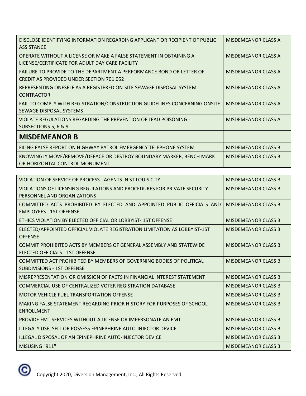| DISCLOSE IDENTIFYING INFORMATION REGARDING APPLICANT OR RECIPIENT OF PUBLIC<br><b>ASSISTANCE</b>                        | <b>MISDEMEANOR CLASS A</b> |
|-------------------------------------------------------------------------------------------------------------------------|----------------------------|
| OPERATE WITHOUT A LICENSE OR MAKE A FALSE STATEMENT IN OBTAINING A<br>LICENSE/CERTIFICATE FOR ADULT DAY CARE FACILITY   | MISDEMEANOR CLASS A        |
| FAILURE TO PROVIDE TO THE DEPARTMENT A PERFORMANCE BOND OR LETTER OF<br><b>CREDIT AS PROVIDED UNDER SECTION 701.052</b> | <b>MISDEMEANOR CLASS A</b> |
| REPRESENTING ONESELF AS A REGISTERED ON-SITE SEWAGE DISPOSAL SYSTEM<br><b>CONTRACTOR</b>                                | MISDEMEANOR CLASS A        |
| FAIL TO COMPLY WITH REGISTRATION/CONSTRUCTION GUIDELINES CONCERNING ONSITE<br>SEWAGE DISPOSAL SYSTEMS                   | <b>MISDEMEANOR CLASS A</b> |
| VIOLATE REGULATIONS REGARDING THE PREVENTION OF LEAD POISONING -<br>SUBSECTIONS 5, 6 & 9                                | MISDEMEANOR CLASS A        |
| <b>MISDEMEANOR B</b>                                                                                                    |                            |
| FILING FALSE REPORT ON HIGHWAY PATROL EMERGENCY TELEPHONE SYSTEM                                                        | <b>MISDEMEANOR CLASS B</b> |
| KNOWINGLY MOVE/REMOVE/DEFACE OR DESTROY BOUNDARY MARKER, BENCH MARK<br>OR HORIZONTAL CONTROL MONUMENT                   | <b>MISDEMEANOR CLASS B</b> |

| VIOLATION OF SERVICE OF PROCESS - AGENTS IN ST LOUIS CITY                                                 | <b>MISDEMEANOR CLASS B</b> |
|-----------------------------------------------------------------------------------------------------------|----------------------------|
| VIOLATIONS OF LICENSING REGULATIONS AND PROCEDURES FOR PRIVATE SECURITY<br>PERSONNEL AND ORGANIZATIONS    | <b>MISDEMEANOR CLASS B</b> |
| COMMITTED ACTS PROHIBITED BY ELECTED AND APPOINTED PUBLIC OFFICIALS AND<br><b>EMPLOYEES - 1ST OFFENSE</b> | <b>MISDEMEANOR CLASS B</b> |
| ETHICS VIOLATION BY ELECTED OFFICIAL OR LOBBYIST-1ST OFFENSE                                              | <b>MISDEMEANOR CLASS B</b> |
| ELECTED/APPOINTED OFFICIAL VIOLATE REGISTRATION LIMITATION AS LOBBYIST-1ST<br><b>OFFENSE</b>              | <b>MISDEMEANOR CLASS B</b> |
| COMMIT PROHIBITED ACTS BY MEMBERS OF GENERAL ASSEMBLY AND STATEWIDE<br>ELECTED OFFICIALS - 1ST OFFENSE    | <b>MISDEMEANOR CLASS B</b> |
| COMMITTED ACT PROHIBITED BY MEMBERS OF GOVERNING BODIES OF POLITICAL<br><b>SUBDIVISIONS - 1ST OFFENSE</b> | <b>MISDEMEANOR CLASS B</b> |
| MISREPRESENTATION OR OMISSION OF FACTS IN FINANCIAL INTEREST STATEMENT                                    | <b>MISDEMEANOR CLASS B</b> |
| COMMERCIAL USE OF CENTRALIZED VOTER REGISTRATION DATABASE                                                 | <b>MISDEMEANOR CLASS B</b> |
| <b>MOTOR VEHICLE FUEL TRANSPORTATION OFFENSE</b>                                                          | <b>MISDEMEANOR CLASS B</b> |
| MAKING FALSE STATEMENT REGARDING PRIOR HISTORY FOR PURPOSES OF SCHOOL<br><b>ENROLLMENT</b>                | <b>MISDEMEANOR CLASS B</b> |
| PROVIDE EMT SERVICES WITHOUT A LICENSE OR IMPERSONATE AN EMT                                              | <b>MISDEMEANOR CLASS B</b> |
| ILLEGALY USE, SELL OR POSSESS EPINEPHRINE AUTO-INJECTOR DEVICE                                            | <b>MISDEMEANOR CLASS B</b> |
| ILLEGAL DISPOSAL OF AN EPINEPHRINE AUTO-INJECTOR DEVICE                                                   | <b>MISDEMEANOR CLASS B</b> |
| MISUSING "911"                                                                                            | <b>MISDEMEANOR CLASS B</b> |

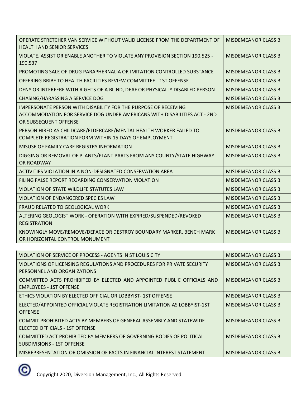| OPERATE STRETCHER VAN SERVICE WITHOUT VALID LICENSE FROM THE DEPARTMENT OF<br><b>HEALTH AND SENIOR SERVICES</b>                                                              | <b>MISDEMEANOR CLASS B</b> |
|------------------------------------------------------------------------------------------------------------------------------------------------------------------------------|----------------------------|
| VIOLATE, ASSIST OR ENABLE ANOTHER TO VIOLATE ANY PROVISION SECTION 190.525 -<br>190.537                                                                                      | <b>MISDEMEANOR CLASS B</b> |
| PROMOTING SALE OF DRUG PARAPHERNALIA OR IMITATION CONTROLLED SUBSTANCE                                                                                                       | <b>MISDEMEANOR CLASS B</b> |
| OFFERING BRIBE TO HEALTH FACILITIES REVIEW COMMITTEE - 1ST OFFENSE                                                                                                           | <b>MISDEMEANOR CLASS B</b> |
| DENY OR INTERFERE WITH RIGHTS OF A BLIND, DEAF OR PHYSICALLY DISABLED PERSON                                                                                                 | <b>MISDEMEANOR CLASS B</b> |
| CHASING/HARASSING A SERVICE DOG                                                                                                                                              | <b>MISDEMEANOR CLASS B</b> |
| <b>IMPERSONATE PERSON WITH DISABILITY FOR THE PURPOSE OF RECEIVING</b><br>ACCOMMODATION FOR SERVICE DOG UNDER AMERICANS WITH DISABILITIES ACT - 2ND<br>OR SUBSEQUENT OFFENSE | <b>MISDEMEANOR CLASS B</b> |
| PERSON HIRED AS CHILDCARE/ELDERCARE/MENTAL HEALTH WORKER FAILED TO<br>COMPLETE REGISTRATION FORM WITHIN 15 DAYS OF EMPLOYMENT                                                | <b>MISDEMEANOR CLASS B</b> |
| MISUSE OF FAMILY CARE REGISTRY INFORMATION                                                                                                                                   | <b>MISDEMEANOR CLASS B</b> |
| DIGGING OR REMOVAL OF PLANTS/PLANT PARTS FROM ANY COUNTY/STATE HIGHWAY<br>OR ROADWAY                                                                                         | <b>MISDEMEANOR CLASS B</b> |
| ACTIVITIES VIOLATION IN A NON-DESIGNATED CONSERVATION AREA                                                                                                                   | <b>MISDEMEANOR CLASS B</b> |
| FILING FALSE REPORT REGARDING CONSERVATION VIOLATION                                                                                                                         | <b>MISDEMEANOR CLASS B</b> |
| VIOLATION OF STATE WILDLIFE STATUTES LAW                                                                                                                                     | <b>MISDEMEANOR CLASS B</b> |
| <b>VIOLATION OF ENDANGERED SPECIES LAW</b>                                                                                                                                   | <b>MISDEMEANOR CLASS B</b> |
| <b>FRAUD RELATED TO GEOLOGICAL WORK</b>                                                                                                                                      | <b>MISDEMEANOR CLASS B</b> |
| ALTERING GEOLOGIST WORK - OPERATION WITH EXPIRED/SUSPENDED/REVOKED<br><b>REGISTRATION</b>                                                                                    | <b>MISDEMEANOR CLASS B</b> |
| KNOWINGLY MOVE/REMOVE/DEFACE OR DESTROY BOUNDARY MARKER, BENCH MARK<br>OR HORIZONTAL CONTROL MONUMENT                                                                        | <b>MISDEMEANOR CLASS B</b> |

| <u>VIOLATION OF SERVICE OF PROCESS - AGENTS IN ST LOUIS CITY</u>                                          | <b>MISDEMEANOR CLASS B</b> |
|-----------------------------------------------------------------------------------------------------------|----------------------------|
| <u>VIOLATIONS OF LICENSING REGULATIONS AND PROCEDURES FOR PRIVATE SECURITY</u>                            | <b>MISDEMEANOR CLASS B</b> |
| PERSONNEL AND ORGANIZATIONS                                                                               |                            |
| COMMITTED ACTS PROHIBITED BY ELECTED AND APPOINTED PUBLIC OFFICIALS AND<br><b>EMPLOYEES - 1ST OFFENSE</b> | <b>MISDEMEANOR CLASS B</b> |
| ETHICS VIOLATION BY ELECTED OFFICIAL OR LOBBYIST-1ST OFFENSE                                              | MISDEMEANOR CLASS B        |
| ELECTED/APPOINTED OFFICIAL VIOLATE REGISTRATION LIMITATION AS LOBBYIST-1ST                                | MISDEMEANOR CLASS B        |
| <b>OFFENSE</b>                                                                                            |                            |
| COMMIT PROHIBITED ACTS BY MEMBERS OF GENERAL ASSEMBLY AND STATEWIDE<br>ELECTED OFFICIALS - 1ST OFFENSE    | <b>MISDEMEANOR CLASS B</b> |
| COMMITTED ACT PROHIBITED BY MEMBERS OF GOVERNING BODIES OF POLITICAL<br>SUBDIVISIONS - 1ST OFFENSE        | <b>MISDEMEANOR CLASS B</b> |
| MISREPRESENTATION OR OMISSION OF FACTS IN FINANCIAL INTEREST STATEMENT                                    | <b>MISDEMEANOR CLASS B</b> |

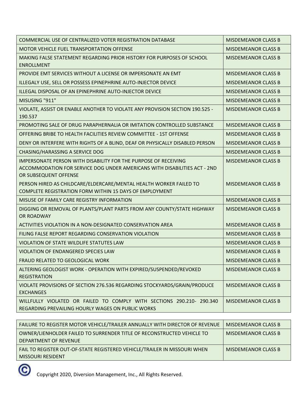| COMMERCIAL USE OF CENTRALIZED VOTER REGISTRATION DATABASE                                                                                                                    | <b>MISDEMEANOR CLASS B</b> |
|------------------------------------------------------------------------------------------------------------------------------------------------------------------------------|----------------------------|
| MOTOR VEHICLE FUEL TRANSPORTATION OFFENSE                                                                                                                                    | <b>MISDEMEANOR CLASS B</b> |
| MAKING FALSE STATEMENT REGARDING PRIOR HISTORY FOR PURPOSES OF SCHOOL<br><b>ENROLLMENT</b>                                                                                   | <b>MISDEMEANOR CLASS B</b> |
| PROVIDE EMT SERVICES WITHOUT A LICENSE OR IMPERSONATE AN EMT                                                                                                                 | <b>MISDEMEANOR CLASS B</b> |
| ILLEGALY USE, SELL OR POSSESS EPINEPHRINE AUTO-INJECTOR DEVICE                                                                                                               | <b>MISDEMEANOR CLASS B</b> |
| ILLEGAL DISPOSAL OF AN EPINEPHRINE AUTO-INJECTOR DEVICE                                                                                                                      | <b>MISDEMEANOR CLASS B</b> |
| MISUSING "911"                                                                                                                                                               | <b>MISDEMEANOR CLASS B</b> |
| VIOLATE, ASSIST OR ENABLE ANOTHER TO VIOLATE ANY PROVISION SECTION 190.525 -<br>190.537                                                                                      | <b>MISDEMEANOR CLASS B</b> |
| PROMOTING SALE OF DRUG PARAPHERNALIA OR IMITATION CONTROLLED SUBSTANCE                                                                                                       | <b>MISDEMEANOR CLASS B</b> |
| OFFERING BRIBE TO HEALTH FACILITIES REVIEW COMMITTEE - 1ST OFFENSE                                                                                                           | <b>MISDEMEANOR CLASS B</b> |
| DENY OR INTERFERE WITH RIGHTS OF A BLIND, DEAF OR PHYSICALLY DISABLED PERSON                                                                                                 | <b>MISDEMEANOR CLASS B</b> |
| CHASING/HARASSING A SERVICE DOG                                                                                                                                              | <b>MISDEMEANOR CLASS B</b> |
| <b>IMPERSONATE PERSON WITH DISABILITY FOR THE PURPOSE OF RECEIVING</b><br>ACCOMMODATION FOR SERVICE DOG UNDER AMERICANS WITH DISABILITIES ACT - 2ND<br>OR SUBSEQUENT OFFENSE | <b>MISDEMEANOR CLASS B</b> |
| PERSON HIRED AS CHILDCARE/ELDERCARE/MENTAL HEALTH WORKER FAILED TO<br>COMPLETE REGISTRATION FORM WITHIN 15 DAYS OF EMPLOYMENT                                                | <b>MISDEMEANOR CLASS B</b> |
| MISUSE OF FAMILY CARE REGISTRY INFORMATION                                                                                                                                   | <b>MISDEMEANOR CLASS B</b> |
| DIGGING OR REMOVAL OF PLANTS/PLANT PARTS FROM ANY COUNTY/STATE HIGHWAY<br>OR ROADWAY                                                                                         | <b>MISDEMEANOR CLASS B</b> |
| ACTIVITIES VIOLATION IN A NON-DESIGNATED CONSERVATION AREA                                                                                                                   | <b>MISDEMEANOR CLASS B</b> |
| FILING FALSE REPORT REGARDING CONSERVATION VIOLATION                                                                                                                         | <b>MISDEMEANOR CLASS B</b> |
| VIOLATION OF STATE WILDLIFE STATUTES LAW                                                                                                                                     | <b>MISDEMEANOR CLASS B</b> |
| VIOLATION OF ENDANGERED SPECIES LAW                                                                                                                                          | <b>MISDEMEANOR CLASS B</b> |
| FRAUD RELATED TO GEOLOGICAL WORK                                                                                                                                             | <b>MISDEMEANOR CLASS B</b> |
| ALTERING GEOLOGIST WORK - OPERATION WITH EXPIRED/SUSPENDED/REVOKED<br><b>REGISTRATION</b>                                                                                    | <b>MISDEMEANOR CLASS B</b> |
| VIOLATE PROVISIONS OF SECTION 276.536 REGARDING STOCKYARDS/GRAIN/PRODUCE<br><b>EXCHANGES</b>                                                                                 | <b>MISDEMEANOR CLASS B</b> |
| WILLFULLY VIOLATED OR FAILED TO COMPLY WITH SECTIONS 290.210- 290.340<br>REGARDING PREVAILING HOURLY WAGES ON PUBLIC WORKS                                                   | <b>MISDEMEANOR CLASS B</b> |

| FAILURE TO REGISTER MOTOR VEHICLE/TRAILER ANNUALLY WITH DIRECTOR OF REVENUE | <b>MISDEMEANOR CLASS B</b> |
|-----------------------------------------------------------------------------|----------------------------|
| OWNER/LIENHOLDER FAILED TO SURRENDER TITLE OF RECONSTRUCTED VEHICLE TO      | <b>MISDEMEANOR CLASS B</b> |
| DEPARTMENT OF REVENUE                                                       |                            |
| FAIL TO REGISTER OUT-OF-STATE REGISTERED VEHICLE/TRAILER IN MISSOURI WHEN   | <b>MISDEMEANOR CLASS B</b> |
| <b>MISSOURI RESIDENT</b>                                                    |                            |

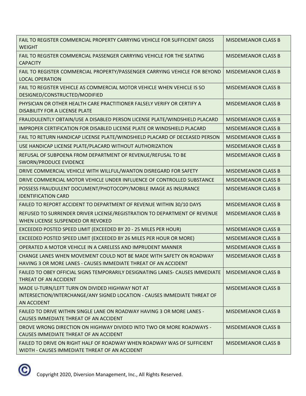| FAIL TO REGISTER COMMERCIAL PROPERTY CARRYING VEHICLE FOR SUFFICIENT GROSS<br><b>WEIGHT</b>                                                        | <b>MISDEMEANOR CLASS B</b> |
|----------------------------------------------------------------------------------------------------------------------------------------------------|----------------------------|
| FAIL TO REGISTER COMMERCIAL PASSENGER CARRYING VEHICLE FOR THE SEATING<br><b>CAPACITY</b>                                                          | <b>MISDEMEANOR CLASS B</b> |
| FAIL TO REGISTER COMMERCIAL PROPERTY/PASSENGER CARRYING VEHICLE FOR BEYOND<br><b>LOCAL OPERATION</b>                                               | <b>MISDEMEANOR CLASS B</b> |
| FAIL TO REGISTER VEHICLE AS COMMERCIAL MOTOR VEHICLE WHEN VEHICLE IS SO<br>DESIGNED/CONSTRUCTED/MODIFIED                                           | <b>MISDEMEANOR CLASS B</b> |
| PHYSICIAN OR OTHER HEALTH CARE PRACTITIONER FALSELY VERIFY OR CERTIFY A<br><b>DISABILITY FOR A LICENSE PLATE</b>                                   | <b>MISDEMEANOR CLASS B</b> |
| FRAUDULENTLY OBTAIN/USE A DISABLED PERSON LICENSE PLATE/WINDSHIELD PLACARD                                                                         | <b>MISDEMEANOR CLASS B</b> |
| IMPROPER CERTIFICATION FOR DISABLED LICENSE PLATE OR WINDSHIELD PLACARD                                                                            | <b>MISDEMEANOR CLASS B</b> |
| FAIL TO RETURN HANDICAP LICENSE PLATE/WINDSHIELD PLACARD OF DECEASED PERSON                                                                        | <b>MISDEMEANOR CLASS B</b> |
| USE HANDICAP LICENSE PLATE/PLACARD WITHOUT AUTHORIZATION                                                                                           | <b>MISDEMEANOR CLASS B</b> |
| REFUSAL OF SUBPOENA FROM DEPARTMENT OF REVENUE/REFUSAL TO BE<br><b>SWORN/PRODUCE EVIDENCE</b>                                                      | <b>MISDEMEANOR CLASS B</b> |
| DRIVE COMMERCIAL VEHICLE WITH WILLFUL/WANTON DISREGARD FOR SAFETY                                                                                  | <b>MISDEMEANOR CLASS B</b> |
| DRIVE COMMERCIAL MOTOR VEHICLE UNDER INFLUENCE OF CONTROLLED SUBSTANCE                                                                             | <b>MISDEMEANOR CLASS B</b> |
| POSSESS FRAUDULENT DOCUMENT/PHOTOCOPY/MOBILE IMAGE AS INSURANCE<br><b>IDENTIFICATION CARD</b>                                                      | <b>MISDEMEANOR CLASS B</b> |
| FAILED TO REPORT ACCIDENT TO DEPARTMENT OF REVENUE WITHIN 30/10 DAYS                                                                               | <b>MISDEMEANOR CLASS B</b> |
| REFUSED TO SURRENDER DRIVER LICENSE/REGISTRATION TO DEPARTMENT OF REVENUE<br>WHEN LICENSE SUSPENDED OR REVOKED                                     | <b>MISDEMEANOR CLASS B</b> |
| EXCEEDED POSTED SPEED LIMIT (EXCEEDED BY 20 - 25 MILES PER HOUR)                                                                                   | <b>MISDEMEANOR CLASS B</b> |
| EXCEEDED POSTED SPEED LIMIT (EXCEEDED BY 26 MILES PER HOUR OR MORE)                                                                                | <b>MISDEMEANOR CLASS B</b> |
| OPERATED A MOTOR VEHICLE IN A CARELESS AND IMPRUDENT MANNER                                                                                        | <b>MISDEMEANOR CLASS B</b> |
| CHANGE LANES WHEN MOVEMENT COULD NOT BE MADE WITH SAFETY ON ROADWAY<br>HAVING 3 OR MORE LANES - CAUSES IMMEDIATE THREAT OF AN ACCIDENT             | <b>MISDEMEANOR CLASS B</b> |
| FAILED TO OBEY OFFICIAL SIGNS TEMPORARILY DESIGNATING LANES- CAUSES IMMEDIATE<br>THREAT OF AN ACCIDENT                                             | <b>MISDEMEANOR CLASS B</b> |
| MADE U-TURN/LEFT TURN ON DIVIDED HIGHWAY NOT AT<br>INTERSECTION/INTERCHANGE/ANY SIGNED LOCATION - CAUSES IMMEDIATE THREAT OF<br><b>AN ACCIDENT</b> | <b>MISDEMEANOR CLASS B</b> |
| FAILED TO DRIVE WITHIN SINGLE LANE ON ROADWAY HAVING 3 OR MORE LANES -<br>CAUSES IMMEDIATE THREAT OF AN ACCIDENT                                   | <b>MISDEMEANOR CLASS B</b> |
| DROVE WRONG DIRECTION ON HIGHWAY DIVIDED INTO TWO OR MORE ROADWAYS -<br>CAUSES IMMEDIATE THREAT OF AN ACCIDENT                                     | <b>MISDEMEANOR CLASS B</b> |
| FAILED TO DRIVE ON RIGHT HALF OF ROADWAY WHEN ROADWAY WAS OF SUFFICIENT<br>WIDTH - CAUSES IMMEDIATE THREAT OF AN ACCIDENT                          | <b>MISDEMEANOR CLASS B</b> |

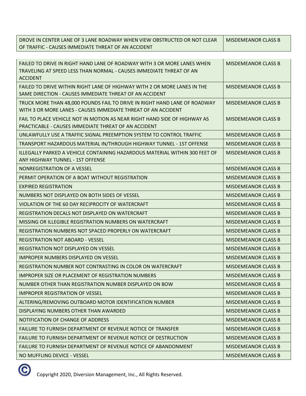DROVE IN CENTER LANE OF 3 LANE ROADWAY WHEN VIEW OBSTRUCTED OR NOT CLEAR OF TRAFFIC - CAUSES IMMEDIATE THREAT OF AN ACCIDENT MISDEMEANOR CLASS B

| FAILED TO DRIVE IN RIGHT HAND LANE OF ROADWAY WITH 3 OR MORE LANES WHEN<br>TRAVELING AT SPEED LESS THAN NORMAL - CAUSES IMMEDIATE THREAT OF AN<br><b>ACCIDENT</b> | <b>MISDEMEANOR CLASS B</b> |
|-------------------------------------------------------------------------------------------------------------------------------------------------------------------|----------------------------|
| FAILED TO DRIVE WITHIN RIGHT LANE OF HIGHWAY WITH 2 OR MORE LANES IN THE<br>SAME DIRECTION - CAUSES IMMEDIATE THREAT OF AN ACCIDENT                               | <b>MISDEMEANOR CLASS B</b> |
| TRUCK MORE THAN 48,000 POUNDS FAIL TO DRIVE IN RIGHT HAND LANE OF ROADWAY<br>WITH 3 OR MORE LANES - CAUSES IMMEDIATE THREAT OF AN ACCIDENT                        | <b>MISDEMEANOR CLASS B</b> |
| FAIL TO PLACE VEHICLE NOT IN MOTION AS NEAR RIGHT HAND SIDE OF HIGHWAY AS<br>PRACTICABLE - CAUSES IMMEDIATE THREAT OF AN ACCIDENT                                 | <b>MISDEMEANOR CLASS B</b> |
| UNLAWFULLY USE A TRAFFIC SIGNAL PREEMPTION SYSTEM TO CONTROL TRAFFIC                                                                                              | <b>MISDEMEANOR CLASS B</b> |
| TRANSPORT HAZARDOUS MATERIAL IN/THROUGH HIGHWAY TUNNEL - 1ST OFFENSE                                                                                              | <b>MISDEMEANOR CLASS B</b> |
| ILLEGALLY PARKED A VEHICLE CONTAINING HAZARDOUS MATERIAL WITHIN 300 FEET OF<br>ANY HIGHWAY TUNNEL - 1ST OFFENSE                                                   | <b>MISDEMEANOR CLASS B</b> |
| NONREGISTRATION OF A VESSEL                                                                                                                                       | <b>MISDEMEANOR CLASS B</b> |
| PERMIT OPERATION OF A BOAT WITHOUT REGISTRATION                                                                                                                   | <b>MISDEMEANOR CLASS B</b> |
| <b>EXPIRED REGISTRATION</b>                                                                                                                                       | <b>MISDEMEANOR CLASS B</b> |
| NUMBERS NOT DISPLAYED ON BOTH SIDES OF VESSEL                                                                                                                     | <b>MISDEMEANOR CLASS B</b> |
| VIOLATION OF THE 60 DAY RECIPROCITY OF WATERCRAFT                                                                                                                 | <b>MISDEMEANOR CLASS B</b> |
| REGISTRATION DECALS NOT DISPLAYED ON WATERCRAFT                                                                                                                   | <b>MISDEMEANOR CLASS B</b> |
| MISSING OR ILLEGIBLE REGISTRATION NUMBERS ON WATERCRAFT                                                                                                           | <b>MISDEMEANOR CLASS B</b> |
| REGISTRATION NUMBERS NOT SPACED PROPERLY ON WATERCRAFT                                                                                                            | <b>MISDEMEANOR CLASS B</b> |
| <b>REGISTRATION NOT ABOARD - VESSEL</b>                                                                                                                           | <b>MISDEMEANOR CLASS B</b> |
| <b>REGISTRATION NOT DISPLAYED ON VESSEL</b>                                                                                                                       | <b>MISDEMEANOR CLASS B</b> |
| <b>IMPROPER NUMBERS DISPLAYED ON VESSEL</b>                                                                                                                       | <b>MISDEMEANOR CLASS B</b> |
| REGISTRATION NUMBER NOT CONTRASTING IN COLOR ON WATERCRAFT                                                                                                        | <b>MISDEMEANOR CLASS B</b> |
| <b>IMPROPER SIZE OR PLACEMENT OF REGISTRATION NUMBERS</b>                                                                                                         | <b>MISDEMEANOR CLASS B</b> |
| NUMBER OTHER THAN REGISTRATION NUMBER DISPLAYED ON BOW                                                                                                            | <b>MISDEMEANOR CLASS B</b> |
| <b>IMPROPER REGISTRATION OF VESSEL</b>                                                                                                                            | <b>MISDEMEANOR CLASS B</b> |
| ALTERING/REMOVING OUTBOARD MOTOR IDENTIFICATION NUMBER                                                                                                            | <b>MISDEMEANOR CLASS B</b> |
| DISPLAYING NUMBERS OTHER THAN AWARDED                                                                                                                             | <b>MISDEMEANOR CLASS B</b> |
| NOTIFICATION OF CHANGE OF ADDRESS                                                                                                                                 | <b>MISDEMEANOR CLASS B</b> |
| FAILURE TO FURNISH DEPARTMENT OF REVENUE NOTICE OF TRANSFER                                                                                                       | <b>MISDEMEANOR CLASS B</b> |
| <b>FAILURE TO FURNISH DEPARTMENT OF REVENUE NOTICE OF DESTRUCTION</b>                                                                                             | <b>MISDEMEANOR CLASS B</b> |
| FAILURE TO FURNISH DEPARTMENT OF REVENUE NOTICE OF ABANDONMENT                                                                                                    | <b>MISDEMEANOR CLASS B</b> |
| NO MUFFLING DEVICE - VESSEL                                                                                                                                       | <b>MISDEMEANOR CLASS B</b> |

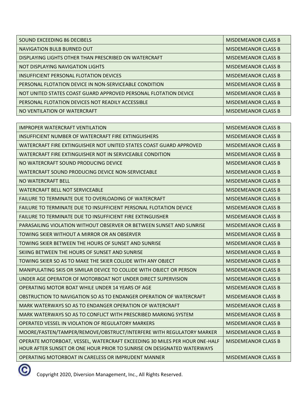| SOUND EXCEEDING 86 DECIBELS                                      | MISDEMEANOR CLASS B        |
|------------------------------------------------------------------|----------------------------|
| NAVIGATION BULB BURNED OUT                                       | MISDEMEANOR CLASS B        |
| DISPLAYING LIGHTS OTHER THAN PRESCRIBED ON WATERCRAFT            | MISDEMEANOR CLASS B        |
| NOT DISPLAYING NAVIGATION LIGHTS                                 | MISDEMEANOR CLASS B        |
| INSUFFICIENT PERSONAL FLOTATION DEVICES                          | MISDEMEANOR CLASS B        |
| PERSONAL FLOTATION DEVICE IN NON-SERVICEABLE CONDITION           | MISDEMEANOR CLASS B        |
| NOT UNITED STATES COAST GUARD APPROVED PERSONAL FLOTATION DEVICE | MISDEMEANOR CLASS B        |
| PERSONAL FLOTATION DEVICES NOT READILY ACCESSIBLE                | <b>MISDEMEANOR CLASS B</b> |
| NO VENTILATION OF WATERCRAFT                                     | <b>MISDEMEANOR CLASS B</b> |

| <b>IMPROPER WATERCRAFT VENTILATION</b>                                     | <b>MISDEMEANOR CLASS B</b> |
|----------------------------------------------------------------------------|----------------------------|
| INSUFFICIENT NUMBER OF WATERCRAFT FIRE EXTINGUISHERS                       | <b>MISDEMEANOR CLASS B</b> |
| WATERCRAFT FIRE EXTINGUISHER NOT UNITED STATES COAST GUARD APPROVED        | <b>MISDEMEANOR CLASS B</b> |
| WATERCRAFT FIRE EXTINGUISHER NOT IN SERVICEABLE CONDITION                  | <b>MISDEMEANOR CLASS B</b> |
| NO WATERCRAFT SOUND PRODUCING DEVICE                                       | <b>MISDEMEANOR CLASS B</b> |
| WATERCRAFT SOUND PRODUCING DEVICE NON-SERVICEABLE                          | <b>MISDEMEANOR CLASS B</b> |
| NO WATERCRAFT BELL                                                         | <b>MISDEMEANOR CLASS B</b> |
| WATERCRAFT BELL NOT SERVICEABLE                                            | <b>MISDEMEANOR CLASS B</b> |
| FAILURE TO TERMINATE DUE TO OVERLOADING OF WATERCRAFT                      | <b>MISDEMEANOR CLASS B</b> |
| <b>FAILURE TO TERMINATE DUE TO INSUFFICIENT PERSONAL FLOTATION DEVICE</b>  | <b>MISDEMEANOR CLASS B</b> |
| <b>FAILURE TO TERMINATE DUE TO INSUFFICIENT FIRE EXTINGUISHER</b>          | <b>MISDEMEANOR CLASS B</b> |
| PARASAILING VIOLATION WITHOUT OBSERVER OR BETWEEN SUNSET AND SUNRISE       | <b>MISDEMEANOR CLASS B</b> |
| TOWING SKIER WITHOUT A MIRROR OR AN OBSERVER                               | <b>MISDEMEANOR CLASS B</b> |
| TOWING SKIER BETWEEN THE HOURS OF SUNSET AND SUNRISE                       | <b>MISDEMEANOR CLASS B</b> |
| SKIING BETWEEN THE HOURS OF SUNSET AND SUNRISE                             | <b>MISDEMEANOR CLASS B</b> |
| TOWING SKIER SO AS TO MAKE THE SKIER COLLIDE WITH ANY OBJECT               | <b>MISDEMEANOR CLASS B</b> |
| MANIPULATING SKIS OR SIMILAR DEVICE TO COLLIDE WITH OBJECT OR PERSON       | <b>MISDEMEANOR CLASS B</b> |
| UNDER AGE OPERATOR OF MOTORBOAT NOT UNDER DIRECT SUPERVISION               | <b>MISDEMEANOR CLASS B</b> |
| OPERATING MOTOR BOAT WHILE UNDER 14 YEARS OF AGE                           | <b>MISDEMEANOR CLASS B</b> |
| OBSTRUCTION TO NAVIGATION SO AS TO ENDANGER OPERATION OF WATERCRAFT        | <b>MISDEMEANOR CLASS B</b> |
| MARK WATERWAYS SO AS TO ENDANGER OPERATION OF WATERCRAFT                   | <b>MISDEMEANOR CLASS B</b> |
| MARK WATERWAYS SO AS TO CONFLICT WITH PRESCRIBED MARKING SYSTEM            | <b>MISDEMEANOR CLASS B</b> |
| OPERATED VESSEL IN VIOLATION OF REGULATORY MARKERS                         | <b>MISDEMEANOR CLASS B</b> |
| MOORE/FASTEN/TAMPER/REMOVE/OBSTRUCT/INTERFERE WITH REGULATORY MARKER       | <b>MISDEMEANOR CLASS B</b> |
| OPERATE MOTORBOAT, VESSEL, WATERCRAFT EXCEEDING 30 MILES PER HOUR ONE-HALF | <b>MISDEMEANOR CLASS B</b> |
| HOUR AFTER SUNSET OR ONE HOUR PRIOR TO SUNRISE ON DESIGNATED WATERWAYS     |                            |
| OPERATING MOTORBOAT IN CARELESS OR IMPRUDENT MANNER                        | <b>MISDEMEANOR CLASS B</b> |

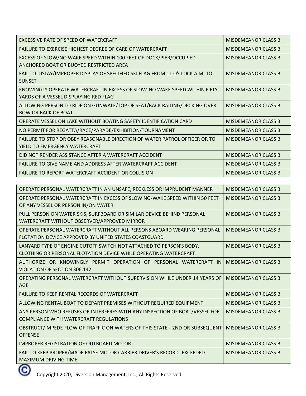| EXCESSIVE RATE OF SPEED OF WATERCRAFT                                                                              | <b>MISDEMEANOR CLASS B</b> |
|--------------------------------------------------------------------------------------------------------------------|----------------------------|
| FAILURE TO EXERCISE HIGHEST DEGREE OF CARE OF WATERCRAFT                                                           | <b>MISDEMEANOR CLASS B</b> |
| EXCESS OF SLOW/NO WAKE SPEED WITHIN 100 FEET OF DOCK/PIER/OCCUPIED<br>ANCHORED BOAT OR BUOYED RESTRICTED AREA      | <b>MISDEMEANOR CLASS B</b> |
| FAIL TO DISLAY/IMPROPER DISPLAY OF SPECIFIED SKI FLAG FROM 11 O'CLOCK A.M. TO<br><b>SUNSET</b>                     | <b>MISDEMEANOR CLASS B</b> |
| KNOWINGLY OPERATE WATERCRAFT IN EXCESS OF SLOW-NO WAKE SPEED WITHIN FIFTY<br>YARDS OF A VESSEL DISPLAYING RED FLAG | <b>MISDEMEANOR CLASS B</b> |
| ALLOWING PERSON TO RIDE ON GUNWALE/TOP OF SEAT/BACK RAILING/DECKING OVER<br><b>BOW OR BACK OF BOAT</b>             | <b>MISDEMEANOR CLASS B</b> |
| OPERATE VESSEL ON LAKE WITHOUT BOATING SAFETY IDENTIFICATION CARD                                                  | <b>MISDEMEANOR CLASS B</b> |
| NO PERMIT FOR REGATTA/RACE/PARADE/EXHIBITION/TOURNAMENT                                                            | <b>MISDEMEANOR CLASS B</b> |
| FAILURE TO STOP OR OBEY REASONABLE DIRECTION OF WATER PATROL OFFICER OR TO<br>YIELD TO EMERGENCY WATERCRAFT        | <b>MISDEMEANOR CLASS B</b> |
| DID NOT RENDER ASSISTANCE AFTER A WATERCRAFT ACCIDENT                                                              | <b>MISDEMEANOR CLASS B</b> |
| FAILURE TO GIVE NAME AND ADDRESS AFTER WATERCRAFT ACCIDENT                                                         | <b>MISDEMEANOR CLASS B</b> |
| <b>FAILURE TO REPORT WATERCRAFT ACCIDENT OR COLLISION</b>                                                          | <b>MISDEMEANOR CLASS B</b> |

| OPERATE PERSONAL WATERCRAFT IN AN UNSAFE, RECKLESS OR IMPRUDENT MANNER                                                                  | <b>MISDEMEANOR CLASS B</b> |
|-----------------------------------------------------------------------------------------------------------------------------------------|----------------------------|
| OPERATE PERSONAL WATERCRAFT IN EXCESS OF SLOW NO-WAKE SPEED WITHIN 50 FEET<br>OF ANY VESSEL OR PERSON IN/ON WATER                       | <b>MISDEMEANOR CLASS B</b> |
| PULL PERSON ON WATER SKIS, SURFBOARD OR SIMILAR DEVICE BEHIND PERSONAL<br>WATERCRAFT WITHOUT OBSERVER/APPROVED MIRROR                   | <b>MISDEMEANOR CLASS B</b> |
| OPERATE PERSONAL WATERCRAFT WITHOUT ALL PERSONS ABOARD WEARING PERSONAL<br>FLOTATION DEVICE APPROVED BY UNITED STATES COASTGUARD        | <b>MISDEMEANOR CLASS B</b> |
| LANYARD TYPE OF ENGINE CUTOFF SWITCH NOT ATTACHED TO PERSON'S BODY,<br>CLOTHING OR PERSONAL FLOTATION DEVICE WHILE OPERATING WATERCRAFT | <b>MISDEMEANOR CLASS B</b> |
| AUTHORIZE OR KNOWINGLY PERMIT OPERATION OF PERSONAL WATERCRAFT<br>IN<br>VIOLATION OF SECTION 306.142                                    | <b>MISDEMEANOR CLASS B</b> |
| OPERATING PERSONAL WATERCRAFT WITHOUT SUPERVISION WHILE UNDER 14 YEARS OF<br>AGE                                                        | <b>MISDEMEANOR CLASS B</b> |
| <b>FAILURE TO KEEP RENTAL RECORDS OF WATERCRAFT</b>                                                                                     | <b>MISDEMEANOR CLASS B</b> |
| ALLOWING RENTAL BOAT TO DEPART PREMISES WITHOUT REQUIRED EQUIPMENT                                                                      | <b>MISDEMEANOR CLASS B</b> |
| ANY PERSON WHO REFUSES OR INTERFERES WITH ANY INSPECTION OF BOAT/VESSEL FOR<br><b>COMPLIANCE WITH WATERCRAFT REGULATIONS</b>            | <b>MISDEMEANOR CLASS B</b> |
| OBSTRUCT/IMPEDE FLOW OF TRAFFIC ON WATERS OF THIS STATE - 2ND OR SUBSEQUENT<br><b>OFFENSE</b>                                           | <b>MISDEMEANOR CLASS B</b> |
| <b>IMPROPER REGISTRATION OF OUTBOARD MOTOR</b>                                                                                          | <b>MISDEMEANOR CLASS B</b> |
| FAIL TO KEEP PROPER/MADE FALSE MOTOR CARRIER DRIVER'S RECORD- EXCEEDED<br><b>MAXIMUM DRIVING TIME</b>                                   | <b>MISDEMEANOR CLASS B</b> |

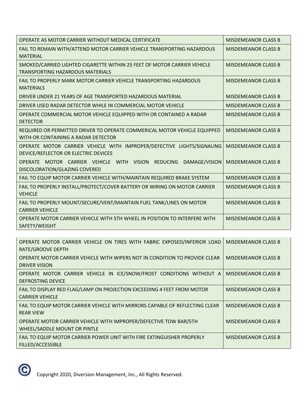| OPERATE AS MOTOR CARRIER WITHOUT MEDICAL CERTIFICATE                                                                | <b>MISDEMEANOR CLASS B</b> |
|---------------------------------------------------------------------------------------------------------------------|----------------------------|
| FAIL TO REMAIN WITH/ATTEND MOTOR CARRIER VEHICLE TRANSPORTING HAZARDOUS<br><b>MATERIAL</b>                          | <b>MISDEMEANOR CLASS B</b> |
| SMOKED/CARRIED LIGHTED CIGARETTE WITHIN 25 FEET OF MOTOR CARRIER VEHICLE<br><b>TRANSPORTING HAZARDOUS MATERIALS</b> | <b>MISDEMEANOR CLASS B</b> |
| FAIL TO PROPERLY MARK MOTOR CARRIER VEHICLE TRANSPORTING HAZARDOUS<br><b>MATERIALS</b>                              | <b>MISDEMEANOR CLASS B</b> |
| DRIVER UNDER 21 YEARS OF AGE TRANSPORTED HAZARDOUS MATERIAL                                                         | <b>MISDEMEANOR CLASS B</b> |
| DRIVER USED RADAR DETECTOR WHILE IN COMMERCIAL MOTOR VEHICLE                                                        | <b>MISDEMEANOR CLASS B</b> |
| OPERATE COMMERCIAL MOTOR VEHICLE EQUIPPED WITH OR CONTAINED A RADAR<br><b>DETECTOR</b>                              | <b>MISDEMEANOR CLASS B</b> |
| REQUIRED OR PERMITTED DRIVER TO OPERATE COMMERICAL MOTOR VEHICLE EQUIPPED<br>WITH OR CONTAINING A RADAR DETECTOR    | <b>MISDEMEANOR CLASS B</b> |
| OPERATE MOTOR CARRIER VEHICLE WITH IMPROPER/DEFECTIVE LIGHTS/SIGNALING<br>DEVICE/REFLECTOR OR ELECTRIC DEVICES      | <b>MISDEMEANOR CLASS B</b> |
| OPERATE MOTOR CARRIER VEHICLE WITH VISION REDUCING DAMAGE/VISION<br>DISCOLORATION/GLAZING COVERED                   | <b>MISDEMEANOR CLASS B</b> |
| FAIL TO EQUIP MOTOR CARRIER VEHICLE WITH/MAINTAIN REQUIRED BRAKE SYSTEM                                             | <b>MISDEMEANOR CLASS B</b> |
| FAIL TO PROPERLY INSTALL/PROTECT/COVER BATTERY OR WIRING ON MOTOR CARRIER<br><b>VEHICLE</b>                         | <b>MISDEMEANOR CLASS B</b> |
| FAIL TO PROPERLY MOUNT/SECURE/VENT/MAINTAIN FUEL TANK/LINES ON MOTOR<br><b>CARRIER VEHICLE</b>                      | <b>MISDEMEANOR CLASS B</b> |
| OPERATE MOTOR CARRIER VEHICLE WITH 5TH WHEEL IN POSITION TO INTERFERE WITH<br>SAFETY/WEIGHT                         | <b>MISDEMEANOR CLASS B</b> |
|                                                                                                                     |                            |
| OPERATE MOTOR CARRIER VEHICLE ON TIRES WITH FABRIC EXPOSED/INFERIOR LOAD<br>RATE/GROOVE DEPTH                       | <b>MISDEMEANOR CLASS B</b> |
| OPERATE MOTOR CARRIER VEHICLE WITH WIPERS NOT IN CONDITION TO PROVIDE CLEAR<br><b>DRIVER VISION</b>                 | <b>MISDEMEANOR CLASS B</b> |
| OPERATE MOTOR CARRIER VEHICLE IN ICE/SNOW/FROST CONDITIONS WITHOUT A<br><b>DEFROSTING DEVICE</b>                    | <b>MISDEMEANOR CLASS B</b> |

FAIL TO DISPLAY RED FLAG/LAMP ON PROJECTION EXCEEDING 4 FEET FROM MOTOR CARRIER VEHICLE MISDEMEANOR CLASS B

FAIL TO EQUIP MOTOR CARRIER VEHICLE WITH MIRRORS CAPABLE OF REFLECTING CLEAR REAR VIEW MISDEMEANOR CLASS B OPERATE MOTOR CARRIER VEHICLE WITH IMPROPER/DEFECTIVE TOW BAR/5TH WHEEL/SADDLE MOUNT OR PINTLE MISDEMEANOR CLASS B FAIL TO EQUIP MOTOR CARRIER POWER UNIT WITH FIRE EXTINGUISHER PROPERLY FILLED/ACCESSIBLE MISDEMEANOR CLASS B

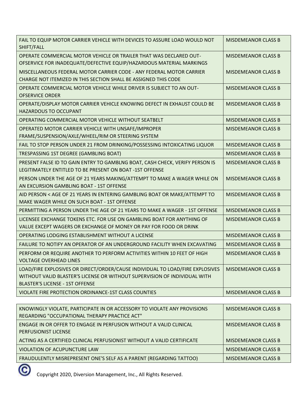| FAIL TO EQUIP MOTOR CARRIER VEHICLE WITH DEVICES TO ASSURE LOAD WOULD NOT<br>SHIFT/FALL                                                                                                              | <b>MISDEMEANOR CLASS B</b> |
|------------------------------------------------------------------------------------------------------------------------------------------------------------------------------------------------------|----------------------------|
| OPERATE COMMERCIAL MOTOR VEHICLE OR TRAILER THAT WAS DECLARED OUT-<br>OFSERVICE FOR INADEQUATE/DEFECTIVE EQUIP/HAZARDOUS MATERIAL MARKINGS                                                           | <b>MISDEMEANOR CLASS B</b> |
| MISCELLANEOUS FEDERAL MOTOR CARRIER CODE - ANY FEDERAL MOTOR CARRIER<br>CHARGE NOT ITEMIZED IN THIS SECTION SHALL BE ASSIGNED THIS CODE                                                              | <b>MISDEMEANOR CLASS B</b> |
| OPERATE COMMERCIAL MOTOR VEHICLE WHILE DRIVER IS SUBJECT TO AN OUT-<br><b>OFSERVICE ORDER</b>                                                                                                        | <b>MISDEMEANOR CLASS B</b> |
| OPERATE/DISPLAY MOTOR CARRIER VEHICLE KNOWING DEFECT IN EXHAUST COULD BE<br><b>HAZARDOUS TO OCCUPANT</b>                                                                                             | <b>MISDEMEANOR CLASS B</b> |
| OPERATING COMMERCIAL MOTOR VEHICLE WITHOUT SEATBELT                                                                                                                                                  | <b>MISDEMEANOR CLASS B</b> |
| OPERATED MOTOR CARRIER VEHICLE WITH UNSAFE/IMPROPER<br>FRAME/SUSPENSION/AXLE/WHEEL/RIM OR STEERING SYSTEM                                                                                            | <b>MISDEMEANOR CLASS B</b> |
| FAIL TO STOP PERSON UNDER 21 FROM DRINKING/POSSESSING INTOXICATING LIQUOR                                                                                                                            | <b>MISDEMEANOR CLASS B</b> |
| TRESPASSING 1ST DEGREE (GAMBLING BOAT)                                                                                                                                                               | <b>MISDEMEANOR CLASS B</b> |
| PRESENT FALSE ID TO GAIN ENTRY TO GAMBLNG BOAT, CASH CHECK, VERIFY PERSON IS<br>LEGITIMATELY ENTITLED TO BE PRESENT ON BOAT -1ST OFFENSE                                                             | <b>MISDEMEANOR CLASS B</b> |
| PERSON UNDER THE AGE OF 21 YEARS MAKING/ATTEMPT TO MAKE A WAGER WHILE ON<br>AN EXCURSION GAMBLING BOAT - 1ST OFFENSE                                                                                 | <b>MISDEMEANOR CLASS B</b> |
| AID PERSON < AGE OF 21 YEARS IN ENTERING GAMBLING BOAT OR MAKE/ATTEMPT TO<br>MAKE WAGER WHILE ON SUCH BOAT - 1ST OFFENSE                                                                             | <b>MISDEMEANOR CLASS B</b> |
| PERMITTING A PERSON UNDER THE AGE OF 21 YEARS TO MAKE A WAGER - 1ST OFFENSE                                                                                                                          | <b>MISDEMEANOR CLASS B</b> |
| LICENSEE EXCHANGE TOKENS ETC. FOR USE ON GAMBLING BOAT FOR ANYTHING OF<br>VALUE EXCEPT WAGERS OR EXCHANGE OF MONEY OR PAY FOR FOOD OR DRINK                                                          | <b>MISDEMEANOR CLASS B</b> |
| OPERATING LODGING ESTABLISHMENT WITHOUT A LICENSE                                                                                                                                                    | <b>MISDEMEANOR CLASS B</b> |
| FAILURE TO NOTIFY AN OPERATOR OF AN UNDERGROUND FACILITY WHEN EXCAVATING                                                                                                                             | <b>MISDEMEANOR CLASS B</b> |
| PERFORM OR REQUIRE ANOTHER TO PERFORM ACTIVITIES WITHIN 10 FEET OF HIGH<br>VOLTAGE OVERHEAD LINES                                                                                                    | <b>MISDEMEANOR CLASS B</b> |
| LOAD/FIRE EXPLOSIVES OR DIRECT/ORDER/CAUSE INDIVIDUAL TO LOAD/FIRE EXPLOSIVES<br>WITHOUT VALID BLASTER'S LICENSE OR WITHOUT SUPERVISION OF INDIVIDUAL WITH<br><b>BLASTER'S LICENSE - 1ST OFFENSE</b> | <b>MISDEMEANOR CLASS B</b> |
| VIOLATE FIRE PROTECTION ORDINANCE-1ST CLASS COUNTIES                                                                                                                                                 | <b>MISDEMEANOR CLASS B</b> |

| KNOWINGLY VIOLATE, PARTICIPATE IN OR ACCESSORY TO VIOLATE ANY PROVISIONS<br>REGARDING "OCCUPATIONAL THERAPY PRACTICE ACT" | <b>MISDEMEANOR CLASS B</b> |
|---------------------------------------------------------------------------------------------------------------------------|----------------------------|
| ENGAGE IN OR OFFER TO ENGAGE IN PERFUSION WITHOUT A VALID CLINICAL<br><b>PERFUSIONIST LICENSE</b>                         | MISDEMEANOR CLASS B        |
| ACTING AS A CERTIFIED CLINICAL PERFUSIONIST WITHOUT A VALID CERTIFICATE                                                   | <b>MISDEMEANOR CLASS B</b> |
| VIOLATION OF ACUPUNCTURE LAW                                                                                              | <b>MISDEMEANOR CLASS B</b> |
| FRAUDULENTLY MISREPRESENT ONE'S SELF AS A PARENT (REGARDING TATTOO)                                                       | <b>MISDEMEANOR CLASS B</b> |
|                                                                                                                           |                            |

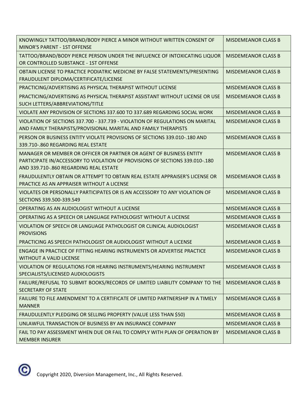| KNOWINGLY TATTOO/BRAND/BODY PIERCE A MINOR WITHOUT WRITTEN CONSENT OF<br>MINOR'S PARENT - 1ST OFFENSE                                                                                         | <b>MISDEMEANOR CLASS B</b> |
|-----------------------------------------------------------------------------------------------------------------------------------------------------------------------------------------------|----------------------------|
| TATTOO/BRAND/BODY PIERCE PERSON UNDER THE INFLUENCE OF INTOXICATING LIQUOR<br>OR CONTROLLED SUBSTANCE - 1ST OFFENSE                                                                           | <b>MISDEMEANOR CLASS B</b> |
| OBTAIN LICENSE TO PRACTICE PODIATRIC MEDICINE BY FALSE STATEMENTS/PRESENTING<br>FRAUDULENT DIPLOMA/CERTIFICATE/LICENSE                                                                        | <b>MISDEMEANOR CLASS B</b> |
| PRACTICING/ADVERTISING AS PHYSICAL THERAPIST WITHOUT LICENSE                                                                                                                                  | <b>MISDEMEANOR CLASS B</b> |
| PRACTICING/ADVERTISING AS PHYSICAL THERAPIST ASSISTANT WITHOUT LICENSE OR USE<br>SUCH LETTERS/ABBREVIATIONS/TITLE                                                                             | <b>MISDEMEANOR CLASS B</b> |
| VIOLATE ANY PROVISION OF SECTIONS 337.600 TO 337.689 REGARDING SOCIAL WORK                                                                                                                    | <b>MISDEMEANOR CLASS B</b> |
| VIOLATION OF SECTIONS 337.700 - 337.739 - VIOLATION OF REGULATIONS ON MARITAL<br>AND FAMILY THERAPISTS/PROVISIONAL MARITAL AND FAMILY THERAPISTS                                              | <b>MISDEMEANOR CLASS B</b> |
| PERSON OR BUSINESS ENTITY VIOLATE PROVISIONS OF SECTIONS 339.010-.180 AND<br>339.710-.860 REGARDING REAL ESTATE                                                                               | <b>MISDEMEANOR CLASS B</b> |
| MANAGER OR MEMBER OR OFFICER OR PARTNER OR AGENT OF BUSINESS ENTITY<br>PARTICIPATE IN/ACCESSORY TO VIOLATION OF PROVISIONS OF SECTIONS 339.010-.180<br>AND 339.710-.860 REGARDING REAL ESTATE | <b>MISDEMEANOR CLASS B</b> |
| FRAUDULENTLY OBTAIN OR ATTEMPT TO OBTAIN REAL ESTATE APPRAISER'S LICENSE OR<br>PRACTICE AS AN APPRAISER WITHOUT A LICENSE                                                                     | <b>MISDEMEANOR CLASS B</b> |
| VIOLATES OR PERSONALLY PARTICIPATES OR IS AN ACCESSORY TO ANY VIOLATION OF<br>SECTIONS 339.500-339.549                                                                                        | <b>MISDEMEANOR CLASS B</b> |
| OPERATING AS AN AUDIOLOGIST WITHOUT A LICENSE                                                                                                                                                 | <b>MISDEMEANOR CLASS B</b> |
| OPERATING AS A SPEECH OR LANGUAGE PATHOLOGIST WITHOUT A LICENSE                                                                                                                               | <b>MISDEMEANOR CLASS B</b> |
| VIOLATION OF SPEECH OR LANGUAGE PATHOLOGIST OR CLINICAL AUDIOLOGIST<br><b>PROVISIONS</b>                                                                                                      | <b>MISDEMEANOR CLASS B</b> |
| PRACTICING AS SPEECH PATHOLOGIST OR AUDIOLOGIST WITHOUT A LICENSE                                                                                                                             | <b>MISDEMEANOR CLASS B</b> |
| ENGAGE IN PRACTICE OF FITTING HEARING INSTRUMENTS OR ADVERTISE PRACTICE<br>WITHOUT A VALID LICENSE                                                                                            | <b>MISDEMEANOR CLASS B</b> |
| VIOLATION OF REGULATIONS FOR HEARING INSTRUMENTS/HEARING INSTRUMENT<br>SPECIALISTS/LICENSED AUDIOLOGISTS                                                                                      | <b>MISDEMEANOR CLASS B</b> |
| FAILURE/REFUSAL TO SUBMIT BOOKS/RECORDS OF LIMITED LIABILITY COMPANY TO THE<br><b>SECRETARY OF STATE</b>                                                                                      | <b>MISDEMEANOR CLASS B</b> |
| FAILURE TO FILE AMENDMENT TO A CERTIFICATE OF LIMITED PARTNERSHIP IN A TIMELY<br><b>MANNER</b>                                                                                                | <b>MISDEMEANOR CLASS B</b> |
| FRAUDULENTLY PLEDGING OR SELLING PROPERTY (VALUE LESS THAN \$50)                                                                                                                              | <b>MISDEMEANOR CLASS B</b> |
| UNLAWFUL TRANSACTION OF BUSINESS BY AN INSURANCE COMPANY                                                                                                                                      | <b>MISDEMEANOR CLASS B</b> |
| FAIL TO PAY ASSESSMENT WHEN DUE OR FAIL TO COMPLY WITH PLAN OF OPERATION BY<br><b>MEMBER INSURER</b>                                                                                          | <b>MISDEMEANOR CLASS B</b> |

 $\circledcirc$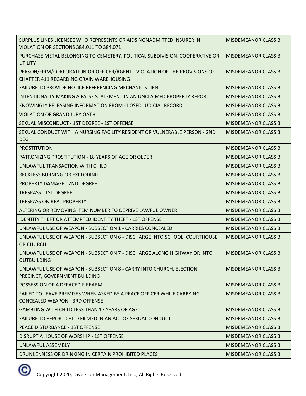| PURCHASE METAL BELONGING TO CEMETERY, POLITICAL SUBDIVISION, COOPERATIVE OR<br><b>UTILITY</b><br>PERSON/FIRM/CORPORATION OR OFFICER/AGENT - VIOLATION OF THE PROVISIONS OF<br><b>CHAPTER 411 REGARDING GRAIN WAREHOUSING</b><br>FAILURE TO PROVIDE NOTICE REFERENCING MECHANIC'S LIEN<br>INTENTIONALLY MAKING A FALSE STATEMENT IN AN UNCLAIMED PROPERTY REPORT<br>KNOWINGLY RELEASING INFORMATION FROM CLOSED JUDICIAL RECORD<br><b>VIOLATION OF GRAND JURY OATH</b><br>SEXUAL MISCONDUCT - 1ST DEGREE - 1ST OFFENSE<br>SEXUAL CONDUCT WITH A NURSING FACILITY RESIDENT OR VULNERABLE PERSON - 2ND | <b>MISDEMEANOR CLASS B</b> |
|-----------------------------------------------------------------------------------------------------------------------------------------------------------------------------------------------------------------------------------------------------------------------------------------------------------------------------------------------------------------------------------------------------------------------------------------------------------------------------------------------------------------------------------------------------------------------------------------------------|----------------------------|
|                                                                                                                                                                                                                                                                                                                                                                                                                                                                                                                                                                                                     | <b>MISDEMEANOR CLASS B</b> |
|                                                                                                                                                                                                                                                                                                                                                                                                                                                                                                                                                                                                     | <b>MISDEMEANOR CLASS B</b> |
|                                                                                                                                                                                                                                                                                                                                                                                                                                                                                                                                                                                                     | <b>MISDEMEANOR CLASS B</b> |
|                                                                                                                                                                                                                                                                                                                                                                                                                                                                                                                                                                                                     | <b>MISDEMEANOR CLASS B</b> |
|                                                                                                                                                                                                                                                                                                                                                                                                                                                                                                                                                                                                     | <b>MISDEMEANOR CLASS B</b> |
|                                                                                                                                                                                                                                                                                                                                                                                                                                                                                                                                                                                                     | <b>MISDEMEANOR CLASS B</b> |
|                                                                                                                                                                                                                                                                                                                                                                                                                                                                                                                                                                                                     | <b>MISDEMEANOR CLASS B</b> |
| <b>DEG</b>                                                                                                                                                                                                                                                                                                                                                                                                                                                                                                                                                                                          | <b>MISDEMEANOR CLASS B</b> |
| <b>PROSTITUTION</b>                                                                                                                                                                                                                                                                                                                                                                                                                                                                                                                                                                                 | <b>MISDEMEANOR CLASS B</b> |
| PATRONIZING PROSTITUTION - 18 YEARS OF AGE OR OLDER                                                                                                                                                                                                                                                                                                                                                                                                                                                                                                                                                 | <b>MISDEMEANOR CLASS B</b> |
| UNLAWFUL TRANSACTION WITH CHILD                                                                                                                                                                                                                                                                                                                                                                                                                                                                                                                                                                     | <b>MISDEMEANOR CLASS B</b> |
| <b>RECKLESS BURNING OR EXPLODING</b>                                                                                                                                                                                                                                                                                                                                                                                                                                                                                                                                                                | <b>MISDEMEANOR CLASS B</b> |
| <b>PROPERTY DAMAGE - 2ND DEGREE</b>                                                                                                                                                                                                                                                                                                                                                                                                                                                                                                                                                                 | <b>MISDEMEANOR CLASS B</b> |
| <b>TRESPASS - 1ST DEGREE</b>                                                                                                                                                                                                                                                                                                                                                                                                                                                                                                                                                                        | <b>MISDEMEANOR CLASS B</b> |
| <b>TRESPASS ON REAL PROPERTY</b>                                                                                                                                                                                                                                                                                                                                                                                                                                                                                                                                                                    | <b>MISDEMEANOR CLASS B</b> |
| ALTERING OR REMOVING ITEM NUMBER TO DEPRIVE LAWFUL OWNER                                                                                                                                                                                                                                                                                                                                                                                                                                                                                                                                            | <b>MISDEMEANOR CLASS B</b> |
| <b>IDENTITY THEFT OR ATTEMPTED IDENTITY THEFT - 1ST OFFENSE</b>                                                                                                                                                                                                                                                                                                                                                                                                                                                                                                                                     | <b>MISDEMEANOR CLASS B</b> |
| UNLAWFUL USE OF WEAPON - SUBSECTION 1 - CARRIES CONCEALED                                                                                                                                                                                                                                                                                                                                                                                                                                                                                                                                           | <b>MISDEMEANOR CLASS B</b> |
| UNLAWFUL USE OF WEAPON - SUBSECTION 6 - DISCHARGE INTO SCHOOL, COURTHOUSE<br>OR CHURCH                                                                                                                                                                                                                                                                                                                                                                                                                                                                                                              | <b>MISDEMEANOR CLASS B</b> |
| UNLAWFUL USE OF WEAPON - SUBSECTION 7 - DISCHARGE ALONG HIGHWAY OR INTO<br><b>OUTBUILDING</b>                                                                                                                                                                                                                                                                                                                                                                                                                                                                                                       | <b>MISDEMEANOR CLASS B</b> |
| UNLAWFUL USE OF WEAPON - SUBSECTION 8 - CARRY INTO CHURCH, ELECTION<br>PRECINCT, GOVERNMENT BUILDING                                                                                                                                                                                                                                                                                                                                                                                                                                                                                                | <b>MISDEMEANOR CLASS B</b> |
| POSSESSION OF A DEFACED FIREARM                                                                                                                                                                                                                                                                                                                                                                                                                                                                                                                                                                     |                            |
| FAILED TO LEAVE PREMISES WHEN ASKED BY A PEACE OFFICER WHILE CARRYING<br><b>CONCEALED WEAPON - 3RD OFFENSE</b>                                                                                                                                                                                                                                                                                                                                                                                                                                                                                      | <b>MISDEMEANOR CLASS B</b> |
| <b>GAMBLING WITH CHILD LESS THAN 17 YEARS OF AGE</b>                                                                                                                                                                                                                                                                                                                                                                                                                                                                                                                                                | <b>MISDEMEANOR CLASS B</b> |
| FAILURE TO REPORT CHILD FILMED IN AN ACT OF SEXUAL CONDUCT                                                                                                                                                                                                                                                                                                                                                                                                                                                                                                                                          | <b>MISDEMEANOR CLASS B</b> |
| PEACE DISTURBANCE - 1ST OFFENSE                                                                                                                                                                                                                                                                                                                                                                                                                                                                                                                                                                     | <b>MISDEMEANOR CLASS B</b> |
| DISRUPT A HOUSE OF WORSHIP - 1ST OFFENSE                                                                                                                                                                                                                                                                                                                                                                                                                                                                                                                                                            | <b>MISDEMEANOR CLASS B</b> |
| UNLAWFUL ASSEMBLY                                                                                                                                                                                                                                                                                                                                                                                                                                                                                                                                                                                   | <b>MISDEMEANOR CLASS B</b> |
| DRUNKENNESS OR DRINKING IN CERTAIN PROHIBITED PLACES<br><b>MISDEMEANOR CLASS B</b>                                                                                                                                                                                                                                                                                                                                                                                                                                                                                                                  | <b>MISDEMEANOR CLASS B</b> |

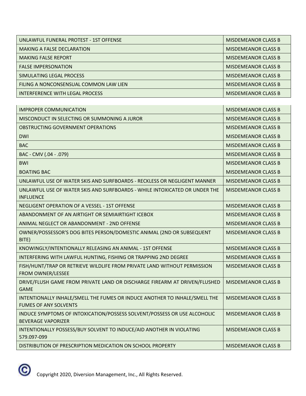| UNLAWFUL FUNERAL PROTEST - 1ST OFFENSE | <b>MISDEMEANOR CLASS B</b> |
|----------------------------------------|----------------------------|
| <b>MAKING A FALSE DECLARATION</b>      | <b>MISDEMEANOR CLASS B</b> |
| <b>MAKING FALSE REPORT</b>             | MISDEMEANOR CLASS B        |
| <b>FALSE IMPERSONATION</b>             | <b>MISDEMEANOR CLASS B</b> |
| SIMULATING LEGAL PROCESS               | <b>MISDEMEANOR CLASS B</b> |
| FILING A NONCONSENSUAL COMMON LAW LIEN | <b>MISDEMEANOR CLASS B</b> |
| INTERFERENCE WITH LEGAL PROCESS        | <b>MISDEMEANOR CLASS B</b> |

| <b>IMPROPER COMMUNICATION</b>                                                                              | <b>MISDEMEANOR CLASS B</b> |
|------------------------------------------------------------------------------------------------------------|----------------------------|
| MISCONDUCT IN SELECTING OR SUMMONING A JUROR                                                               | <b>MISDEMEANOR CLASS B</b> |
| OBSTRUCTING GOVERNMENT OPERATIONS                                                                          | <b>MISDEMEANOR CLASS B</b> |
| <b>DWI</b>                                                                                                 | <b>MISDEMEANOR CLASS B</b> |
| <b>BAC</b>                                                                                                 | <b>MISDEMEANOR CLASS B</b> |
| BAC - CMV (.04 - .079)                                                                                     | <b>MISDEMEANOR CLASS B</b> |
| <b>BWI</b>                                                                                                 | <b>MISDEMEANOR CLASS B</b> |
| <b>BOATING BAC</b>                                                                                         | <b>MISDEMEANOR CLASS B</b> |
| UNLAWFUL USE OF WATER SKIS AND SURFBOARDS - RECKLESS OR NEGLIGENT MANNER                                   | <b>MISDEMEANOR CLASS B</b> |
| UNLAWFUL USE OF WATER SKIS AND SURFBOARDS - WHILE INTOXICATED OR UNDER THE<br><b>INFLUENCE</b>             | <b>MISDEMEANOR CLASS B</b> |
| NEGLIGENT OPERATION OF A VESSEL - 1ST OFFENSE                                                              | <b>MISDEMEANOR CLASS B</b> |
| ABANDONMENT OF AN AIRTIGHT OR SEMIAIRTIGHT ICEBOX                                                          | <b>MISDEMEANOR CLASS B</b> |
| ANIMAL NEGLECT OR ABANDONMENT - 2ND OFFENSE                                                                | <b>MISDEMEANOR CLASS B</b> |
| OWNER/POSSESSOR'S DOG BITES PERSON/DOMESTIC ANIMAL (2ND OR SUBSEQUENT<br>BITE)                             | <b>MISDEMEANOR CLASS B</b> |
| KNOWINGLY/INTENTIONALLY RELEASING AN ANIMAL - 1ST OFFENSE                                                  | <b>MISDEMEANOR CLASS B</b> |
| INTERFERING WITH LAWFUL HUNTING, FISHING OR TRAPPING 2ND DEGREE                                            | <b>MISDEMEANOR CLASS B</b> |
| FISH/HUNT/TRAP OR RETRIEVE WILDLIFE FROM PRIVATE LAND WITHOUT PERMISSION<br><b>FROM OWNER/LESSEE</b>       | <b>MISDEMEANOR CLASS B</b> |
| DRIVE/FLUSH GAME FROM PRIVATE LAND OR DISCHARGE FIREARM AT DRIVEN/FLUSHED<br><b>GAME</b>                   | <b>MISDEMEANOR CLASS B</b> |
| INTENTIONALLY INHALE/SMELL THE FUMES OR INDUCE ANOTHER TO INHALE/SMELL THE<br><b>FUMES OF ANY SOLVENTS</b> | <b>MISDEMEANOR CLASS B</b> |
| INDUCE SYMPTOMS OF INTOXICATION/POSSESS SOLVENT/POSSESS OR USE ALCOHOLIC<br><b>BEVERAGE VAPORIZER</b>      | <b>MISDEMEANOR CLASS B</b> |
| INTENTIONALLY POSSESS/BUY SOLVENT TO INDUCE/AID ANOTHER IN VIOLATING<br>579.097-099                        | <b>MISDEMEANOR CLASS B</b> |
| DISTRIBUTION OF PRESCRIPTION MEDICATION ON SCHOOL PROPERTY                                                 | <b>MISDEMEANOR CLASS B</b> |

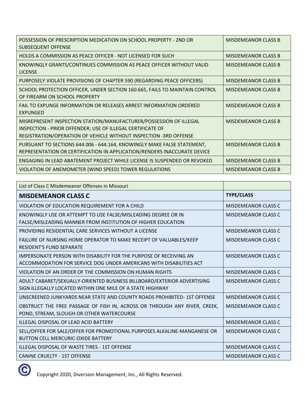| POSSESSION OF PRESCRIPTION MEDICATION ON SCHOOL PROPERTY - 2ND OR<br><b>SUBSEQUENT OFFENSE</b>                                                                                                        | <b>MISDEMEANOR CLASS B</b> |
|-------------------------------------------------------------------------------------------------------------------------------------------------------------------------------------------------------|----------------------------|
| HOLDS A COMMISSION AS PEACE OFFICER - NOT LICENSED FOR SUCH                                                                                                                                           | <b>MISDEMEANOR CLASS B</b> |
| KNOWINGLY GRANTS/CONTINUES COMMISSION AS PEACE OFFICER WITHOUT VALID<br><b>LICENSE</b>                                                                                                                | <b>MISDEMEANOR CLASS B</b> |
| PURPOSELY VIOLATE PROVISIONS OF CHAPTER 590 (REGARDING PEACE OFFICERS)                                                                                                                                | <b>MISDEMEANOR CLASS B</b> |
| SCHOOL PROTECTION OFFICER, UNDER SECTION 160.665, FAILS TO MAINTAIN CONTROL<br>OF FIREARM ON SCHOOL PROPERTY                                                                                          | <b>MISDEMEANOR CLASS B</b> |
| <b>FAIL TO EXPUNGE INFORMATION OR RELEASES ARREST INFORMATION ORDERED</b><br><b>EXPUNGED</b>                                                                                                          | <b>MISDEMEANOR CLASS B</b> |
| MISREPRESENT INSPECTION STATION/MANUFACTURER/POSSESSION OF ILLEGAL<br>INSPECTION - PRIOR OFFENDER; USE OF ILLEGAL CERTIFICATE OF<br>REGISTRATION/OPERATION OF VEHICLE WITHOUT INSPECTION -3RD OFFENSE | <b>MISDEMEANOR CLASS B</b> |
| PURSUANT TO SECTIONS 644.006 - 644.164, KNOWINGLY MAKE FALSE STATEMENT,<br>REPRESENTATION OR CERTIFICATION IN APPLICATION/RENDERS INACCURATE DEVICE                                                   | <b>MISDEMEANOR CLASS B</b> |
| ENGAGING IN LEAD ABATEMENT PROJECT WHILE LICENSE IS SUSPENDED OR REVOKED                                                                                                                              | <b>MISDEMEANOR CLASS B</b> |
| VIOLATION OF ANEMOMETER (WIND SPEED) TOWER REGULATIONS                                                                                                                                                | <b>MISDEMEANOR CLASS B</b> |

| List of Class C Misdemeanor Offenses in Missouri                                                                                          |                            |
|-------------------------------------------------------------------------------------------------------------------------------------------|----------------------------|
| <b>MISDEMEANOR CLASS C</b>                                                                                                                | <b>TYPE/CLASS</b>          |
| VIOLATION OF EDUCATION REQUIREMENT FOR A CHILD                                                                                            | MISDEMEANOR CLASS C        |
| KNOWINGLY USE OR ATTEMPT TO USE FALSE/MISLEADING DEGREE OR IN<br>FALSE/MISLEADING MANNER FROM INSTITUTION OF HIGHER EDUCATION             | <b>MISDEMEANOR CLASS C</b> |
| PROVIDING RESIDENTIAL CARE SERVICES WITHOUT A LICENSE                                                                                     | <b>MISDEMEANOR CLASS C</b> |
| FAILURE OF NURSING HOME OPERATOR TO MAKE RECEIPT OF VALUABLES/KEEP<br><b>RESIDENT'S FUND SEPARATE</b>                                     | <b>MISDEMEANOR CLASS C</b> |
| IMPERSONATE PERSON WITH DISABILITY FOR THE PURPOSE OF RECEIVING AN<br>ACCOMMODATION FOR SERVICE DOG UNDER AMERICANS WITH DISABILITIES ACT | <b>MISDEMEANOR CLASS C</b> |
| VIOLATION OF AN ORDER OF THE COMMISSION ON HUMAN RIGHTS                                                                                   | MISDEMEANOR CLASS C        |
| ADULT CABARET/SEXUALLY-ORIENTED BUSINESS BILLBOARD/EXTERIOR ADVERTISING<br>SIGN ILLEGALLY LOCATED WITHIN ONE MILE OF A STATE HIGHWAY      | <b>MISDEMEANOR CLASS C</b> |
| UNSCREENED JUNKYARDS NEAR STATE AND COUNTY ROADS PROHIBITED- 1ST OFFENSE                                                                  | MISDEMEANOR CLASS C        |
| OBSTRUCT THE FREE PASSAGE OF FISH IN, ACROSS OR THROUGH ANY RIVER, CREEK,<br>POND, STREAM, SLOUGH OR OTHER WATERCOURSE                    | MISDEMEANOR CLASS C        |
| ILLEGAL DISPOSAL OF LEAD ACID BATTERY                                                                                                     | <b>MISDEMEANOR CLASS C</b> |
| SELL/OFFER FOR SALE/OFFER FOR PROMOTIONAL PURPOSES ALKALINE-MANGANESE OR<br><b>BUTTON CELL MERCURIC-OXIDE BATTERY</b>                     | <b>MISDEMEANOR CLASS C</b> |
| ILLEGAL DISPOSAL OF WASTE TIRES - 1ST OFFENSE                                                                                             | <b>MISDEMEANOR CLASS C</b> |
| <b>CANINE CRUELTY - 1ST OFFENSE</b>                                                                                                       | <b>MISDEMEANOR CLASS C</b> |

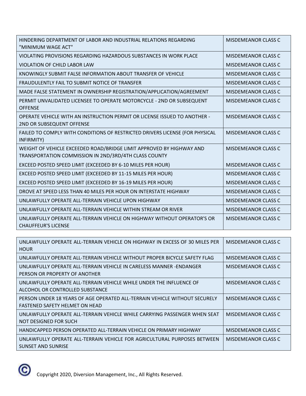| HINDERING DEPARTMENT OF LABOR AND INDUSTRIAL RELATIONS REGARDING<br>"MINIMUM WAGE ACT"                                        | <b>MISDEMEANOR CLASS C</b> |
|-------------------------------------------------------------------------------------------------------------------------------|----------------------------|
| VIOLATING PROVISIONS REGARDING HAZARDOUS SUBSTANCES IN WORK PLACE                                                             | <b>MISDEMEANOR CLASS C</b> |
| VIOLATION OF CHILD LABOR LAW                                                                                                  | <b>MISDEMEANOR CLASS C</b> |
| KNOWINGLY SUBMIT FALSE INFORMATION ABOUT TRANSFER OF VEHICLE                                                                  | <b>MISDEMEANOR CLASS C</b> |
| FRAUDULENTLY FAIL TO SUBMIT NOTICE OF TRANSFER                                                                                | <b>MISDEMEANOR CLASS C</b> |
| MADE FALSE STATEMENT IN OWNERSHIP REGISTRATION/APPLICATION/AGREEMENT                                                          | <b>MISDEMEANOR CLASS C</b> |
| PERMIT UNVALIDATED LICENSEE TO OPERATE MOTORCYCLE - 2ND OR SUBSEQUENT<br><b>OFFENSE</b>                                       | <b>MISDEMEANOR CLASS C</b> |
| OPERATE VEHICLE WITH AN INSTRUCTION PERMIT OR LICENSE ISSUED TO ANOTHER -<br>2ND OR SUBSEQUENT OFFENSE                        | <b>MISDEMEANOR CLASS C</b> |
| FAILED TO COMPLY WITH CONDITIONS OF RESTRICTED DRIVERS LICENSE (FOR PHYSICAL<br>INFIRMITY)                                    | <b>MISDEMEANOR CLASS C</b> |
| WEIGHT OF VEHICLE EXCEEDED ROAD/BRIDGE LIMIT APPROVED BY HIGHWAY AND<br>TRANSPORTATION COMMISSION IN 2ND/3RD/4TH CLASS COUNTY | <b>MISDEMEANOR CLASS C</b> |
| EXCEED POSTED SPEED LIMIT (EXCEEDED BY 6-10 MILES PER HOUR)                                                                   | <b>MISDEMEANOR CLASS C</b> |
| EXCEED POSTED SPEED LIMIT (EXCEEDED BY 11-15 MILES PER HOUR)                                                                  | <b>MISDEMEANOR CLASS C</b> |
| EXCEED POSTED SPEED LIMIT (EXCEEDED BY 16-19 MILES PER HOUR)                                                                  | <b>MISDEMEANOR CLASS C</b> |
| DROVE AT SPEED LESS THAN 40 MILES PER HOUR ON INTERSTATE HIGHWAY                                                              | <b>MISDEMEANOR CLASS C</b> |
| UNLAWFULLY OPERATE ALL-TERRAIN VEHICLE UPON HIGHWAY                                                                           | <b>MISDEMEANOR CLASS C</b> |
| UNLAWFULLY OPERATE ALL-TERRAIN VEHICLE WITHIN STREAM OR RIVER                                                                 | <b>MISDEMEANOR CLASS C</b> |
| UNLAWFULLY OPERATE ALL-TERRAIN VEHICLE ON HIGHWAY WITHOUT OPERATOR'S OR<br><b>CHAUFFEUR'S LICENSE</b>                         | <b>MISDEMEANOR CLASS C</b> |

| UNLAWFULLY OPERATE ALL-TERRAIN VEHICLE ON HIGHWAY IN EXCESS OF 30 MILES PER<br><b>HOUR</b>                   | MISDEMEANOR CLASS C |
|--------------------------------------------------------------------------------------------------------------|---------------------|
| UNLAWFULLY OPERATE ALL-TERRAIN VEHICLE WITHOUT PROPER BICYCLE SAFETY FLAG                                    | MISDEMEANOR CLASS C |
| UNLAWFULLY OPERATE ALL-TERRAIN VEHICLE IN CARELESS MANNER -ENDANGER<br>PERSON OR PROPERTY OF ANOTHER         | MISDEMEANOR CLASS C |
| UNLAWFULLY OPERATE ALL-TERRAIN VEHICLE WHILE UNDER THE INFLUENCE OF<br>ALCOHOL OR CONTROLLED SUBSTANCE       | MISDEMEANOR CLASS C |
| PERSON UNDER 18 YEARS OF AGE OPERATED ALL-TERRAIN VEHICLE WITHOUT SECURELY<br>FASTENED SAFETY HELMET ON HEAD | MISDEMEANOR CLASS C |
| UNLAWFULLY OPERATE ALL-TERRAIN VEHICLE WHILE CARRYING PASSENGER WHEN SEAT<br>NOT DESIGNED FOR SUCH           | MISDEMEANOR CLASS C |
| HANDICAPPED PERSON OPERATED ALL-TERRAIN VEHICLE ON PRIMARY HIGHWAY                                           | MISDEMEANOR CLASS C |
| UNLAWFULLY OPERATE ALL-TERRAIN VEHICLE FOR AGRICULTURAL PURPOSES BETWEEN<br>SUNSET AND SUNRISE               | MISDEMEANOR CLASS C |

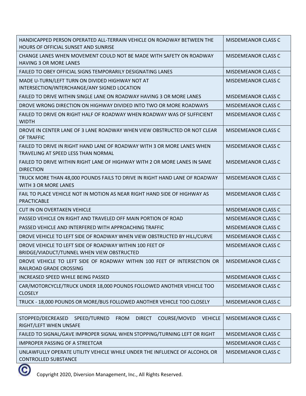| HANDICAPPED PERSON OPERATED ALL-TERRAIN VEHICLE ON ROADWAY BETWEEN THE<br>HOURS OF OFFICIAL SUNSET AND SUNRISE | <b>MISDEMEANOR CLASS C</b> |
|----------------------------------------------------------------------------------------------------------------|----------------------------|
| CHANGE LANES WHEN MOVEMENT COULD NOT BE MADE WITH SAFETY ON ROADWAY<br><b>HAVING 3 OR MORE LANES</b>           | <b>MISDEMEANOR CLASS C</b> |
| <b>FAILED TO OBEY OFFICIAL SIGNS TEMPORARILY DESIGNATING LANES</b>                                             | MISDEMEANOR CLASS C        |
| MADE U-TURN/LEFT TURN ON DIVIDED HIGHWAY NOT AT<br>INTERSECTION/INTERCHANGE/ANY SIGNED LOCATION                | <b>MISDEMEANOR CLASS C</b> |
| FAILED TO DRIVE WITHIN SINGLE LANE ON ROADWAY HAVING 3 OR MORE LANES                                           | <b>MISDEMEANOR CLASS C</b> |
| DROVE WRONG DIRECTION ON HIGHWAY DIVIDED INTO TWO OR MORE ROADWAYS                                             | <b>MISDEMEANOR CLASS C</b> |
| FAILED TO DRIVE ON RIGHT HALF OF ROADWAY WHEN ROADWAY WAS OF SUFFICIENT<br><b>WIDTH</b>                        | MISDEMEANOR CLASS C        |
| DROVE IN CENTER LANE OF 3 LANE ROADWAY WHEN VIEW OBSTRUCTED OR NOT CLEAR<br>OF TRAFFIC                         | <b>MISDEMEANOR CLASS C</b> |
| FAILED TO DRIVE IN RIGHT HAND LANE OF ROADWAY WITH 3 OR MORE LANES WHEN<br>TRAVELING AT SPEED LESS THAN NORMAL | <b>MISDEMEANOR CLASS C</b> |
| FAILED TO DRIVE WITHIN RIGHT LANE OF HIGHWAY WITH 2 OR MORE LANES IN SAME<br><b>DIRECTION</b>                  | <b>MISDEMEANOR CLASS C</b> |
| TRUCK MORE THAN 48,000 POUNDS FAILS TO DRIVE IN RIGHT HAND LANE OF ROADWAY<br>WITH 3 OR MORE LANES             | <b>MISDEMEANOR CLASS C</b> |
| FAIL TO PLACE VEHICLE NOT IN MOTION AS NEAR RIGHT HAND SIDE OF HIGHWAY AS<br>PRACTICABLE                       | <b>MISDEMEANOR CLASS C</b> |
| CUT IN ON OVERTAKEN VEHICLE                                                                                    | <b>MISDEMEANOR CLASS C</b> |
| PASSED VEHICLE ON RIGHT AND TRAVELED OFF MAIN PORTION OF ROAD                                                  | <b>MISDEMEANOR CLASS C</b> |
| PASSED VEHICLE AND INTERFERED WITH APPROACHING TRAFFIC                                                         | <b>MISDEMEANOR CLASS C</b> |
| DROVE VEHICLE TO LEFT SIDE OF ROADWAY WHEN VIEW OBSTRUCTED BY HILL/CURVE                                       | <b>MISDEMEANOR CLASS C</b> |
| DROVE VEHICLE TO LEFT SIDE OF ROADWAY WITHIN 100 FEET OF<br>BRIDGE/VIADUCT/TUNNEL WHEN VIEW OBSTRUCTED         | <b>MISDEMEANOR CLASS C</b> |
| DROVE VEHICLE TO LEFT SIDE OF ROADWAY WITHIN 100 FEET OF INTERSECTION OR<br>RAILROAD GRADE CROSSING            | MISDEMEANOR CLASS C        |
| <b>INCREASED SPEED WHILE BEING PASSED</b>                                                                      | <b>MISDEMEANOR CLASS C</b> |
| CAR/MOTORCYCLE/TRUCK UNDER 18,000 POUNDS FOLLOWED ANOTHER VEHICLE TOO<br><b>CLOSELY</b>                        | MISDEMEANOR CLASS C        |
| TRUCK - 18,000 POUNDS OR MORE/BUS FOLLOWED ANOTHER VEHICLE TOO CLOSELY                                         | MISDEMEANOR CLASS C        |
|                                                                                                                |                            |

| DIRECT COURSE/MOVED<br>STOPPED/DECREASED SPEED/TURNED FROM<br>VEHICLE      | MISDEMEANOR CLASS C        |
|----------------------------------------------------------------------------|----------------------------|
| RIGHT/LEFT WHEN UNSAFE                                                     |                            |
| FAILED TO SIGNAL/GAVE IMPROPER SIGNAL WHEN STOPPING/TURNING LEFT OR RIGHT  | <b>MISDEMEANOR CLASS C</b> |
| IMPROPER PASSING OF A STREETCAR                                            | <b>MISDEMEANOR CLASS C</b> |
| UNLAWFULLY OPERATE UTILITY VEHICLE WHILE UNDER THE INFLUENCE OF ALCOHOL OR | MISDEMEANOR CLASS C        |
| <b>CONTROLLED SUBSTANCE</b>                                                |                            |

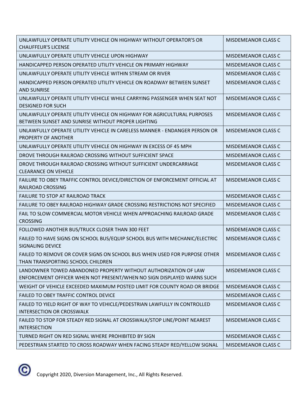| UNLAWFULLY OPERATE UTILITY VEHICLE ON HIGHWAY WITHOUT OPERATOR'S OR<br><b>CHAUFFEUR'S LICENSE</b>                                         | MISDEMEANOR CLASS C        |
|-------------------------------------------------------------------------------------------------------------------------------------------|----------------------------|
| UNLAWFULLY OPERATE UTILITY VEHICLE UPON HIGHWAY                                                                                           | <b>MISDEMEANOR CLASS C</b> |
| HANDICAPPED PERSON OPERATED UTILITY VEHICLE ON PRIMARY HIGHWAY                                                                            | <b>MISDEMEANOR CLASS C</b> |
| UNLAWFULLY OPERATE UTILITY VEHICLE WITHIN STREAM OR RIVER                                                                                 | MISDEMEANOR CLASS C        |
| HANDICAPPED PERSON OPERATED UTILITY VEHICLE ON ROADWAY BETWEEN SUNSET<br><b>AND SUNRISE</b>                                               | <b>MISDEMEANOR CLASS C</b> |
| UNLAWFULLY OPERATE UTILITY VEHICLE WHILE CARRYING PASSENGER WHEN SEAT NOT<br><b>DESIGNED FOR SUCH</b>                                     | MISDEMEANOR CLASS C        |
| UNLAWFULLY OPERATE UTILITY VEHICLE ON HIGHWAY FOR AGRICULTURAL PURPOSES<br>BETWEEN SUNSET AND SUNRISE WITHOUT PROPER LIGHTING             | <b>MISDEMEANOR CLASS C</b> |
| UNLAWFULLY OPERATE UTILITY VEHICLE IN CARELESS MANNER - ENDANGER PERSON OR<br>PROPERTY OF ANOTHER                                         | <b>MISDEMEANOR CLASS C</b> |
| UNLAWFULLY OPERATE UTILITY VEHICLE ON HIGHWAY IN EXCESS OF 45 MPH                                                                         | <b>MISDEMEANOR CLASS C</b> |
| DROVE THROUGH RAILROAD CROSSING WITHOUT SUFFICIENT SPACE                                                                                  | <b>MISDEMEANOR CLASS C</b> |
| DROVE THROUGH RAILROAD CROSSING WITHOUT SUFFICIENT UNDERCARRIAGE<br><b>CLEARANCE ON VEHICLE</b>                                           | <b>MISDEMEANOR CLASS C</b> |
| FAILURE TO OBEY TRAFFIC CONTROL DEVICE/DIRECTION OF ENFORCEMENT OFFICIAL AT<br>RAILROAD CROSSING                                          | <b>MISDEMEANOR CLASS C</b> |
| <b>FAILURE TO STOP AT RAILROAD TRACK</b>                                                                                                  | <b>MISDEMEANOR CLASS C</b> |
| FAILURE TO OBEY RAILROAD HIGHWAY GRADE CROSSING RESTRICTIONS NOT SPECIFIED                                                                | <b>MISDEMEANOR CLASS C</b> |
| FAIL TO SLOW COMMERCIAL MOTOR VEHICLE WHEN APPROACHING RAILROAD GRADE<br><b>CROSSING</b>                                                  | <b>MISDEMEANOR CLASS C</b> |
| FOLLOWED ANOTHER BUS/TRUCK CLOSER THAN 300 FEET                                                                                           | <b>MISDEMEANOR CLASS C</b> |
| FAILED TO HAVE SIGNS ON SCHOOL BUS/EQUIP SCHOOL BUS WITH MECHANIC/ELECTRIC<br><b>SIGNALING DEVICE</b>                                     | <b>MISDEMEANOR CLASS C</b> |
| FAILED TO REMOVE OR COVER SIGNS ON SCHOOL BUS WHEN USED FOR PURPOSE OTHER<br>THAN TRANSPORTING SCHOOL CHILDREN                            | <b>MISDEMEANOR CLASS C</b> |
| LANDOWNER TOWED ABANDONED PROPERTY WITHOUT AUTHORIZATION OF LAW<br>ENFORCEMENT OFFICER WHEN NOT PRESENT/WHEN NO SIGN DISPLAYED WARNS SUCH | <b>MISDEMEANOR CLASS C</b> |
| WEIGHT OF VEHICLE EXCEEDED MAXIMUM POSTED LIMIT FOR COUNTY ROAD OR BRIDGE                                                                 | <b>MISDEMEANOR CLASS C</b> |
| FAILED TO OBEY TRAFFIC CONTROL DEVICE                                                                                                     | <b>MISDEMEANOR CLASS C</b> |
| FAILED TO YIELD RIGHT OF WAY TO VEHICLE/PEDESTRIAN LAWFULLY IN CONTROLLED<br><b>INTERSECTION OR CROSSWALK</b>                             | MISDEMEANOR CLASS C        |
| FAILED TO STOP FOR STEADY RED SIGNAL AT CROSSWALK/STOP LINE/POINT NEAREST<br><b>INTERSECTION</b>                                          | MISDEMEANOR CLASS C        |
| TURNED RIGHT ON RED SIGNAL WHERE PROHIBITED BY SIGN                                                                                       | <b>MISDEMEANOR CLASS C</b> |
| PEDESTRIAN STARTED TO CROSS ROADWAY WHEN FACING STEADY RED/YELLOW SIGNAL                                                                  | MISDEMEANOR CLASS C        |

 $\circledcirc$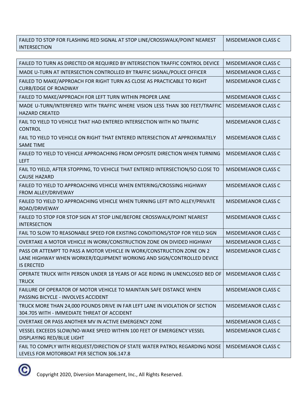| FAILED TO STOP FOR FLASHING RED SIGNAL AT STOP LINE/CROSSWALK/POINT NEAREST | MISDEMEANOR CLASS C |
|-----------------------------------------------------------------------------|---------------------|
| <b>INTERSECTION</b>                                                         |                     |

| FAILED TO TURN AS DIRECTED OR REQUIRED BY INTERSECTION TRAFFIC CONTROL DEVICE                                                                                        | <b>MISDEMEANOR CLASS C</b> |
|----------------------------------------------------------------------------------------------------------------------------------------------------------------------|----------------------------|
| MADE U-TURN AT INTERSECTION CONTROLLED BY TRAFFIC SIGNAL/POLICE OFFICER                                                                                              | <b>MISDEMEANOR CLASS C</b> |
| FAILED TO MAKE/APPROACH FOR RIGHT TURN AS CLOSE AS PRACTICABLE TO RIGHT<br><b>CURB/EDGE OF ROADWAY</b>                                                               | <b>MISDEMEANOR CLASS C</b> |
| FAILED TO MAKE/APPROACH FOR LEFT TURN WITHIN PROPER LANE                                                                                                             | <b>MISDEMEANOR CLASS C</b> |
| MADE U-TURN/INTERFERED WITH TRAFFIC WHERE VISION LESS THAN 300 FEET/TRAFFIC<br><b>HAZARD CREATED</b>                                                                 | <b>MISDEMEANOR CLASS C</b> |
| FAIL TO YIELD TO VEHICLE THAT HAD ENTERED INTERSECTION WITH NO TRAFFIC<br><b>CONTROL</b>                                                                             | <b>MISDEMEANOR CLASS C</b> |
| FAIL TO YIELD TO VEHICLE ON RIGHT THAT ENTERED INTERSECTION AT APPROXIMATELY<br><b>SAME TIME</b>                                                                     | <b>MISDEMEANOR CLASS C</b> |
| FAILED TO YIELD TO VEHICLE APPROACHING FROM OPPOSITE DIRECTION WHEN TURNING<br><b>LEFT</b>                                                                           | <b>MISDEMEANOR CLASS C</b> |
| FAIL TO YIELD, AFTER STOPPING, TO VEHICLE THAT ENTERED INTERSECTION/SO CLOSE TO<br><b>CAUSE HAZARD</b>                                                               | <b>MISDEMEANOR CLASS C</b> |
| FAILED TO YIELD TO APPROACHING VEHICLE WHEN ENTERING/CROSSING HIGHWAY<br>FROM ALLEY/DRIVEWAY                                                                         | <b>MISDEMEANOR CLASS C</b> |
| FAILED TO YIELD TO APPROACHING VEHICLE WHEN TURNING LEFT INTO ALLEY/PRIVATE<br>ROAD/DRIVEWAY                                                                         | <b>MISDEMEANOR CLASS C</b> |
| FAILED TO STOP FOR STOP SIGN AT STOP LINE/BEFORE CROSSWALK/POINT NEAREST<br><b>INTERSECTION</b>                                                                      | <b>MISDEMEANOR CLASS C</b> |
| FAIL TO SLOW TO REASONABLE SPEED FOR EXISTING CONDITIONS/STOP FOR YIELD SIGN                                                                                         | <b>MISDEMEANOR CLASS C</b> |
| OVERTAKE A MOTOR VEHICLE IN WORK/CONSTRUCTION ZONE ON DIVIDED HIGHWAY                                                                                                | <b>MISDEMEANOR CLASS C</b> |
| PASS OR ATTEMPT TO PASS A MOTOR VEHICLE IN WORK/CONSTRUCTION ZONE ON 2<br>LANE HIGHWAY WHEN WORKER/EQUIPMENT WORKING AND SIGN/CONTROLLED DEVICE<br><b>IS ERECTED</b> | <b>MISDEMEANOR CLASS C</b> |
| OPERATE TRUCK WITH PERSON UNDER 18 YEARS OF AGE RIDING IN UNENCLOSED BED OF<br><b>TRUCK</b>                                                                          | <b>MISDEMEANOR CLASS C</b> |
| FAILURE OF OPERATOR OF MOTOR VEHICLE TO MAINTAIN SAFE DISTANCE WHEN<br>PASSING BICYCLE - INVOLVES ACCIDENT                                                           | MISDEMEANOR CLASS C        |
| TRUCK MORE THAN 24,000 POUNDS DRIVE IN FAR LEFT LANE IN VIOLATION OF SECTION<br>304.705 WITH - IMMEDIATE THREAT OF ACCIDENT                                          | MISDEMEANOR CLASS C        |
| OVERTAKE OR PASS ANOTHER MV IN ACTIVE EMERGENCY ZONE                                                                                                                 | <b>MISDEMEANOR CLASS C</b> |
| VESSEL EXCEEDS SLOW/NO-WAKE SPEED WITHIN 100 FEET OF EMERGENCY VESSEL<br>DISPLAYING RED/BLUE LIGHT                                                                   | <b>MISDEMEANOR CLASS C</b> |
| FAIL TO COMPLY WITH REQUEST/DIRECTION OF STATE WATER PATROL REGARDING NOISE<br>LEVELS FOR MOTORBOAT PER SECTION 306.147.8                                            | MISDEMEANOR CLASS C        |

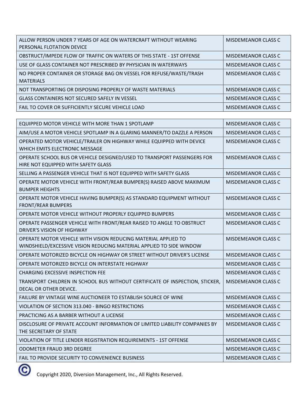| ALLOW PERSON UNDER 7 YEARS OF AGE ON WATERCRAFT WITHOUT WEARING<br>PERSONAL FLOTATION DEVICE | <b>MISDEMEANOR CLASS C</b> |
|----------------------------------------------------------------------------------------------|----------------------------|
| OBSTRUCT/IMPEDE FLOW OF TRAFFIC ON WATERS OF THIS STATE - 1ST OFFENSE                        | MISDEMEANOR CLASS C        |
| USE OF GLASS CONTAINER NOT PRESCRIBED BY PHYSICIAN IN WATERWAYS                              | MISDEMEANOR CLASS C        |
| NO PROPER CONTAINER OR STORAGE BAG ON VESSEL FOR REFUSE/WASTE/TRASH<br><b>MATERIALS</b>      | MISDEMEANOR CLASS C        |
| NOT TRANSPORTING OR DISPOSING PROPERLY OF WASTE MATERIALS                                    | MISDEMEANOR CLASS C        |
| <b>GLASS CONTAINERS NOT SECURED SAFELY IN VESSEL</b>                                         | MISDEMEANOR CLASS C        |
| FAIL TO COVER OR SUFFICIENTLY SECURE VEHICLE LOAD                                            | <b>MISDEMEANOR CLASS C</b> |

| EQUIPPED MOTOR VEHICLE WITH MORE THAN 1 SPOTLAMP                                                       | MISDEMEANOR CLASS C        |
|--------------------------------------------------------------------------------------------------------|----------------------------|
| AIM/USE A MOTOR VEHICLE SPOTLAMP IN A GLARING MANNER/TO DAZZLE A PERSON                                | <b>MISDEMEANOR CLASS C</b> |
| OPERATED MOTOR VEHICLE/TRAILER ON HIGHWAY WHILE EQUIPPED WITH DEVICE                                   | <b>MISDEMEANOR CLASS C</b> |
| WHICH EMITS ELECTRONIC MESSAGE                                                                         |                            |
| OPERATE SCHOOL BUS OR VEHICLE DESIGNED/USED TO TRANSPORT PASSENGERS FOR                                | <b>MISDEMEANOR CLASS C</b> |
| HIRE NOT EQUIPPED WITH SAFETY GLASS                                                                    |                            |
| SELLING A PASSENGER VEHICLE THAT IS NOT EQUIPPED WITH SAFETY GLASS                                     | MISDEMEANOR CLASS C        |
| OPERATE MOTOR VEHICLE WITH FRONT/REAR BUMPER(S) RAISED ABOVE MAXIMUM<br><b>BUMPER HEIGHTS</b>          | MISDEMEANOR CLASS C        |
| OPERATE MOTOR VEHICLE HAVING BUMPER(S) AS STANDARD EQUIPMENT WITHOUT<br><b>FRONT/REAR BUMPERS</b>      | <b>MISDEMEANOR CLASS C</b> |
| OPERATE MOTOR VEHICLE WITHOUT PROPERLY EQUIPPED BUMPERS                                                | <b>MISDEMEANOR CLASS C</b> |
| OPERATE PASSENGER VEHICLE WITH FRONT/REAR RAISED TO ANGLE TO OBSTRUCT<br>DRIVER'S VISION OF HIGHWAY    | MISDEMEANOR CLASS C        |
| OPERATE MOTOR VEHICLE WITH VISION REDUCING MATERIAL APPLIED TO                                         | MISDEMEANOR CLASS C        |
| WINDSHIELD/EXCESSIVE VISION REDUCING MATERIAL APPLIED TO SIDE WINDOW                                   |                            |
| OPERATE MOTORIZED BICYCLE ON HIGHWAY OR STREET WITHOUT DRIVER'S LICENSE                                | MISDEMEANOR CLASS C        |
| OPERATE MOTORIZED BICYCLE ON INTERSTATE HIGHWAY                                                        | <b>MISDEMEANOR CLASS C</b> |
| <b>CHARGING EXCESSIVE INSPECTION FEE</b>                                                               | <b>MISDEMEANOR CLASS C</b> |
| TRANSPORT CHILDREN IN SCHOOL BUS WITHOUT CERTIFICATE OF INSPECTION, STICKER,<br>DECAL OR OTHER DEVICE. | <b>MISDEMEANOR CLASS C</b> |
| FAILURE BY VINTAGE WINE AUCTIONEER TO ESTABLISH SOURCE OF WINE                                         | MISDEMEANOR CLASS C        |
| VIOLATION OF SECTION 313.040 - BINGO RESTRICTIONS                                                      | <b>MISDEMEANOR CLASS C</b> |
| PRACTICING AS A BARBER WITHOUT A LICENSE                                                               | <b>MISDEMEANOR CLASS C</b> |
| DISCLOSURE OF PRIVATE ACCOUNT INFORMATION OF LIMITED LIABILITY COMPANIES BY<br>THE SECRETARY OF STATE  | <b>MISDEMEANOR CLASS C</b> |
| VIOLATION OF TITLE LENDER REGISTRATION REQUIREMENTS - 1ST OFFENSE                                      | <b>MISDEMEANOR CLASS C</b> |
| <b>ODOMETER FRAUD 3RD DEGREE</b>                                                                       | <b>MISDEMEANOR CLASS C</b> |
| FAIL TO PROVIDE SECURITY TO CONVENIENCE BUSINESS                                                       | <b>MISDEMEANOR CLASS C</b> |

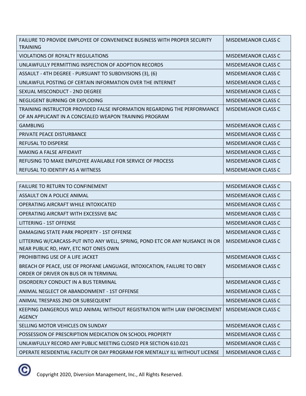| FAILURE TO PROVIDE EMPLOYEE OF CONVENIENCE BUSINESS WITH PROPER SECURITY<br><b>TRAINING</b>                                        | MISDEMEANOR CLASS C        |
|------------------------------------------------------------------------------------------------------------------------------------|----------------------------|
| VIOLATIONS OF ROYALTY REGULATIONS                                                                                                  | <b>MISDEMEANOR CLASS C</b> |
| UNLAWFULLY PERMITTING INSPECTION OF ADOPTION RECORDS                                                                               | MISDEMEANOR CLASS C        |
| ASSAULT - 4TH DEGREE - PURSUANT TO SUBDIVISIONS (3), (6)                                                                           | <b>MISDEMEANOR CLASS C</b> |
| UNLAWFUL POSTING OF CERTAIN INFORMATION OVER THE INTERNET                                                                          | MISDEMEANOR CLASS C        |
| SEXUAL MISCONDUCT - 2ND DEGREE                                                                                                     | <b>MISDEMEANOR CLASS C</b> |
| NEGLIGENT BURNING OR EXPLODING                                                                                                     | MISDEMEANOR CLASS C        |
| TRAINING INSTRUCTOR PROVIDED FALSE INFORMATION REGARDING THE PERFORMANCE<br>OF AN APPLICANT IN A CONCEALED WEAPON TRAINING PROGRAM | <b>MISDEMEANOR CLASS C</b> |
| <b>GAMBLING</b>                                                                                                                    | <b>MISDEMEANOR CLASS C</b> |
| <b>PRIVATE PEACE DISTURBANCE</b>                                                                                                   | MISDEMEANOR CLASS C        |
| REFUSAL TO DISPERSE                                                                                                                | <b>MISDEMEANOR CLASS C</b> |
| MAKING A FALSE AFFIDAVIT                                                                                                           | <b>MISDEMEANOR CLASS C</b> |
| REFUSING TO MAKE EMPLOYEE AVAILABLE FOR SERVICE OF PROCESS                                                                         | MISDEMEANOR CLASS C        |
| REFUSAL TO IDENTIFY AS A WITNESS                                                                                                   | <b>MISDEMEANOR CLASS C</b> |

| <b>FAILURE TO RETURN TO CONFINEMENT</b>                                                                                | <b>MISDEMEANOR CLASS C</b> |
|------------------------------------------------------------------------------------------------------------------------|----------------------------|
| ASSAULT ON A POLICE ANIMAL                                                                                             | <b>MISDEMEANOR CLASS C</b> |
| OPERATING AIRCRAFT WHILE INTOXICATED                                                                                   | <b>MISDEMEANOR CLASS C</b> |
| OPERATING AIRCRAFT WITH EXCESSIVE BAC                                                                                  | <b>MISDEMEANOR CLASS C</b> |
| LITTERING - 1ST OFFENSE                                                                                                | <b>MISDEMEANOR CLASS C</b> |
| DAMAGING STATE PARK PROPERTY - 1ST OFFENSE                                                                             | <b>MISDEMEANOR CLASS C</b> |
| LITTERING W/CARCASS-PUT INTO ANY WELL, SPRING, POND ETC OR ANY NUISANCE IN OR<br>NEAR PUBLIC RD, HWY, ETC NOT ONES OWN | <b>MISDEMEANOR CLASS C</b> |
| PROHIBITING USE OF A LIFE JACKET                                                                                       | MISDEMEANOR CLASS C        |
| BREACH OF PEACE, USE OF PROFANE LANGUAGE, INTOXICATION, FAILURE TO OBEY<br>ORDER OF DRIVER ON BUS OR IN TERMINAL       | <b>MISDEMEANOR CLASS C</b> |
| DISORDERLY CONDUCT IN A BUS TERMINAL                                                                                   | MISDEMEANOR CLASS C        |
| ANIMAL NEGLECT OR ABANDONMENT - 1ST OFFENSE                                                                            | <b>MISDEMEANOR CLASS C</b> |
| ANIMAL TRESPASS 2ND OR SUBSEQUENT                                                                                      | MISDEMEANOR CLASS C        |
| KEEPING DANGEROUS WILD ANIMAL WITHOUT REGISTRATION WITH LAW ENFORCEMENT<br><b>AGENCY</b>                               | MISDEMEANOR CLASS C        |
| SELLING MOTOR VEHICLES ON SUNDAY                                                                                       | <b>MISDEMEANOR CLASS C</b> |
| POSSESSION OF PRESCRIPTION MEDICATION ON SCHOOL PROPERTY                                                               | <b>MISDEMEANOR CLASS C</b> |
| UNLAWFULLY RECORD ANY PUBLIC MEETING CLOSED PER SECTION 610.021                                                        | <b>MISDEMEANOR CLASS C</b> |
| OPERATE RESIDENTIAL FACILITY OR DAY PROGRAM FOR MENTALLY ILL WITHOUT LICENSE                                           | <b>MISDEMEANOR CLASS C</b> |

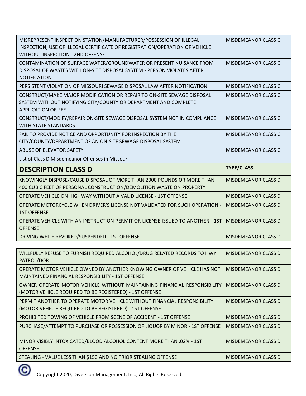| MISREPRESENT INSPECTION STATION/MANUFACTURER/POSSESSION OF ILLEGAL<br>INSPECTION; USE OF ILLEGAL CERTIFICATE OF REGISTRATION/OPERATION OF VEHICLE<br><b>WITHOUT INSPECTION - 2ND OFFENSE</b> | <b>MISDEMEANOR CLASS C</b> |
|----------------------------------------------------------------------------------------------------------------------------------------------------------------------------------------------|----------------------------|
| CONTAMINATION OF SURFACE WATER/GROUNDWATER OR PRESENT NUISANCE FROM<br>DISPOSAL OF WASTES WITH ON-SITE DISPOSAL SYSTEM - PERSON VIOLATES AFTER<br><b>NOTIFICATION</b>                        | <b>MISDEMEANOR CLASS C</b> |
| PERSISTENT VIOLATION OF MISSOURI SEWAGE DISPOSAL LAW AFTER NOTIFICATION                                                                                                                      | <b>MISDEMEANOR CLASS C</b> |
| CONSTRUCT/MAKE MAJOR MODIFICATION OR REPAIR TO ON-SITE SEWAGE DISPOSAL<br>SYSTEM WITHOUT NOTIFYING CITY/COUNTY OR DEPARTMENT AND COMPLETE<br><b>APPLICATION OR FEE</b>                       | <b>MISDEMEANOR CLASS C</b> |
| CONSTRUCT/MODIFY/REPAIR ON-SITE SEWAGE DISPOSAL SYSTEM NOT IN COMPLIANCE<br><b>WITH STATE STANDARDS</b>                                                                                      | <b>MISDEMEANOR CLASS C</b> |
| FAIL TO PROVIDE NOTICE AND OPPORTUNITY FOR INSPECTION BY THE<br>CITY/COUNTY/DEPARTMENT OF AN ON-SITE SEWAGE DISPOSAL SYSTEM                                                                  | <b>MISDEMEANOR CLASS C</b> |
| ABUSE OF ELEVATOR SAFETY                                                                                                                                                                     | <b>MISDEMEANOR CLASS C</b> |
|                                                                                                                                                                                              |                            |
| List of Class D Misdemeanor Offenses in Missouri                                                                                                                                             |                            |
| <b>DESCRIPTION CLASS D</b>                                                                                                                                                                   | <b>TYPE/CLASS</b>          |
| KNOWINGLY DISPOSE/CAUSE DISPOSAL OF MORE THAN 2000 POUNDS OR MORE THAN<br>400 CUBIC FEET OF PERSONAL CONSTRUCTION/DEMOLITION WASTE ON PROPERTY                                               | <b>MISDEMEANOR CLASS D</b> |
| OPERATE VEHICLE ON HIGHWAY WITHOUT A VALID LICENSE - 1ST OFFENSE                                                                                                                             | <b>MISDEMEANOR CLASS D</b> |
| OPERATE MOTORCYCLE WHEN DRIVER'S LICENSE NOT VALIDATED FOR SUCH OPERATION -<br><b>1ST OFFENSE</b>                                                                                            | <b>MISDEMEANOR CLASS D</b> |
| OPERATE VEHICLE WITH AN INSTRUCTION PERMIT OR LICENSE ISSUED TO ANOTHER - 1ST<br><b>OFFENSE</b>                                                                                              | <b>MISDEMEANOR CLASS D</b> |

| WILLFULLY REFUSE TO FURNISH REQUIRED ALCOHOL/DRUG RELATED RECORDS TO HWY<br>PATROL/DOR                                              | <b>MISDEMEANOR CLASS D</b> |
|-------------------------------------------------------------------------------------------------------------------------------------|----------------------------|
| OPERATE MOTOR VEHICLE OWNED BY ANOTHER KNOWING OWNER OF VEHICLE HAS NOT<br>MAINTAINED FINANCIAL RESPONSIBILITY - 1ST OFFENSE        | <b>MISDEMEANOR CLASS D</b> |
| OWNER OPERATE MOTOR VEHICLE WITHOUT MAINTAINING FINANCIAL RESPONSIBILITY<br>(MOTOR VEHICLE REQUIRED TO BE REGISTERED) - 1ST OFFENSE | <b>MISDEMEANOR CLASS D</b> |
| PERMIT ANOTHER TO OPERATE MOTOR VEHICLE WITHOUT FINANCIAL RESPONSIBILITY<br>(MOTOR VEHICLE REQUIRED TO BE REGISTERED) - 1ST OFFENSE | <b>MISDEMEANOR CLASS D</b> |
| <b>PROHIBITED TOWING OF VEHICLE FROM SCENE OF ACCIDENT - 1ST OFFENSE</b>                                                            | <b>MISDEMEANOR CLASS D</b> |
| PURCHASE/ATTEMPT TO PURCHASE OR POSSESSION OF LIQUOR BY MINOR - 1ST OFFENSE                                                         | <b>MISDEMEANOR CLASS D</b> |
| MINOR VISIBLY INTOXICATED/BLOOD ALCOHOL CONTENT MORE THAN .02% - 1ST<br><b>OFFENSE</b>                                              | <b>MISDEMEANOR CLASS D</b> |
| STEALING - VALUE LESS THAN \$150 AND NO PRIOR STEALING OFFENSE                                                                      | MISDEMEANOR CLASS D        |

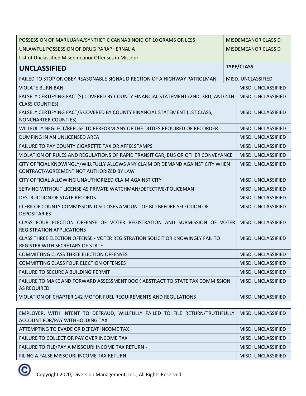| POSSESSION OF MARIJUANA/SYNTHETIC CANNABINOID OF 10 GRAMS OR LESS                                                          |  | <b>MISDEMEANOR CLASS D</b> |  |
|----------------------------------------------------------------------------------------------------------------------------|--|----------------------------|--|
| UNLAWFUL POSSESSION OF DRUG PARAPHERNALIA                                                                                  |  | <b>MISDEMEANOR CLASS D</b> |  |
| List of Unclassified Misdemeanor Offenses in Missouri                                                                      |  |                            |  |
| <b>UNCLASSIFIED</b>                                                                                                        |  | <b>TYPE/CLASS</b>          |  |
| FAILED TO STOP OR OBEY REASONABLE SIGNAL DIRECTION OF A HIGHWAY PATROLMAN                                                  |  | MISD. UNCLASSIFIED         |  |
| <b>VIOLATE BURN BAN</b>                                                                                                    |  | MISD. UNCLASSIFIED         |  |
| FALSELY CERTIFYING FACT(S) COVERED BY COUNTY FINANCIAL STATEMENT (2ND, 3RD, AND 4TH<br><b>CLASS COUNTIES)</b>              |  | MISD. UNCLASSIFIED         |  |
| FALSELY CERTIFYING FACT/S COVERED BY COUNTY FINANCIAL STATEMENT (1ST CLASS,<br><b>NONCHARTER COUNTIES)</b>                 |  | MISD. UNCLASSIFIED         |  |
| WILLFULLY NEGLECT/REFUSE TO PERFORM ANY OF THE DUTIES REQUIRED OF RECORDER                                                 |  | MISD. UNCLASSIFIED         |  |
| DUMPING IN AN UNLICENSED AREA                                                                                              |  | MISD. UNCLASSIFIED         |  |
| FAILURE TO PAY COUNTY CIGARETTE TAX OR AFFIX STAMPS                                                                        |  | MISD. UNCLASSIFIED         |  |
| VIOLATION OF RULES AND REGULATIONS OF RAPID TRANSIT CAR, BUS OR OTHER CONVEYANCE                                           |  | MISD. UNCLASSIFIED         |  |
| CITY OFFICIAL KNOWINGLY/WILLFULLY ALLOWS ANY CLAIM OR DEMAND AGAINST CITY WHEN<br>CONTRACT/AGREEMENT NOT AUTHORIZED BY LAW |  | MISD. UNCLASSIFIED         |  |
| CITY OFFICIAL ALLOWING UNAUTHORIZED CLAIM AGAINST CITY                                                                     |  | MISD. UNCLASSIFIED         |  |
| SERVING WITHOUT LICENSE AS PRIVATE WATCHMAN/DETECTIVE/POLICEMAN                                                            |  | MISD. UNCLASSIFIED         |  |
| <b>DESTRUCTION OF STATE RECORDS</b>                                                                                        |  | MISD. UNCLASSIFIED         |  |
| CLERK OF COUNTY COMMISSION DISCLOSES AMOUNT OF BID BEFORE SELECTION OF<br><b>DEPOSITARIES</b>                              |  | MISD. UNCLASSIFIED         |  |
| CLASS FOUR ELECTION OFFENSE OF VOTER REGISTRATION AND SUBMISSION OF VOTER<br><b>REGISTRATION APPLICATIONS</b>              |  | MISD. UNCLASSIFIED         |  |
| CLASS THREE ELECTION OFFENSE - VOTER REGISTRATION SOLICIT OR KNOWINGLY FAIL TO<br>REGISTER WITH SECRETARY OF STATE         |  | MISD. UNCLASSIFIED         |  |
| <b>COMMITTING CLASS THREE ELECTION OFFENSES</b>                                                                            |  | MISD. UNCLASSIFIED         |  |
| COMMITTING CLASS FOUR ELECTION OFFENSES                                                                                    |  | MISD. UNCLASSIFIED         |  |
| FAILURE TO SECURE A BUILDING PERMIT                                                                                        |  | MISD. UNCLASSIFIED         |  |
| FAILURE TO MAKE AND FORWARD ASSESSMENT BOOK ABSTRACT TO STATE TAX COMMISSION<br><b>AS REQUIRED</b>                         |  | MISD. UNCLASSIFIED         |  |
| VIOLATION OF CHAPTER 142 MOTOR FUEL REQUIREMENTS AND REGULATIONS                                                           |  | MISD. UNCLASSIFIED         |  |

| EMPLOYER, WITH INTENT TO DEFRAUD, WILLFULLY FAILED TO FILE RETURN/TRUTHFULLY   MISD. UNCLASSIFIED<br>ACCOUNT FOR/PAY WITHHOLDING TAX |                    |
|--------------------------------------------------------------------------------------------------------------------------------------|--------------------|
| ATTEMPTING TO EVADE OR DEFEAT INCOME TAX                                                                                             | MISD. UNCLASSIFIED |
| FAILURE TO COLLECT OR PAY OVER INCOME TAX                                                                                            | MISD. UNCLASSIFIED |
| FAILURE TO FILE/PAY A MISSOURI INCOME TAX RETURN -                                                                                   | MISD. UNCLASSIFIED |
| FILING A FALSE MISSOURI INCOME TAX RETURN                                                                                            | MISD. UNCLASSIFIED |

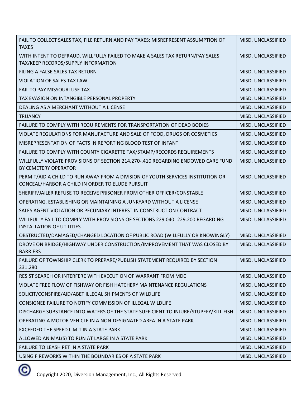| FAIL TO COLLECT SALES TAX, FILE RETURN AND PAY TAXES; MISREPRESENT ASSUMPTION OF<br><b>TAXES</b>                                    | MISD. UNCLASSIFIED |
|-------------------------------------------------------------------------------------------------------------------------------------|--------------------|
| WITH INTENT TO DEFRAUD, WILLFULLY FAILED TO MAKE A SALES TAX RETURN/PAY SALES<br>TAX/KEEP RECORDS/SUPPLY INFORMATION                | MISD. UNCLASSIFIED |
| FILING A FALSE SALES TAX RETURN                                                                                                     | MISD. UNCLASSIFIED |
| VIOLATION OF SALES TAX LAW                                                                                                          | MISD. UNCLASSIFIED |
| FAIL TO PAY MISSOURI USE TAX                                                                                                        | MISD. UNCLASSIFIED |
| TAX EVASION ON INTANGIBLE PERSONAL PROPERTY                                                                                         | MISD. UNCLASSIFIED |
| DEALING AS A MERCHANT WITHOUT A LICENSE                                                                                             | MISD. UNCLASSIFIED |
| <b>TRUANCY</b>                                                                                                                      | MISD. UNCLASSIFIED |
| FAILURE TO COMPLY WITH REQUIREMENTS FOR TRANSPORTATION OF DEAD BODIES                                                               | MISD. UNCLASSIFIED |
| VIOLATE REGULATIONS FOR MANUFACTURE AND SALE OF FOOD, DRUGS OR COSMETICS                                                            | MISD. UNCLASSIFIED |
| MISREPRESENTATION OF FACTS IN REPORTING BLOOD TEST OF INFANT                                                                        | MISD. UNCLASSIFIED |
| FAILURE TO COMPLY WITH COUNTY CIGARETTE TAX/STAMP/RECORDS REQUIREMENTS                                                              | MISD. UNCLASSIFIED |
| WILLFULLY VIOLATE PROVISIONS OF SECTION 214.270-.410 REGARDING ENDOWED CARE FUND<br><b>BY CEMETERY OPERATOR</b>                     | MISD. UNCLASSIFIED |
| PERMIT/AID A CHILD TO RUN AWAY FROM A DIVISION OF YOUTH SERVICES INSTITUTION OR<br>CONCEAL/HARBOR A CHILD IN ORDER TO ELUDE PURSUIT | MISD. UNCLASSIFIED |
| SHERIFF/JAILER REFUSE TO RECEIVE PRISONER FROM OTHER OFFICER/CONSTABLE                                                              | MISD. UNCLASSIFIED |
| OPERATING, ESTABLISHING OR MAINTAINING A JUNKYARD WITHOUT A LICENSE                                                                 | MISD. UNCLASSIFIED |
| SALES AGENT VIOLATION OR PECUNIARY INTEREST IN CONSTRUCTION CONTRACT                                                                | MISD. UNCLASSIFIED |
| WILLFULLY FAIL TO COMPLY WITH PROVISIONS OF SECTIONS 229.040-229.200 REGARDING<br><b>INSTALLATION OF UTILITIES</b>                  | MISD. UNCLASSIFIED |
| OBSTRUCTED/DAMAGED/CHANGED LOCATION OF PUBLIC ROAD (WILLFULLY OR KNOWINGLY)                                                         | MISD. UNCLASSIFIED |
| DROVE ON BRIDGE/HIGHWAY UNDER CONSTRUCTION/IMPROVEMENT THAT WAS CLOSED BY<br><b>BARRIERS</b>                                        | MISD. UNCLASSIFIED |
| FAILURE OF TOWNSHIP CLERK TO PREPARE/PUBLISH STATEMENT REQUIRED BY SECTION<br>231.280                                               | MISD. UNCLASSIFIED |
| RESIST SEARCH OR INTERFERE WITH EXECUTION OF WARRANT FROM MDC                                                                       | MISD. UNCLASSIFIED |
| VIOLATE FREE FLOW OF FISHWAY OR FISH HATCHERY MAINTENANCE REGULATIONS                                                               | MISD. UNCLASSIFIED |
| SOLICIT/CONSPIRE/AID/ABET ILLEGAL SHIPMENTS OF WILDLIFE                                                                             | MISD. UNCLASSIFIED |
| CONSIGNEE FAILURE TO NOTIFY COMMISSION OF ILLEGAL WILDLIFE                                                                          | MISD. UNCLASSIFIED |
| DISCHARGE SUBSTANCE INTO WATERS OF THE STATE SUFFICIENT TO INJURE/STUPEFY/KILL FISH                                                 | MISD. UNCLASSIFIED |
| OPERATING A MOTOR VEHICLE IN A NON-DESIGNATED AREA IN A STATE PARK                                                                  | MISD. UNCLASSIFIED |
| EXCEEDED THE SPEED LIMIT IN A STATE PARK                                                                                            | MISD. UNCLASSIFIED |
| ALLOWED ANIMAL(S) TO RUN AT LARGE IN A STATE PARK                                                                                   | MISD. UNCLASSIFIED |
| FAILURE TO LEASH PET IN A STATE PARK                                                                                                | MISD. UNCLASSIFIED |
| USING FIREWORKS WITHIN THE BOUNDARIES OF A STATE PARK                                                                               | MISD. UNCLASSIFIED |

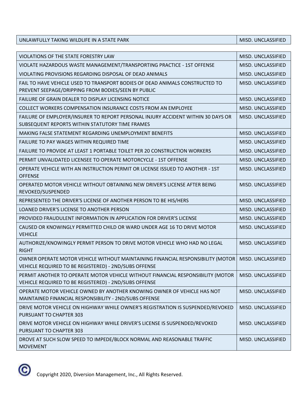UNLAWFULLY TAKING WILDLIFE IN A STATE PARK MISD. UNCLASSIFIED

| VIOLATIONS OF THE STATE FORESTRY LAW                                                                                                     | MISD. UNCLASSIFIED |
|------------------------------------------------------------------------------------------------------------------------------------------|--------------------|
| VIOLATE HAZARDOUS WASTE MANAGEMENT/TRANSPORTING PRACTICE - 1ST OFFENSE                                                                   | MISD. UNCLASSIFIED |
| VIOLATING PROVISIONS REGARDING DISPOSAL OF DEAD ANIMALS                                                                                  | MISD. UNCLASSIFIED |
| FAIL TO HAVE VEHICLE USED TO TRANSPORT BODIES OF DEAD ANIMALS CONSTRUCTED TO<br>PREVENT SEEPAGE/DRIPPING FROM BODIES/SEEN BY PUBLIC      | MISD. UNCLASSIFIED |
| FAILURE OF GRAIN DEALER TO DISPLAY LICENSING NOTICE                                                                                      | MISD. UNCLASSIFIED |
| COLLECT WORKERS COMPENSATION INSURANCE COSTS FROM AN EMPLOYEE                                                                            | MISD. UNCLASSIFIED |
| FAILURE OF EMPLOYER/INSURER TO REPORT PERSONAL INJURY ACCIDENT WITHIN 30 DAYS OR<br>SUBSEQUENT REPORTS WITHIN STATUTORY TIME FRAMES      | MISD. UNCLASSIFIED |
| <b>MAKING FALSE STATEMENT REGARDING UNEMPLOYMENT BENEFITS</b>                                                                            | MISD. UNCLASSIFIED |
| FAILURE TO PAY WAGES WITHIN REQUIRED TIME                                                                                                | MISD. UNCLASSIFIED |
| FAILURE TO PROVIDE AT LEAST 1 PORTABLE TOILET PER 20 CONSTRUCTION WORKERS                                                                | MISD. UNCLASSIFIED |
| PERMIT UNVALIDATED LICENSEE TO OPERATE MOTORCYCLE - 1ST OFFENSE                                                                          | MISD. UNCLASSIFIED |
| OPERATE VEHICLE WITH AN INSTRUCTION PERMIT OR LICENSE ISSUED TO ANOTHER - 1ST<br><b>OFFENSE</b>                                          | MISD. UNCLASSIFIED |
| OPERATED MOTOR VEHICLE WITHOUT OBTAINING NEW DRIVER'S LICENSE AFTER BEING<br>REVOKED/SUSPENDED                                           | MISD. UNCLASSIFIED |
| REPRESENTED THE DRIVER'S LICENSE OF ANOTHER PERSON TO BE HIS/HERS                                                                        | MISD. UNCLASSIFIED |
| LOANED DRIVER'S LICENSE TO ANOTHER PERSON                                                                                                | MISD. UNCLASSIFIED |
| PROVIDED FRAUDULENT INFORMATION IN APPLICATION FOR DRIVER'S LICENSE                                                                      | MISD. UNCLASSIFIED |
| CAUSED OR KNOWINGLY PERMITTED CHILD OR WARD UNDER AGE 16 TO DRIVE MOTOR<br><b>VEHICLE</b>                                                | MISD. UNCLASSIFIED |
| AUTHORIZE/KNOWINGLY PERMIT PERSON TO DRIVE MOTOR VEHICLE WHO HAD NO LEGAL<br><b>RIGHT</b>                                                | MISD. UNCLASSIFIED |
| OWNER OPERATE MOTOR VEHICLE WITHOUT MAINTAINING FINANCIAL RESPONSIBILITY (MOTOR<br>VEHICLE REQUIRED TO BE REGISTERED) - 2ND/SUBS OFFENSE | MISD. UNCLASSIFIED |
| PERMIT ANOTHER TO OPERATE MOTOR VEHICLE WITHOUT FINANCIAL RESPONSIBILITY (MOTOR<br>VEHICLE REQUIRED TO BE REGISTERED) - 2ND/SUBS OFFENSE | MISD. UNCLASSIFIED |
| OPERATE MOTOR VEHICLE OWNED BY ANOTHER KNOWING OWNER OF VEHICLE HAS NOT<br>MAINTAINED FINANCIAL RESPONSIBILITY - 2ND/SUBS OFFENSE        | MISD. UNCLASSIFIED |
| DRIVE MOTOR VEHICLE ON HIGHWAY WHILE OWNER'S REGISTRATION IS SUSPENDED/REVOKED<br>PURSUANT TO CHAPTER 303                                | MISD. UNCLASSIFIED |
| DRIVE MOTOR VEHICLE ON HIGHWAY WHILE DRIVER'S LICENSE IS SUSPENDED/REVOKED<br>PURSUANT TO CHAPTER 303                                    | MISD. UNCLASSIFIED |
| DROVE AT SUCH SLOW SPEED TO IMPEDE/BLOCK NORMAL AND REASONABLE TRAFFIC<br><b>MOVEMENT</b>                                                | MISD. UNCLASSIFIED |

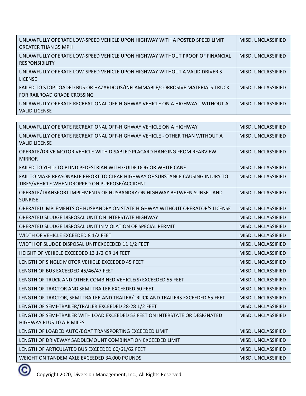| UNLAWFULLY OPERATE LOW-SPEED VEHICLE UPON HIGHWAY WITH A POSTED SPEED LIMIT<br><b>GREATER THAN 35 MPH</b>   | MISD. UNCLASSIFIED |
|-------------------------------------------------------------------------------------------------------------|--------------------|
| UNI AWFULLY OPERATE LOW-SPEED VEHICLE UPON HIGHWAY WITHOUT PROOF OF FINANCIAL<br><b>RESPONSIBILITY</b>      | MISD. UNCLASSIFIED |
| UNLAWFULLY OPERATE LOW-SPEED VEHICLE UPON HIGHWAY WITHOUT A VALID DRIVER'S<br><b>LICENSE</b>                | MISD. UNCLASSIFIED |
| FAILED TO STOP LOADED BUS OR HAZARDOUS/INFLAMMABLE/CORROSIVE MATERIALS TRUCK<br>FOR RAILROAD GRADE CROSSING | MISD. UNCLASSIFIED |
| UNI AWFULLY OPERATE RECREATIONAL OFF-HIGHWAY VEHICLE ON A HIGHWAY - WITHOUT A<br><b>VALID LICENSE</b>       | MISD. UNCLASSIFIED |

| UNLAWFULLY OPERATE RECREATIONAL OFF-HIGHWAY VEHICLE ON A HIGHWAY                                                                 | MISD. UNCLASSIFIED |
|----------------------------------------------------------------------------------------------------------------------------------|--------------------|
| UNLAWFULLY OPERATE RECREATIONAL OFF-HIGHWAY VEHICLE - OTHER THAN WITHOUT A<br><b>VALID LICENSE</b>                               | MISD. UNCLASSIFIED |
| OPERATE/DRIVE MOTOR VEHICLE WITH DISABLED PLACARD HANGING FROM REARVIEW<br><b>MIRROR</b>                                         | MISD. UNCLASSIFIED |
| FAILED TO YIELD TO BLIND PEDESTRIAN WITH GUIDE DOG OR WHITE CANE                                                                 | MISD. UNCLASSIFIED |
| FAIL TO MAKE REASONABLE EFFORT TO CLEAR HIGHWAY OF SUBSTANCE CAUSING INJURY TO<br>TIRES/VEHICLE WHEN DROPPED ON PURPOSE/ACCIDENT | MISD. UNCLASSIFIED |
| OPERATE/TRANSPORT IMPLEMENTS OF HUSBANDRY ON HIGHWAY BETWEEN SUNSET AND<br><b>SUNRISE</b>                                        | MISD. UNCLASSIFIED |
| OPERATED IMPLEMENTS OF HUSBANDRY ON STATE HIGHWAY WITHOUT OPERATOR'S LICENSE                                                     | MISD. UNCLASSIFIED |
| OPERATED SLUDGE DISPOSAL UNIT ON INTERSTATE HIGHWAY                                                                              | MISD. UNCLASSIFIED |
| OPERATED SLUDGE DISPOSAL UNIT IN VIOLATION OF SPECIAL PERMIT                                                                     | MISD. UNCLASSIFIED |
| WIDTH OF VEHICLE EXCEEDED 8 1/2 FEET                                                                                             | MISD. UNCLASSIFIED |
| WIDTH OF SLUDGE DISPOSAL UNIT EXCEEDED 11 1/2 FEET                                                                               | MISD. UNCLASSIFIED |
| HEIGHT OF VEHICLE EXCEEDED 13 1/2 OR 14 FEET                                                                                     | MISD. UNCLASSIFIED |
| LENGTH OF SINGLE MOTOR VEHICLE EXCEEDED 45 FEET                                                                                  | MISD. UNCLASSIFIED |
| LENGTH OF BUS EXCEEDED 45/46/47 FEET                                                                                             | MISD. UNCLASSIFIED |
| LENGTH OF TRUCK AND OTHER COMBINED VEHICLE(S) EXCEEDED 55 FEET                                                                   | MISD. UNCLASSIFIED |
| LENGTH OF TRACTOR AND SEMI-TRAILER EXCEEDED 60 FEET                                                                              | MISD. UNCLASSIFIED |
| LENGTH OF TRACTOR, SEMI-TRAILER AND TRAILER/TRUCK AND TRAILERS EXCEEDED 65 FEET                                                  | MISD. UNCLASSIFIED |
| LENGTH OF SEMI-TRAILER/TRAILER EXCEEDED 28-28 1/2 FEET                                                                           | MISD. UNCLASSIFIED |
| LENGTH OF SEMI-TRAILER WITH LOAD EXCEEDED 53 FEET ON INTERSTATE OR DESIGNATED<br>HIGHWAY PLUS 10 AIR MILES                       | MISD. UNCLASSIFIED |
| LENGTH OF LOADED AUTO/BOAT TRANSPORTING EXCEEDED LIMIT                                                                           | MISD. UNCLASSIFIED |
| LENGTH OF DRIVEWAY SADDLEMOUNT COMBINATION EXCEEDED LIMIT                                                                        | MISD. UNCLASSIFIED |
| LENGTH OF ARTICULATED BUS EXCEEDED 60/61/62 FEET                                                                                 | MISD. UNCLASSIFIED |
| WEIGHT ON TANDEM AXLE EXCEEDED 34,000 POUNDS                                                                                     | MISD. UNCLASSIFIED |
|                                                                                                                                  |                    |

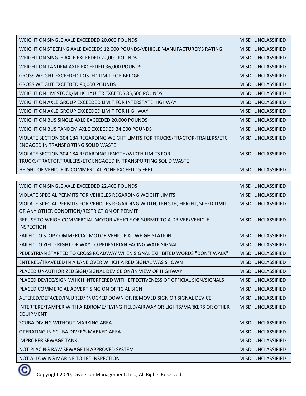| WEIGHT ON SINGLE AXLE EXCEEDED 20,000 POUNDS                                    | MISD. UNCLASSIFIED |
|---------------------------------------------------------------------------------|--------------------|
| WEIGHT ON STEERING AXLE EXCEEDS 12,000 POUNDS/VEHICLE MANUFACTURER'S RATING     | MISD. UNCLASSIFIED |
| WEIGHT ON SINGLE AXLE EXCEEDED 22,000 POUNDS                                    | MISD. UNCLASSIFIED |
| WEIGHT ON TANDEM AXLE EXCEEDED 36,000 POUNDS                                    | MISD. UNCLASSIFIED |
| GROSS WEIGHT EXCEEDED POSTED LIMIT FOR BRIDGE                                   | MISD. UNCLASSIFIED |
| GROSS WEIGHT EXCEEDED 80,000 POUNDS                                             | MISD. UNCLASSIFIED |
| WEIGHT ON LIVESTOCK/MILK HAULER EXCEEDS 85,500 POUNDS                           | MISD. UNCLASSIFIED |
| WEIGHT ON AXLE GROUP EXCEEDED LIMIT FOR INTERSTATE HIGHWAY                      | MISD. UNCLASSIFIED |
| WEIGHT ON AXLE GROUP EXCEEDED LIMIT FOR HIGHWAY                                 | MISD. UNCLASSIFIED |
| WEIGHT ON BUS SINGLE AXLE EXCEEDED 20,000 POUNDS                                | MISD. UNCLASSIFIED |
| WEIGHT ON BUS TANDEM AXLE EXCEEDED 34,000 POUNDS                                | MISD. UNCLASSIFIED |
| VIOLATE SECTION 304.184 REGARDING WEIGHT LIMITS FOR TRUCKS/TRACTOR-TRAILERS/ETC | MISD. UNCLASSIFIED |
| ENGAGED IN TRANSPORTING SOLID WASTE                                             |                    |
| VIOLATE SECTION 304.184 REGARDING LENGTH/WIDTH LIMITS FOR                       | MISD. UNCLASSIFIED |
| TRUCKS/TRACTORTRAILERS/ETC ENGAGED IN TRANSPORTING SOLID WASTE                  |                    |
| HEIGHT OF VEHICLE IN COMMERCIAL ZONE EXCEED 15 FEET                             | MISD. UNCLASSIFIED |

| WEIGHT ON SINGLE AXLE EXCEEDED 22,400 POUNDS                                                                                      | MISD. UNCLASSIFIED |
|-----------------------------------------------------------------------------------------------------------------------------------|--------------------|
| VIOLATE SPECIAL PERMITS FOR VEHICLES REGARDING WEIGHT LIMITS                                                                      | MISD. UNCLASSIFIED |
| VIOLATE SPECIAL PERMITS FOR VEHICLES REGARDING WIDTH, LENGTH, HEIGHT, SPEED LIMIT<br>OR ANY OTHER CONDITION/RESTRICTION OF PERMIT | MISD. UNCLASSIFIED |
| REFUSE TO WEIGH COMMERCIAL MOTOR VEHICLE OR SUBMIT TO A DRIVER/VEHICLE<br><b>INSPECTION</b>                                       | MISD. UNCLASSIFIED |
| FAILED TO STOP COMMERCIAL MOTOR VEHICLE AT WEIGH STATION                                                                          | MISD. UNCLASSIFIED |
| FAILED TO YIELD RIGHT OF WAY TO PEDESTRIAN FACING WALK SIGNAL                                                                     | MISD. UNCLASSIFIED |
| PEDESTRIAN STARTED TO CROSS ROADWAY WHEN SIGNAL EXHIBITED WORDS "DON'T WALK"                                                      | MISD. UNCLASSIFIED |
| ENTERED/TRAVELED IN A LANE OVER WHICH A RED SIGNAL WAS SHOWN                                                                      | MISD. UNCLASSIFIED |
| PLACED UNAUTHORIZED SIGN/SIGNAL DEVICE ON/IN VIEW OF HIGHWAY                                                                      | MISD. UNCLASSIFIED |
| PLACED DEVICE/SIGN WHICH INTERFERED WITH EFFECTIVENESS OF OFFICIAL SIGN/SIGNALS                                                   | MISD. UNCLASSIFIED |
| PLACED COMMERCIAL ADVERTISING ON OFFICIAL SIGN                                                                                    | MISD. UNCLASSIFIED |
| ALTERED/DEFACED/INJURED/KNOCKED DOWN OR REMOVED SIGN OR SIGNAL DEVICE                                                             | MISD. UNCLASSIFIED |
| INTERFERE/TAMPER WITH AIRDROME/FLYING FIELD/AIRWAY OR LIGHTS/MARKERS OR OTHER<br><b>EQUIPMENT</b>                                 | MISD. UNCLASSIFIED |
| SCUBA DIVING WITHOUT MARKING AREA                                                                                                 | MISD. UNCLASSIFIED |
| OPERATING IN SCUBA DIVER'S MARKED AREA                                                                                            | MISD. UNCLASSIFIED |
| <b>IMPROPER SEWAGE TANK</b>                                                                                                       | MISD. UNCLASSIFIED |
| NOT PLACING RAW SEWAGE IN APPROVED SYSTEM                                                                                         | MISD. UNCLASSIFIED |
| NOT ALLOWING MARINE TOILET INSPECTION                                                                                             | MISD. UNCLASSIFIED |

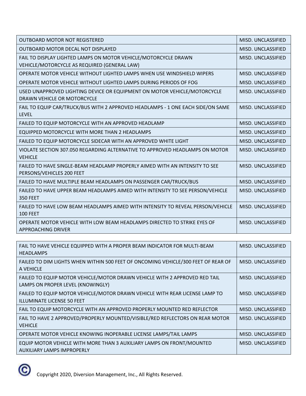| <b>OUTBOARD MOTOR NOT REGISTERED</b>                                                                            | MISD. UNCLASSIFIED |
|-----------------------------------------------------------------------------------------------------------------|--------------------|
| OUTBOARD MOTOR DECAL NOT DISPLAYED                                                                              | MISD. UNCLASSIFIED |
| FAIL TO DISPLAY LIGHTED LAMPS ON MOTOR VEHICLE/MOTORCYCLE DRAWN<br>VEHICLE/MOTORCYCLE AS REQUIRED (GENERAL LAW) | MISD. UNCLASSIFIED |
| OPERATE MOTOR VEHICLE WITHOUT LIGHTED LAMPS WHEN USE WINDSHIELD WIPERS                                          | MISD. UNCLASSIFIED |
| OPERATE MOTOR VEHICLE WITHOUT LIGHTED LAMPS DURING PERIODS OF FOG                                               | MISD. UNCLASSIFIED |
| USED UNAPPROVED LIGHTING DEVICE OR EQUIPMENT ON MOTOR VEHICLE/MOTORCYCLE<br>DRAWN VEHICLE OR MOTORCYCLE         | MISD. UNCLASSIFIED |
| FAIL TO EQUIP CAR/TRUCK/BUS WITH 2 APPROVED HEADLAMPS - 1 ONE EACH SIDE/ON SAME<br><b>LEVEL</b>                 | MISD. UNCLASSIFIED |
| FAILED TO EQUIP MOTORCYCLE WITH AN APPROVED HEADLAMP                                                            | MISD. UNCLASSIFIED |
| EQUIPPED MOTORCYCLE WITH MORE THAN 2 HEADLAMPS                                                                  | MISD. UNCLASSIFIED |
| FAILED TO EQUIP MOTORCYCLE SIDECAR WITH AN APPROVED WHITE LIGHT                                                 | MISD. UNCLASSIFIED |
| VIOLATE SECTION 307.050 REGARDING ALTERNATIVE TO APPROVED HEADLAMPS ON MOTOR<br><b>VEHICLE</b>                  | MISD. UNCLASSIFIED |
| FAILED TO HAVE SINGLE-BEAM HEADLAMP PROPERLY AIMED WITH AN INTENSITY TO SEE<br>PERSONS/VEHICLES 200 FEET        | MISD. UNCLASSIFIED |
| FAILED TO HAVE MULTIPLE BEAM HEADLAMPS ON PASSENGER CAR/TRUCK/BUS                                               | MISD. UNCLASSIFIED |
| FAILED TO HAVE UPPER BEAM HEADLAMPS AIMED WITH INTENSITY TO SEE PERSON/VEHICLE<br><b>350 FEET</b>               | MISD. UNCLASSIFIED |
| FAILED TO HAVE LOW BEAM HEADLAMPS AIMED WITH INTENSITY TO REVEAL PERSON/VEHICLE<br><b>100 FEET</b>              | MISD. UNCLASSIFIED |
| OPERATE MOTOR VEHICLE WITH LOW BEAM HEADLAMPS DIRECTED TO STRIKE EYES OF<br><b>APPROACHING DRIVER</b>           | MISD. UNCLASSIFIED |
|                                                                                                                 |                    |
| FAIL TO HAVE VEHICLE EQUIPPED WITH A PROPER BEAM INDICATOR FOR MULTI-BEAM<br><b>HEADLAMPS</b>                   | MISD. UNCLASSIFIED |
| FAILED TO DIM LIGHTS WHEN WITHIN 500 FEET OF ONCOMING VEHICLE/300 FEET OF REAR OF<br>A VEHICLE                  | MISD. UNCLASSIFIED |
| FAILED TO EQUIP MOTOR VEHICLE/MOTOR DRAWN VEHICLE WITH 2 APPROVED RED TAIL<br>LAMPS ON PROPER LEVEL (KNOWINGLY) | MISD. UNCLASSIFIED |
| FAILED TO EQUIP MOTOR VEHICLE/MOTOR DRAWN VEHICLE WITH REAR LICENSE LAMP TO<br>ILLUMINATE LICENSE 50 FEET       | MISD. UNCLASSIFIED |

FAIL TO EQUIP MOTORCYCLE WITH AN APPROVED PROPERLY MOUNTED RED REFLECTOR MISD. UNCLASSIFIED

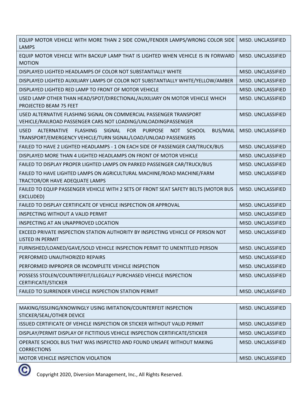| EQUIP MOTOR VEHICLE WITH MORE THAN 2 SIDE COWL/FENDER LAMPS/WRONG COLOR SIDE<br><b>LAMPS</b>                                                          | MISD. UNCLASSIFIED |
|-------------------------------------------------------------------------------------------------------------------------------------------------------|--------------------|
| EQUIP MOTOR VEHICLE WITH BACKUP LAMP THAT IS LIGHTED WHEN VEHICLE IS IN FORWARD<br><b>MOTION</b>                                                      | MISD. UNCLASSIFIED |
| DISPLAYED LIGHTED HEADLAMPS OF COLOR NOT SUBSTANTIALLY WHITE                                                                                          | MISD. UNCLASSIFIED |
| DISPLAYED LIGHTED AUXILIARY LAMPS OF COLOR NOT SUBSTANTIALLY WHITE/YELLOW/AMBER                                                                       | MISD. UNCLASSIFIED |
| DISPLAYED LIGHTED RED LAMP TO FRONT OF MOTOR VEHICLE                                                                                                  | MISD. UNCLASSIFIED |
| USED LAMP OTHER THAN HEAD/SPOT/DIRECTIONAL/AUXILIARY ON MOTOR VEHICLE WHICH<br>PROJECTED BEAM 75 FEET                                                 | MISD. UNCLASSIFIED |
| USED ALTERNATIVE FLASHING SIGNAL ON COMMERCIAL PASSENGER TRANSPORT<br>VEHICLE/RAILROAD PASSENGER CARS NOT LOADING/UNLOADINGPASSENGER                  | MISD. UNCLASSIFIED |
| ALTERNATIVE FLASHING<br>SIGNAL FOR PURPOSE<br><b>USED</b><br>NOT SCHOOL<br>BUS/MAIL<br>TRANSPORT/EMERGENCY VEHICLE/TURN SIGNAL/LOAD/UNLOAD PASSENGERS | MISD. UNCLASSIFIED |
| FAILED TO HAVE 2 LIGHTED HEADLAMPS - 1 ON EACH SIDE OF PASSENGER CAR/TRUCK/BUS                                                                        | MISD. UNCLASSIFIED |
| DISPLAYED MORE THAN 4 LIGHTED HEADLAMPS ON FRONT OF MOTOR VEHICLE                                                                                     | MISD. UNCLASSIFIED |
| FAILED TO DISPLAY PROPER LIGHTED LAMPS ON PARKED PASSENGER CAR/TRUCK/BUS                                                                              | MISD. UNCLASSIFIED |
| FAILED TO HAVE LIGHTED LAMPS ON AGRICULTURAL MACHINE/ROAD MACHINE/FARM<br>TRACTOR/OR HAVE ADEQUATE LAMPS                                              | MISD. UNCLASSIFIED |
| FAILED TO EQUIP PASSENGER VEHICLE WITH 2 SETS OF FRONT SEAT SAFETY BELTS (MOTOR BUS<br>EXCLUDED)                                                      | MISD. UNCLASSIFIED |
| FAILED TO DISPLAY CERTIFICATE OF VEHICLE INSPECTION OR APPROVAL                                                                                       | MISD. UNCLASSIFIED |
| <b>INSPECTING WITHOUT A VALID PERMIT</b>                                                                                                              | MISD. UNCLASSIFIED |
| INSPECTING AT AN UNAPPROVED LOCATION                                                                                                                  | MISD. UNCLASSIFIED |
| EXCEED PRIVATE INSPECTION STATION AUTHORITY BY INSPECTING VEHICLE OF PERSON NOT<br><b>LISTED IN PERMIT</b>                                            | MISD. UNCLASSIFIED |
| FURNISHED/LOANED/GAVE/SOLD VEHICLE INSPECTION PERMIT TO UNENTITLED PERSON                                                                             | MISD. UNCLASSIFIED |
| PERFORMED UNAUTHORIZED REPAIRS                                                                                                                        | MISD. UNCLASSIFIED |
| PERFORMED IMPROPER OR INCOMPLETE VEHICLE INSPECTION                                                                                                   | MISD. UNCLASSIFIED |
| POSSESS STOLEN/COUNTERFEIT/ILLEGALLY PURCHASED VEHICLE INSPECTION<br><b>CERTIFICATE/STICKER</b>                                                       | MISD. UNCLASSIFIED |
| FAILED TO SURRENDER VEHICLE INSPECTION STATION PERMIT                                                                                                 | MISD. UNCLASSIFIED |
|                                                                                                                                                       |                    |

| MAKING/ISSUING/KNOWINGLY USING IMITATION/COUNTERFEIT INSPECTION             | MISD. UNCLASSIFIED |
|-----------------------------------------------------------------------------|--------------------|
| STICKER/SEAL/OTHER DEVICE                                                   |                    |
| ISSUED CERTIFICATE OF VEHICLE INSPECTION OR STICKER WITHOUT VALID PERMIT    | MISD. UNCLASSIFIED |
| DISPLAY/PERMIT DISPLAY OF FICTITIOUS VEHICLE INSPECTION CERTIFICATE/STICKER | MISD. UNCLASSIFIED |
| OPERATE SCHOOL BUS THAT WAS INSPECTED AND FOUND UNSAFE WITHOUT MAKING       | MISD. UNCLASSIFIED |
| <b>CORRECTIONS</b>                                                          |                    |
| MOTOR VEHICLE INSPECTION VIOLATION                                          | MISD. UNCLASSIFIED |
|                                                                             |                    |

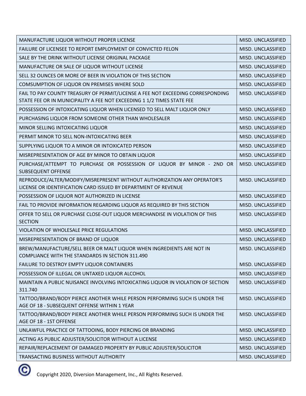| MANUFACTURE LIQUOR WITHOUT PROPER LICENSE                                                                                                                 | MISD. UNCLASSIFIED |
|-----------------------------------------------------------------------------------------------------------------------------------------------------------|--------------------|
| FAILURE OF LICENSEE TO REPORT EMPLOYMENT OF CONVICTED FELON                                                                                               | MISD. UNCLASSIFIED |
| SALE BY THE DRINK WITHOUT LICENSE ORIGINAL PACKAGE                                                                                                        | MISD. UNCLASSIFIED |
| MANUFACTURE OR SALE OF LIQUOR WITHOUT LICENSE                                                                                                             | MISD. UNCLASSIFIED |
| SELL 32 OUNCES OR MORE OF BEER IN VIOLATION OF THIS SECTION                                                                                               | MISD. UNCLASSIFIED |
| COMSUMPTION OF LIQUOR ON PREMISES WHERE SOLD                                                                                                              | MISD. UNCLASSIFIED |
| FAIL TO PAY COUNTY TREASURY OF PERMIT/LICENSE A FEE NOT EXCEEDING CORRESPONDING<br>STATE FEE OR IN MUNICIPALITY A FEE NOT EXCEEDING 1 1/2 TIMES STATE FEE | MISD. UNCLASSIFIED |
| POSSESSION OF INTOXICATING LIQUOR WHEN LICENSED TO SELL MALT LIQUOR ONLY                                                                                  | MISD. UNCLASSIFIED |
| PURCHASING LIQUOR FROM SOMEONE OTHER THAN WHOLESALER                                                                                                      | MISD. UNCLASSIFIED |
| MINOR SELLING INTOXICATING LIQUOR                                                                                                                         | MISD. UNCLASSIFIED |
| PERMIT MINOR TO SELL NON-INTOXICATING BEER                                                                                                                | MISD. UNCLASSIFIED |
| SUPPLYING LIQUOR TO A MINOR OR INTOXICATED PERSON                                                                                                         | MISD. UNCLASSIFIED |
| MISREPRESENTATION OF AGE BY MINOR TO OBTAIN LIQUOR                                                                                                        | MISD. UNCLASSIFIED |
| PURCHASE/ATTEMPT TO PURCHASE OR POSSESSION OF LIQUOR BY MINOR - 2ND OR<br><b>SUBSEQUENT OFFENSE</b>                                                       | MISD. UNCLASSIFIED |
| REPRODUCE/ALTER/MODIFY/MISREPRESENT WITHOUT AUTHORIZATION ANY OPERATOR'S<br>LICENSE OR IDENTIFICATION CARD ISSUED BY DEPARTMENT OF REVENUE                | MISD. UNCLASSIFIED |
| POSSESSION OF LIQUOR NOT AUTHORIZED IN LICENSE                                                                                                            | MISD. UNCLASSIFIED |
| FAIL TO PROVIDE INFORMATION REGARDING LIQUOR AS REQUIRED BY THIS SECTION                                                                                  | MISD. UNCLASSIFIED |
| OFFER TO SELL OR PURCHASE CLOSE-OUT LIQUOR MERCHANDISE IN VIOLATION OF THIS<br><b>SECTION</b>                                                             | MISD. UNCLASSIFIED |
| VIOLATION OF WHOLESALE PRICE REGULATIONS                                                                                                                  | MISD. UNCLASSIFIED |
| MISREPRESENTATION OF BRAND OF LIQUOR                                                                                                                      | MISD. UNCLASSIFIED |
| BREW/MANUFACTURE/SELL BEER OR MALT LIQUOR WHEN INGREDIENTS ARE NOT IN<br><b>COMPLIANCE WITH THE STANDARDS IN SECTION 311.490</b>                          | MISD. UNCLASSIFIED |
| FAILURE TO DESTROY EMPTY LIQUOR CONTAINERS                                                                                                                | MISD. UNCLASSIFIED |
| POSSESSION OF ILLEGAL OR UNTAXED LIQUOR ALCOHOL                                                                                                           | MISD. UNCLASSIFIED |
| MAINTAIN A PUBLIC NUISANCE INVOLVING INTOXICATING LIQUOR IN VIOLATION OF SECTION<br>311.740                                                               | MISD. UNCLASSIFIED |
| TATTOO/BRAND/BODY PIERCE ANOTHER WHILE PERSON PERFORMING SUCH IS UNDER THE<br>AGE OF 18 - SUBSEQUENT OFFENSE WITHIN 1 YEAR                                | MISD. UNCLASSIFIED |
| TATTOO/BRAND/BODY PIERCE ANOTHER WHILE PERSON PERFORMING SUCH IS UNDER THE<br>AGE OF 18 - 1ST OFFENSE                                                     | MISD. UNCLASSIFIED |
| UNLAWFUL PRACTICE OF TATTOOING, BODY PIERCING OR BRANDING                                                                                                 | MISD. UNCLASSIFIED |
| ACTING AS PUBLIC ADJUSTER/SOLICITOR WITHOUT A LICENSE                                                                                                     | MISD. UNCLASSIFIED |
| REPAIR/REPLACEMENT OF DAMAGED PROPERTY BY PUBLIC ADJUSTER/SOLICITOR                                                                                       | MISD. UNCLASSIFIED |
| TRANSACTING BUSINESS WITHOUT AUTHORITY                                                                                                                    | MISD. UNCLASSIFIED |

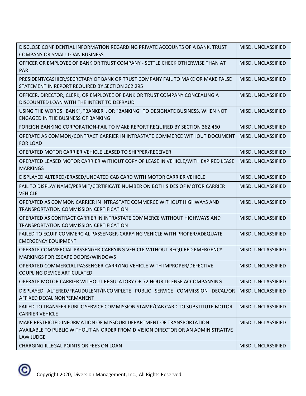| DISCLOSE CONFIDENTIAL INFORMATION REGARDING PRIVATE ACCOUNTS OF A BANK, TRUST<br><b>COMPANY OR SMALL LOAN BUSINESS</b>                                                | MISD. UNCLASSIFIED |
|-----------------------------------------------------------------------------------------------------------------------------------------------------------------------|--------------------|
| OFFICER OR EMPLOYEE OF BANK OR TRUST COMPANY - SETTLE CHECK OTHERWISE THAN AT<br><b>PAR</b>                                                                           | MISD. UNCLASSIFIED |
| PRESIDENT/CASHIER/SECRETARY OF BANK OR TRUST COMPANY FAIL TO MAKE OR MAKE FALSE<br>STATEMENT IN REPORT REQUIRED BY SECTION 362.295                                    | MISD. UNCLASSIFIED |
| OFFICER, DIRECTOR, CLERK, OR EMPLOYEE OF BANK OR TRUST COMPANY CONCEALING A<br>DISCOUNTED LOAN WITH THE INTENT TO DEFRAUD                                             | MISD. UNCLASSIFIED |
| USING THE WORDS "BANK", "BANKER", OR "BANKING" TO DESIGNATE BUSINESS, WHEN NOT<br><b>ENGAGED IN THE BUSINESS OF BANKING</b>                                           | MISD. UNCLASSIFIED |
| FOREIGN BANKING CORPORATION-FAIL TO MAKE REPORT REQUIRED BY SECTION 362.460                                                                                           | MISD. UNCLASSIFIED |
| OPERATE AS COMMON/CONTRACT CARRIER IN INTRASTATE COMMERCE WITHOUT DOCUMENT<br><b>FOR LOAD</b>                                                                         | MISD. UNCLASSIFIED |
| OPERATED MOTOR CARRIER VEHICLE LEASED TO SHIPPER/RECEIVER                                                                                                             | MISD. UNCLASSIFIED |
| OPERATED LEASED MOTOR CARRIER WITHOUT COPY OF LEASE IN VEHICLE/WITH EXPIRED LEASE<br><b>MARKINGS</b>                                                                  | MISD. UNCLASSIFIED |
| DISPLAYED ALTERED/ERASED/UNDATED CAB CARD WITH MOTOR CARRIER VEHICLE                                                                                                  | MISD. UNCLASSIFIED |
| FAIL TO DISPLAY NAME/PERMIT/CERTIFICATE NUMBER ON BOTH SIDES OF MOTOR CARRIER<br><b>VEHICLE</b>                                                                       | MISD. UNCLASSIFIED |
| OPERATED AS COMMON CARRIER IN INTRASTATE COMMERCE WITHOUT HIGHWAYS AND<br>TRANSPORTATION COMMISSION CERTIFICATION                                                     | MISD. UNCLASSIFIED |
| OPERATED AS CONTRACT CARRIER IN INTRASTATE COMMERCE WITHOUT HIGHWAYS AND<br>TRANSPORTATION COMMISSION CERTIFICATION                                                   | MISD. UNCLASSIFIED |
| FAILED TO EQUIP COMMERCIAL PASSENGER-CARRYING VEHICLE WITH PROPER/ADEQUATE<br><b>EMERGENCY EQUIPMENT</b>                                                              | MISD. UNCLASSIFIED |
| OPERATE COMMERCIAL PASSENGER-CARRYING VEHICLE WITHOUT REQUIRED EMERGENCY<br>MARKINGS FOR ESCAPE DOORS/WINDOWS                                                         | MISD. UNCLASSIFIED |
| OPERATED COMMERCIAL PASSENGER-CARRYING VEHICLE WITH IMPROPER/DEFECTIVE<br>COUPLING DEVICE ARTICULATED                                                                 | MISD. UNCLASSIFIED |
| OPERATE MOTOR CARRIER WITHOUT REGULATORY OR 72 HOUR LICENSE ACCOMPANYING                                                                                              | MISD. UNCLASSIFIED |
| DISPLAYED ALTERED/FRAUDULENT/INCOMPLETE PUBLIC SERVICE COMMISSION DECAL/OR<br>AFFIXED DECAL NONPERMANENT                                                              | MISD. UNCLASSIFIED |
| FAILED TO TRANSFER PUBLIC SERVICE COMMISSION STAMP/CAB CARD TO SUBSTITUTE MOTOR<br><b>CARRIER VEHICLE</b>                                                             | MISD. UNCLASSIFIED |
| MAKE RESTRICTED INFORMATION OF MISSOURI DEPARTMENT OF TRANSPORTATION<br>AVAILABLE TO PUBLIC WITHOUT AN ORDER FROM DIVISION DIRECTOR OR AN ADMINISTRATIVE<br>LAW JUDGE | MISD. UNCLASSIFIED |
| CHARGING ILLEGAL POINTS OR FEES ON LOAN                                                                                                                               | MISD. UNCLASSIFIED |